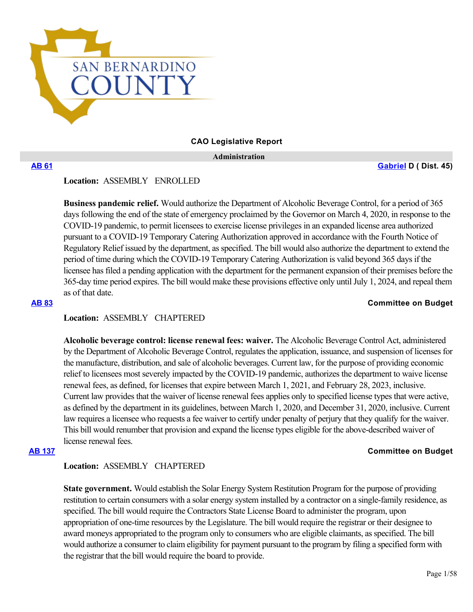

### **CAO Legislative Report**

 **Administration**

**[AB 61](https://ctweb.capitoltrack.com/public/publishbillinfo.aspx?bi=g5wHfu0fziAygNn7L5A2oz5QdykDiLW554q%2FGu0WUKY5tlTji2dAmBAruLxeTlra) [Gabriel](https://a45.asmdc.org/) D ( Dist. 45)**

**Location:**  ASSEMBLY ENROLLED

**Business pandemic relief.** Would authorize the Department of Alcoholic Beverage Control, for a period of 365 days following the end of the state of emergency proclaimed by the Governor on March 4, 2020, in response to the COVID-19 pandemic, to permit licensees to exercise license privileges in an expanded license area authorized pursuant to a COVID-19 Temporary Catering Authorization approved in accordance with the Fourth Notice of Regulatory Relief issued by the department, as specified. The bill would also authorize the department to extend the period of time during which the COVID-19 Temporary Catering Authorization is valid beyond 365 days if the licensee has filed a pending application with the department for the permanent expansion of their premises before the 365-day time period expires. The bill would make these provisions effective only until July 1, 2024, and repeal them as of that date.

### **[AB 83](https://ctweb.capitoltrack.com/public/publishbillinfo.aspx?bi=bKgUK7VAR4QQxU0BKzJL4EXb0w%2B3x%2BVCWv%2BVeTw3gfDJsLXsMMzdh9519nBRSdGo) Committee on Budget**

# **Location:**  ASSEMBLY CHAPTERED

**Alcoholic beverage control: license renewal fees: waiver.** The Alcoholic Beverage Control Act, administered by the Department of Alcoholic Beverage Control, regulates the application, issuance, and suspension of licenses for the manufacture, distribution, and sale of alcoholic beverages. Current law, for the purpose of providing economic relief to licensees most severely impacted by the COVID-19 pandemic, authorizes the department to waive license renewal fees, as defined, for licenses that expire between March 1, 2021, and February 28, 2023, inclusive. Current law provides that the waiver of license renewal fees applies only to specified license types that were active, as defined by the department in its guidelines, between March 1, 2020, and December 31, 2020, inclusive. Current law requires a licensee who requests a fee waiver to certify under penalty of perjury that they qualify for the waiver. This bill would renumber that provision and expand the license types eligible for the above-described waiver of license renewal fees.

### **[AB 137](https://ctweb.capitoltrack.com/public/publishbillinfo.aspx?bi=EnNZOk4k1fY87at3lkLDkhkRlcGN%2FvmhVI8%2FJi1pwtF8CG8U8ySy5gcnxbiXoF8V) Committee on Budget**

### **Location:**  ASSEMBLY CHAPTERED

**State government.** Would establish the Solar Energy System Restitution Program for the purpose of providing restitution to certain consumers with a solar energy system installed by a contractor on a single-family residence, as specified. The bill would require the Contractors State License Board to administer the program, upon appropriation of one-time resources by the Legislature. The bill would require the registrar or their designee to award moneys appropriated to the program only to consumers who are eligible claimants, as specified. The bill would authorize a consumer to claim eligibility for payment pursuant to the program by filing a specified form with the registrar that the bill would require the board to provide.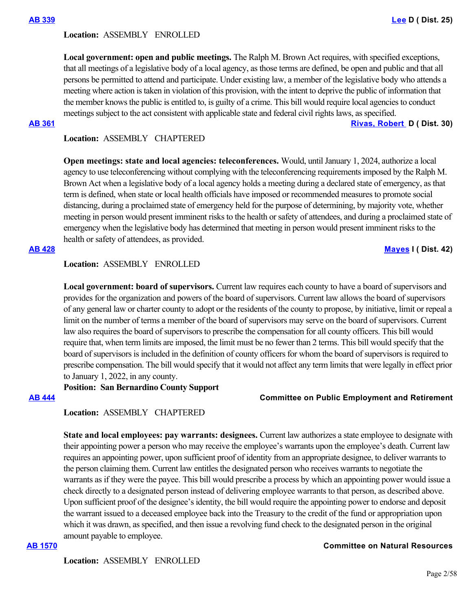**Local government: open and public meetings.** The Ralph M. Brown Act requires, with specified exceptions, that all meetings of a legislative body of a local agency, as those terms are defined, be open and public and that all persons be permitted to attend and participate. Under existing law, a member of the legislative body who attends a meeting where action is taken in violation of this provision, with the intent to deprive the public of information that the member knows the public is entitled to, is guilty of a crime. This bill would require local agencies to conduct meetings subject to the act consistent with applicable state and federal civil rights laws, as specified.

**[AB 361](https://ctweb.capitoltrack.com/public/publishbillinfo.aspx?bi=x31iogdOG0BUmljsBZEo7i9JHe0W%2Fhc3%2B%2Bdlva6nxjBe7YJLnCPAcNm00YIgh5vg) [Rivas, Robert](https://a30.asmdc.org/)  D ( Dist. 30)**

# **Location:**  ASSEMBLY CHAPTERED

**Open meetings: state and local agencies: teleconferences.** Would, until January 1, 2024, authorize a local agency to use teleconferencing without complying with the teleconferencing requirements imposed by the Ralph M. Brown Act when a legislative body of a local agency holds a meeting during a declared state of emergency, as that term is defined, when state or local health officials have imposed or recommended measures to promote social distancing, during a proclaimed state of emergency held for the purpose of determining, by majority vote, whether meeting in person would present imminent risks to the health or safety of attendees, and during a proclaimed state of emergency when the legislative body has determined that meeting in person would present imminent risks to the health or safety of attendees, as provided.

### **[AB 428](https://ctweb.capitoltrack.com/public/publishbillinfo.aspx?bi=PYNy6fkde4LZWJO1su2WNTPirSkeh1bG2WIVEtCNMoNFo4LM%2Buu4a3nYpPswJhIT) [Mayes](https://www.assembly.ca.gov/assemblymemberchadmayes) I ( Dist. 42)**

# **Location:**  ASSEMBLY ENROLLED

**Local government: board of supervisors.** Current law requires each county to have a board of supervisors and provides for the organization and powers of the board of supervisors. Current law allows the board of supervisors of any general law or charter county to adopt or the residents of the county to propose, by initiative, limit or repeal a limit on the number of terms a member of the board of supervisors may serve on the board of supervisors. Current law also requires the board of supervisors to prescribe the compensation for all county officers. This bill would require that, when term limits are imposed, the limit must be no fewer than 2 terms. This bill would specify that the board of supervisors is included in the definition of county officers for whom the board of supervisors is required to prescribe compensation. The bill would specify that it would not affect any term limits that were legally in effect prior to January 1, 2022, in any county.

**Position: San Bernardino County Support**

### **[AB 444](https://ctweb.capitoltrack.com/public/publishbillinfo.aspx?bi=lceoHXnYBjw6lj5pTLyOuCa9BueLJCjwIy4T5xKMuGnGhKkDE4E7%2Fque%2FLDIUZK%2B) Committee on Public Employment and Retirement**

# **Location:**  ASSEMBLY CHAPTERED

**State and local employees: pay warrants: designees.** Current law authorizes a state employee to designate with their appointing power a person who may receive the employee's warrants upon the employee's death. Current law requires an appointing power, upon sufficient proof of identity from an appropriate designee, to deliver warrants to the person claiming them. Current law entitles the designated person who receives warrants to negotiate the warrants as if they were the payee. This bill would prescribe a process by which an appointing power would issue a check directly to a designated person instead of delivering employee warrants to that person, as described above. Upon sufficient proof of the designee's identity, the bill would require the appointing power to endorse and deposit the warrant issued to a deceased employee back into the Treasury to the credit of the fund or appropriation upon which it was drawn, as specified, and then issue a revolving fund check to the designated person in the original amount payable to employee.

### **[AB 1570](https://ctweb.capitoltrack.com/public/publishbillinfo.aspx?bi=b6l%2F3a5RzgvoyktKvTlNICFagAODVNoowgS5Rv5qYkMJdmGJwrBV0f6%2FTusAbj%2FP) Committee on Natural Resources**

**Location:**  ASSEMBLY ENROLLED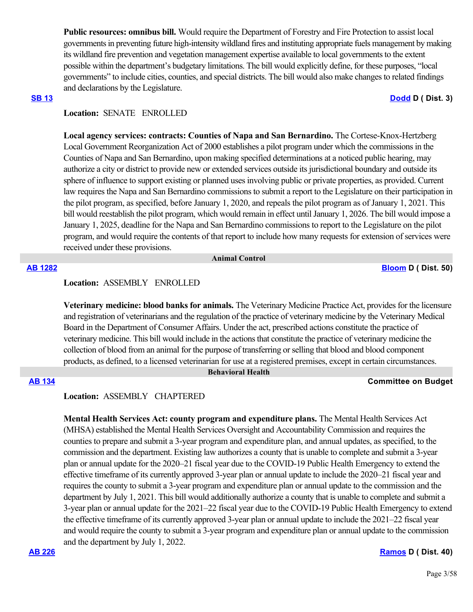**Public resources: omnibus bill.** Would require the Department of Forestry and Fire Protection to assist local governments in preventing future high-intensity wildland fires and instituting appropriate fuels management by making its wildland fire prevention and vegetation management expertise available to local governments to the extent possible within the department's budgetary limitations. The bill would explicitly define, for these purposes, "local governments" to include cities, counties, and special districts. The bill would also make changes to related findings and declarations by the Legislature.

### **[SB 13](https://ctweb.capitoltrack.com/public/publishbillinfo.aspx?bi=e41ac8V4ODyR166c5JpO6QMbQOs04utP0JZJTK5ZFiRgfW0FSOF%2FzotzzKybeUm8) [Dodd](http://sd03.senate.ca.gov/) D ( Dist. 3)**

# **Location:**  SENATE ENROLLED

**Local agency services: contracts: Counties of Napa and San Bernardino.** The Cortese-Knox-Hertzberg Local Government Reorganization Act of 2000 establishes a pilot program under which the commissions in the Counties of Napa and San Bernardino, upon making specified determinations at a noticed public hearing, may authorize a city or district to provide new or extended services outside its jurisdictional boundary and outside its sphere of influence to support existing or planned uses involving public or private properties, as provided. Current law requires the Napa and San Bernardino commissions to submit a report to the Legislature on their participation in the pilot program, as specified, before January 1, 2020, and repeals the pilot program as of January 1, 2021. This bill would reestablish the pilot program, which would remain in effect until January 1, 2026. The bill would impose a January 1, 2025, deadline for the Napa and San Bernardino commissions to report to the Legislature on the pilot program, and would require the contents of that report to include how many requests for extension of services were received under these provisions.

### **Animal Control**

**[AB 1282](https://ctweb.capitoltrack.com/public/publishbillinfo.aspx?bi=GlT5nEb9urBlU7BatShpXHz%2B0ooxE3oMSo20F6YbmNLfE3lhyGeDhoGdc3ealLzq) [Bloom](https://a50.asmdc.org/) D ( Dist. 50)**

## **Location:**  ASSEMBLY ENROLLED

**Veterinary medicine: blood banks for animals.** The Veterinary Medicine Practice Act, provides for the licensure and registration of veterinarians and the regulation of the practice of veterinary medicine by the Veterinary Medical Board in the Department of Consumer Affairs. Under the act, prescribed actions constitute the practice of veterinary medicine. This bill would include in the actions that constitute the practice of veterinary medicine the collection of blood from an animal for the purpose of transferring or selling that blood and blood component products, as defined, to a licensed veterinarian for use at a registered premises, except in certain circumstances.  **Behavioral Health**

### **[AB 134](https://ctweb.capitoltrack.com/public/publishbillinfo.aspx?bi=mIo8sdnQL4dGAGWVgzHf8zwEDj7C3icu8wTLMuvE3x8kIeCrt0WzhePorTDq70Mm) Committee on Budget**

### **Location:**  ASSEMBLY CHAPTERED

**Mental Health Services Act: county program and expenditure plans.** The Mental Health Services Act (MHSA) established the Mental Health Services Oversight and Accountability Commission and requires the counties to prepare and submit a 3-year program and expenditure plan, and annual updates, as specified, to the commission and the department. Existing law authorizes a county that is unable to complete and submit a 3-year plan or annual update for the 2020–21 fiscal year due to the COVID-19 Public Health Emergency to extend the effective timeframe of its currently approved 3-year plan or annual update to include the 2020–21 fiscal year and requires the county to submit a 3-year program and expenditure plan or annual update to the commission and the department by July 1, 2021. This bill would additionally authorize a county that is unable to complete and submit a 3-year plan or annual update for the 2021–22 fiscal year due to the COVID-19 Public Health Emergency to extend the effective timeframe of its currently approved 3-year plan or annual update to include the 2021–22 fiscal year and would require the county to submit a 3-year program and expenditure plan or annual update to the commission and the department by July 1, 2022.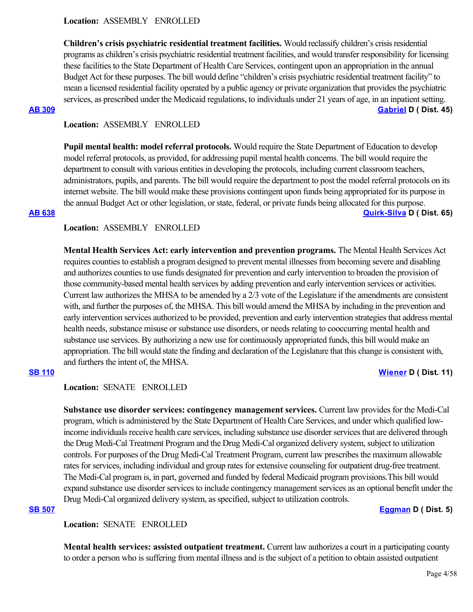**Children's crisis psychiatric residential treatment facilities.** Would reclassify children's crisis residential programs as children's crisis psychiatric residential treatment facilities, and would transfer responsibility for licensing these facilities to the State Department of Health Care Services, contingent upon an appropriation in the annual Budget Act for these purposes. The bill would define "children's crisis psychiatric residential treatment facility" to mean a licensed residential facility operated by a public agency or private organization that provides the psychiatric services, as prescribed under the Medicaid regulations, to individuals under 21 years of age, in an inpatient setting. **[AB 309](https://ctweb.capitoltrack.com/public/publishbillinfo.aspx?bi=UgOs8yJRyRazw%2FgGOVSrBKJMX8OrQgikV%2BZ%2FQkQSXtSawo7YyeSfOElxZFNYSoG9) [Gabriel](https://a45.asmdc.org/) D ( Dist. 45)**

### **Location:**  ASSEMBLY ENROLLED

**Pupil mental health: model referral protocols.** Would require the State Department of Education to develop model referral protocols, as provided, for addressing pupil mental health concerns. The bill would require the department to consult with various entities in developing the protocols, including current classroom teachers, administrators, pupils, and parents. The bill would require the department to post the model referral protocols on its internet website. The bill would make these provisions contingent upon funds being appropriated for its purpose in the annual Budget Act or other legislation, or state, federal, or private funds being allocated for this purpose. **[AB 638](https://ctweb.capitoltrack.com/public/publishbillinfo.aspx?bi=EZieh9yFCiMRY8gnhyzvbRWX8OLTLa8O1UWI1yjdTpR1fJPGdcJ4X98Qre5Z3sCp) [Quirk-Silva](https://a65.asmdc.org/) D ( Dist. 65)**

# **Location:**  ASSEMBLY ENROLLED

**Mental Health Services Act: early intervention and prevention programs.** The Mental Health Services Act requires counties to establish a program designed to prevent mental illnesses from becoming severe and disabling and authorizes counties to use funds designated for prevention and early intervention to broaden the provision of those community-based mental health services by adding prevention and early intervention services or activities. Current law authorizes the MHSA to be amended by a 2/3 vote of the Legislature if the amendments are consistent with, and further the purposes of, the MHSA. This bill would amend the MHSA by including in the prevention and early intervention services authorized to be provided, prevention and early intervention strategies that address mental health needs, substance misuse or substance use disorders, or needs relating to cooccurring mental health and substance use services. By authorizing a new use for continuously appropriated funds, this bill would make an appropriation. The bill would state the finding and declaration of the Legislature that this change is consistent with, and furthers the intent of, the MHSA.

# **[SB 110](https://ctweb.capitoltrack.com/public/publishbillinfo.aspx?bi=P%2FUz4%2Fe%2BnFMjmpFEY8MsLSHRRqwnTX8J9bMKTe54krqBzz%2F3EE3kPOcnaFJhO8PX) [Wiener](http://sd11.senate.ca.gov/) D ( Dist. 11)**

**Location:**  SENATE ENROLLED

**Substance use disorder services: contingency management services.** Current law provides for the Medi-Cal program, which is administered by the State Department of Health Care Services, and under which qualified lowincome individuals receive health care services, including substance use disorder services that are delivered through the Drug Medi-Cal Treatment Program and the Drug Medi-Cal organized delivery system, subject to utilization controls. For purposes of the Drug Medi-Cal Treatment Program, current law prescribes the maximum allowable rates for services, including individual and group rates for extensive counseling for outpatient drug-free treatment. The Medi-Cal program is, in part, governed and funded by federal Medicaid program provisions.This bill would expand substance use disorder services to include contingency management services as an optional benefit under the Drug Medi-Cal organized delivery system, as specified, subject to utilization controls.

### **[SB 507](https://ctweb.capitoltrack.com/public/publishbillinfo.aspx?bi=aWYt3zbPOYKeqosUw%2BUPrzsftPCb32XzF0PInLcgHowBD8e8bn2vqzR51ZCMLGC2) [Eggman](http://sd05.senate.ca.gov/) D ( Dist. 5)**

**Location:**  SENATE ENROLLED

**Mental health services: assisted outpatient treatment.** Current law authorizes a court in a participating county to order a person who is suffering from mental illness and is the subject of a petition to obtain assisted outpatient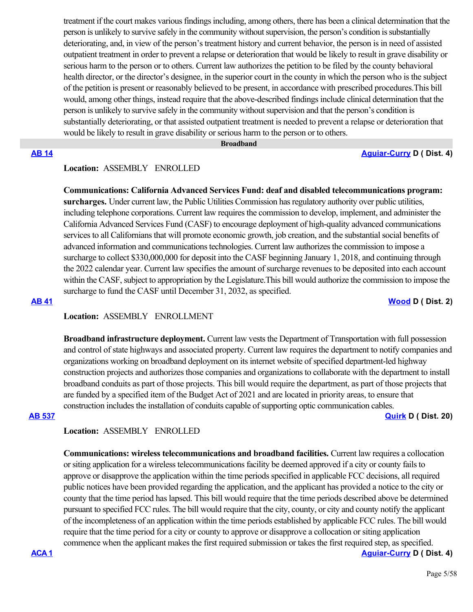treatment if the court makes various findings including, among others, there has been a clinical determination that the person is unlikely to survive safely in the community without supervision, the person's condition is substantially deteriorating, and, in view of the person's treatment history and current behavior, the person is in need of assisted outpatient treatment in order to prevent a relapse or deterioration that would be likely to result in grave disability or serious harm to the person or to others. Current law authorizes the petition to be filed by the county behavioral health director, or the director's designee, in the superior court in the county in which the person who is the subject of the petition is present or reasonably believed to be present, in accordance with prescribed procedures.This bill would, among other things, instead require that the above-described findings include clinical determination that the person is unlikely to survive safely in the community without supervision and that the person's condition is substantially deteriorating, or that assisted outpatient treatment is needed to prevent a relapse or deterioration that would be likely to result in grave disability or serious harm to the person or to others.

### **Broadband**

**[AB 14](https://ctweb.capitoltrack.com/public/publishbillinfo.aspx?bi=PJ7%2BepUVd85X%2BCqlJ9X9fOZ57l7wspB6zHmRkbn4yMvYIGYbRAK5Yp%2BxoAPIXInF) [Aguiar-Curry](https://a04.asmdc.org/) D ( Dist. 4)**

# **Location:**  ASSEMBLY ENROLLED

**Communications: California Advanced Services Fund: deaf and disabled telecommunications program: surcharges.** Under current law, the Public Utilities Commission has regulatory authority over public utilities, including telephone corporations. Current law requires the commission to develop, implement, and administer the California Advanced Services Fund (CASF) to encourage deployment of high-quality advanced communications services to all Californians that will promote economic growth, job creation, and the substantial social benefits of advanced information and communications technologies. Current law authorizes the commission to impose a surcharge to collect \$330,000,000 for deposit into the CASF beginning January 1, 2018, and continuing through the 2022 calendar year. Current law specifies the amount of surcharge revenues to be deposited into each account within the CASF, subject to appropriation by the Legislature.This bill would authorize the commission to impose the surcharge to fund the CASF until December 31, 2032, as specified.

### **[AB 41](https://ctweb.capitoltrack.com/public/publishbillinfo.aspx?bi=xubHGJ5SGOauO7oFV%2F9R4QdsMFyNpwS4N%2BpyO7EraJyCbKcP8mxNBgAK6oPnHaP5) [Wood](https://a02.asmdc.org/) D ( Dist. 2)**

### **Location:**  ASSEMBLY ENROLLMENT

**Broadband infrastructure deployment.** Current law vests the Department of Transportation with full possession and control of state highways and associated property. Current law requires the department to notify companies and organizations working on broadband deployment on its internet website of specified department-led highway construction projects and authorizes those companies and organizations to collaborate with the department to install broadband conduits as part of those projects. This bill would require the department, as part of those projects that are funded by a specified item of the Budget Act of 2021 and are located in priority areas, to ensure that construction includes the installation of conduits capable of supporting optic communication cables. **[AB 537](https://ctweb.capitoltrack.com/public/publishbillinfo.aspx?bi=n6ssUgO35gCzmkAn40AdCn1G4hKHO9TCt5NsD3JYXXN4Q06hFTRhQCzFeI%2FlQl9C) [Quirk](https://a20.asmdc.org/) D ( Dist. 20)**

### **Location:**  ASSEMBLY ENROLLED

**Communications: wireless telecommunications and broadband facilities.** Current law requires a collocation or siting application for a wireless telecommunications facility be deemed approved if a city or county fails to approve or disapprove the application within the time periods specified in applicable FCC decisions, all required public notices have been provided regarding the application, and the applicant has provided a notice to the city or county that the time period has lapsed. This bill would require that the time periods described above be determined pursuant to specified FCC rules. The bill would require that the city, county, or city and county notify the applicant of the incompleteness of an application within the time periods established by applicable FCC rules. The bill would require that the time period for a city or county to approve or disapprove a collocation or siting application commence when the applicant makes the first required submission or takes the first required step, as specified.

**[ACA 1](https://ctweb.capitoltrack.com/public/publishbillinfo.aspx?bi=vkAbgpBB9wOKQrx%2F6m3DJE4Lfzjw%2B69Lv7GxnaWpsGPIGgKDXm0xJSIkZsa8QVVB) [Aguiar-Curry](https://a04.asmdc.org/) D ( Dist. 4)**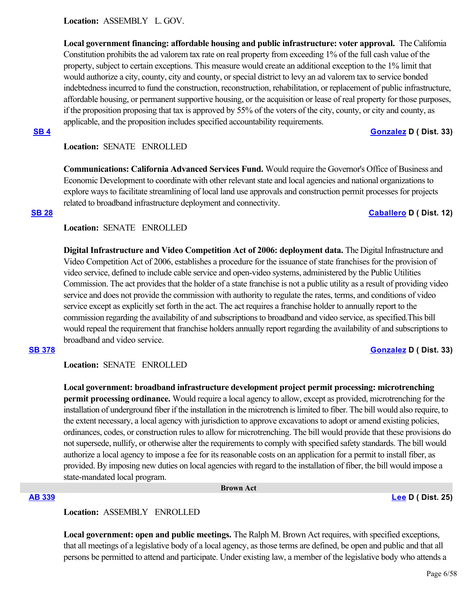**Location:**  ASSEMBLY L. GOV.

**Local government financing: affordable housing and public infrastructure: voter approval.** The California Constitution prohibits the ad valorem tax rate on real property from exceeding 1% of the full cash value of the property, subject to certain exceptions. This measure would create an additional exception to the 1% limit that would authorize a city, county, city and county, or special district to levy an ad valorem tax to service bonded indebtedness incurred to fund the construction, reconstruction, rehabilitation, or replacement of public infrastructure, affordable housing, or permanent supportive housing, or the acquisition or lease of real property for those purposes, if the proposition proposing that tax is approved by 55% of the voters of the city, county, or city and county, as applicable, and the proposition includes specified accountability requirements.

# **[SB 4](https://ctweb.capitoltrack.com/public/publishbillinfo.aspx?bi=n17IZrikIBh%2FzXsELpwcDw2Nyk6Lq31laZ7sm%2BE2WJVGCSNr6nIVEtjVwpqS2u28) [Gonzalez](https://sd33.senate.ca.gov/) D ( Dist. 33)**

# **Location:**  SENATE ENROLLED

**Communications: California Advanced Services Fund.** Would require the Governor's Office of Business and Economic Development to coordinate with other relevant state and local agencies and national organizations to explore ways to facilitate streamlining of local land use approvals and construction permit processes for projects related to broadband infrastructure deployment and connectivity.

# **[SB 28](https://ctweb.capitoltrack.com/public/publishbillinfo.aspx?bi=NP359BX%2B08%2BVSGivbyf4UmIq8rf0HIfNXwetd42%2FiD4MBo1JUps3F8zIDZzWCO%2BR) [Caballero](https://sd12.senate.ca.gov/) D ( Dist. 12)**

# **Location:**  SENATE ENROLLED

**Digital Infrastructure and Video Competition Act of 2006: deployment data.** The Digital Infrastructure and Video Competition Act of 2006, establishes a procedure for the issuance of state franchises for the provision of video service, defined to include cable service and open-video systems, administered by the Public Utilities Commission. The act provides that the holder of a state franchise is not a public utility as a result of providing video service and does not provide the commission with authority to regulate the rates, terms, and conditions of video service except as explicitly set forth in the act. The act requires a franchise holder to annually report to the commission regarding the availability of and subscriptions to broadband and video service, as specified.This bill would repeal the requirement that franchise holders annually report regarding the availability of and subscriptions to broadband and video service.

# **[SB 378](https://ctweb.capitoltrack.com/public/publishbillinfo.aspx?bi=CqimZ3QB0FvYoDVtkDCMH8O9J4X0KhsRVJf9u9pbMJhwuTh064iRK4qprwz3uGqg) [Gonzalez](https://sd33.senate.ca.gov/) D ( Dist. 33)**

### **Location:**  SENATE ENROLLED

**Local government: broadband infrastructure development project permit processing: microtrenching permit processing ordinance.** Would require a local agency to allow, except as provided, microtrenching for the installation of underground fiber if the installation in the microtrench is limited to fiber. The bill would also require, to the extent necessary, a local agency with jurisdiction to approve excavations to adopt or amend existing policies, ordinances, codes, or construction rules to allow for microtrenching. The bill would provide that these provisions do not supersede, nullify, or otherwise alter the requirements to comply with specified safety standards. The bill would authorize a local agency to impose a fee for its reasonable costs on an application for a permit to install fiber, as provided. By imposing new duties on local agencies with regard to the installation of fiber, the bill would impose a state-mandated local program.

### **Brown Act**

### **[AB 339](https://ctweb.capitoltrack.com/public/publishbillinfo.aspx?bi=ggPm0UOqkiznZ93e9FeBZPZrS3Kzaa3Fw%2FUJPhf2dQ5uke7%2FNTDlXRH%2Bc9EgG%2FOT) [Lee](https://a25.asmdc.org/) D ( Dist. 25)**

# **Location:**  ASSEMBLY ENROLLED

**Local government: open and public meetings.** The Ralph M. Brown Act requires, with specified exceptions, that all meetings of a legislative body of a local agency, as those terms are defined, be open and public and that all persons be permitted to attend and participate. Under existing law, a member of the legislative body who attends a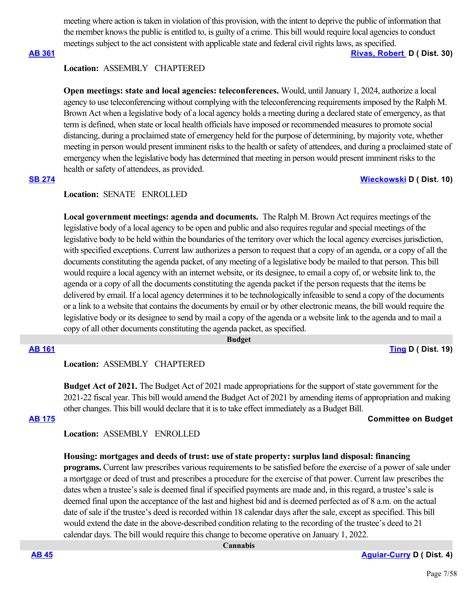meeting where action is taken in violation of this provision, with the intent to deprive the public of information that the member knows the public is entitled to, is guilty of a crime. This bill would require local agencies to conduct meetings subject to the act consistent with applicable state and federal civil rights laws, as specified.

**[AB 361](https://ctweb.capitoltrack.com/public/publishbillinfo.aspx?bi=x31iogdOG0BUmljsBZEo7i9JHe0W%2Fhc3%2B%2Bdlva6nxjBe7YJLnCPAcNm00YIgh5vg) [Rivas, Robert](https://a30.asmdc.org/)  D ( Dist. 30)**

# **Location:**  ASSEMBLY CHAPTERED

**Open meetings: state and local agencies: teleconferences.** Would, until January 1, 2024, authorize a local agency to use teleconferencing without complying with the teleconferencing requirements imposed by the Ralph M. Brown Act when a legislative body of a local agency holds a meeting during a declared state of emergency, as that term is defined, when state or local health officials have imposed or recommended measures to promote social distancing, during a proclaimed state of emergency held for the purpose of determining, by majority vote, whether meeting in person would present imminent risks to the health or safety of attendees, and during a proclaimed state of emergency when the legislative body has determined that meeting in person would present imminent risks to the health or safety of attendees, as provided.

# **[SB 274](https://ctweb.capitoltrack.com/public/publishbillinfo.aspx?bi=FybQeA7PycX7AXCWsCgIF8UNVwkinucPcWKklUkgbGE8gqsG81ihHdzvvjAryp4X) [Wieckowski](http://sd10.senate.ca.gov/) D ( Dist. 10)**

### **Location:**  SENATE ENROLLED

Local government meetings: agenda and documents. The Ralph M. Brown Act requires meetings of the legislative body of a local agency to be open and public and also requires regular and special meetings of the legislative body to be held within the boundaries of the territory over which the local agency exercises jurisdiction, with specified exceptions. Current law authorizes a person to request that a copy of an agenda, or a copy of all the documents constituting the agenda packet, of any meeting of a legislative body be mailed to that person. This bill would require a local agency with an internet website, or its designee, to email a copy of, or website link to, the agenda or a copy of all the documents constituting the agenda packet if the person requests that the items be delivered by email. If a local agency determines it to be technologically infeasible to send a copy of the documents or a link to a website that contains the documents by email or by other electronic means, the bill would require the legislative body or its designee to send by mail a copy of the agenda or a website link to the agenda and to mail a copy of all other documents constituting the agenda packet, as specified.

 **Budget**

**[AB 161](https://ctweb.capitoltrack.com/public/publishbillinfo.aspx?bi=6Ow%2FvaOkSaG3osPWiuGmKfrGwhwOPuBfXg11lOGZt%2FvCHwP5jZG3Uz0ej56kybYa) [Ting](https://a19.asmdc.org/) D ( Dist. 19)**

# **Location:**  ASSEMBLY CHAPTERED

**Budget Act of 2021.** The Budget Act of 2021 made appropriations for the support of state government for the 2021-22 fiscal year. This bill would amend the Budget Act of 2021 by amending items of appropriation and making other changes. This bill would declare that it is to take effect immediately as a Budget Bill.

### **[AB 175](https://ctweb.capitoltrack.com/public/publishbillinfo.aspx?bi=X%2B6C1FX7Nv96BoogD8fT2T1Vq89lplA54uFH9USaIjLq4XPgcDMBYxqTQBYvOgv3) Committee on Budget**

**Location:**  ASSEMBLY ENROLLED

# **Housing: mortgages and deeds of trust: use of state property: surplus land disposal: financing**

**programs.** Current law prescribes various requirements to be satisfied before the exercise of a power of sale under a mortgage or deed of trust and prescribes a procedure for the exercise of that power. Current law prescribes the dates when a trustee's sale is deemed final if specified payments are made and, in this regard, a trustee's sale is deemed final upon the acceptance of the last and highest bid and is deemed perfected as of 8 a.m. on the actual date of sale if the trustee's deed is recorded within 18 calendar days after the sale, except as specified. This bill would extend the date in the above-described condition relating to the recording of the trustee's deed to 21 calendar days. The bill would require this change to become operative on January 1, 2022.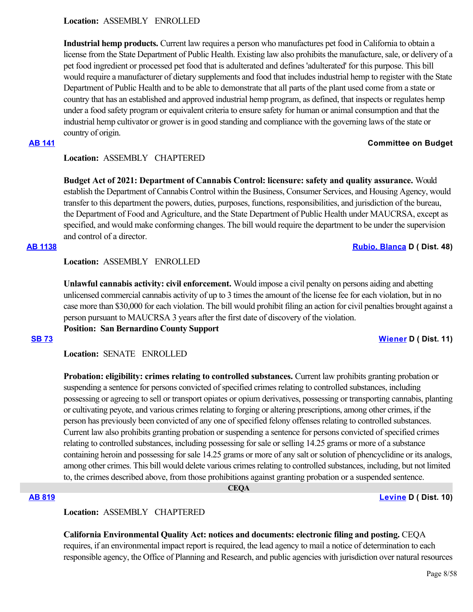**Location:**  ASSEMBLY ENROLLED

**Industrial hemp products.** Current law requires a person who manufactures pet food in California to obtain a license from the State Department of Public Health. Existing law also prohibits the manufacture, sale, or delivery of a pet food ingredient or processed pet food that is adulterated and defines 'adulterated' for this purpose. This bill would require a manufacturer of dietary supplements and food that includes industrial hemp to register with the State Department of Public Health and to be able to demonstrate that all parts of the plant used come from a state or country that has an established and approved industrial hemp program, as defined, that inspects or regulates hemp under a food safety program or equivalent criteria to ensure safety for human or animal consumption and that the industrial hemp cultivator or grower is in good standing and compliance with the governing laws of the state or country of origin.

# **[AB 141](https://ctweb.capitoltrack.com/public/publishbillinfo.aspx?bi=%2FYfClhJtYXcLHdnLkh5CdchcDBNCqOt4sN%2BRrerIdQ29JxkuTAp1VpcP0S6tlHwW) Committee on Budget**

# **Location:**  ASSEMBLY CHAPTERED

**Budget Act of 2021: Department of Cannabis Control: licensure: safety and quality assurance.** Would establish the Department of Cannabis Control within the Business, Consumer Services, and Housing Agency, would transfer to this department the powers, duties, purposes, functions, responsibilities, and jurisdiction of the bureau, the Department of Food and Agriculture, and the State Department of Public Health under MAUCRSA, except as specified, and would make conforming changes. The bill would require the department to be under the supervision and control of a director.

### **[AB 1138](https://ctweb.capitoltrack.com/public/publishbillinfo.aspx?bi=AA6hO6F%2FiTtdRUwmLI8rx%2BJyv%2FI3GtEcJ4FWuos5nE71voqc2C9LvAqLu478tY6%2F) [Rubio, Blanca](https://a48.asmdc.org/) D ( Dist. 48)**

**Location:**  ASSEMBLY ENROLLED

**Unlawful cannabis activity: civil enforcement.** Would impose a civil penalty on persons aiding and abetting unlicensed commercial cannabis activity of up to 3 times the amount of the license fee for each violation, but in no case more than \$30,000 for each violation. The bill would prohibit filing an action for civil penalties brought against a person pursuant to MAUCRSA 3 years after the first date of discovery of the violation. **Position: San Bernardino County Support**

### **[SB 73](https://ctweb.capitoltrack.com/public/publishbillinfo.aspx?bi=EKlkc3nzeBJwyg6zD6AfVfpmj88W7kbrR%2F%2BDgSJtZvofZT4eOhw9ig4FUNLro62x) [Wiener](http://sd11.senate.ca.gov/) D ( Dist. 11)**

**Location:**  SENATE ENROLLED

**Probation: eligibility: crimes relating to controlled substances.** Current law prohibits granting probation or suspending a sentence for persons convicted of specified crimes relating to controlled substances, including possessing or agreeing to sell or transport opiates or opium derivatives, possessing or transporting cannabis, planting or cultivating peyote, and various crimes relating to forging or altering prescriptions, among other crimes, if the person has previously been convicted of any one of specified felony offenses relating to controlled substances. Current law also prohibits granting probation or suspending a sentence for persons convicted of specified crimes relating to controlled substances, including possessing for sale or selling 14.25 grams or more of a substance containing heroin and possessing for sale 14.25 grams or more of any salt or solution of phencyclidine or its analogs, among other crimes. This bill would delete various crimes relating to controlled substances, including, but not limited to, the crimes described above, from those prohibitions against granting probation or a suspended sentence.

 **CEQA**

### **[AB 819](https://ctweb.capitoltrack.com/public/publishbillinfo.aspx?bi=ggxEEAY9SengD3J5UnLCHEOHcmFE0nOXkDWQ3PpjL43EISzJHA9k0T9Jm5QWpO4A) [Levine](https://a10.asmdc.org/) D ( Dist. 10)**

# **Location:**  ASSEMBLY CHAPTERED

**California Environmental Quality Act: notices and documents: electronic filing and posting.** CEQA requires, if an environmental impact report is required, the lead agency to mail a notice of determination to each responsible agency, the Office of Planning and Research, and public agencies with jurisdiction over natural resources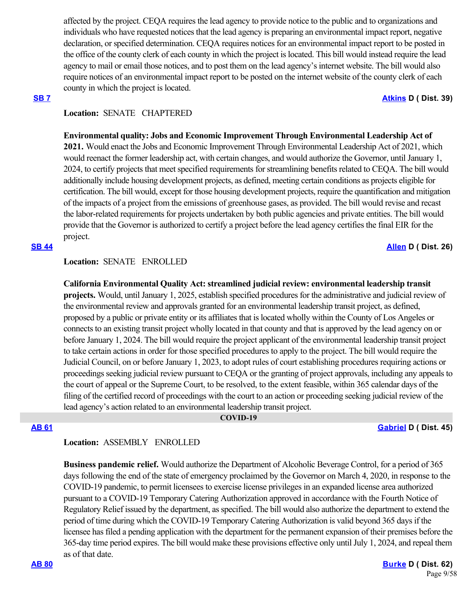affected by the project. CEQA requires the lead agency to provide notice to the public and to organizations and individuals who have requested notices that the lead agency is preparing an environmental impact report, negative declaration, or specified determination. CEQA requires notices for an environmental impact report to be posted in the office of the county clerk of each county in which the project is located. This bill would instead require the lead agency to mail or email those notices, and to post them on the lead agency's internet website. The bill would also require notices of an environmental impact report to be posted on the internet website of the county clerk of each county in which the project is located.

### **[SB 7](https://ctweb.capitoltrack.com/public/publishbillinfo.aspx?bi=UKWAK6FKq%2BRyHq3yyBuv2OOfjgJ9M5t4vPSgyp07CacRuEQt%2Fy8EHci7aKN%2Byber) [Atkins](http://sd39.senate.ca.gov/) D ( Dist. 39)**

# **Location:**  SENATE CHAPTERED

# **Environmental quality: Jobs and Economic Improvement Through Environmental Leadership Act of**

**2021.** Would enact the Jobs and Economic Improvement Through Environmental Leadership Act of 2021, which would reenact the former leadership act, with certain changes, and would authorize the Governor, until January 1, 2024, to certify projects that meet specified requirements for streamlining benefits related to CEQA. The bill would additionally include housing development projects, as defined, meeting certain conditions as projects eligible for certification. The bill would, except for those housing development projects, require the quantification and mitigation of the impacts of a project from the emissions of greenhouse gases, as provided. The bill would revise and recast the labor-related requirements for projects undertaken by both public agencies and private entities. The bill would provide that the Governor is authorized to certify a project before the lead agency certifies the final EIR for the project.

# **[SB 44](https://ctweb.capitoltrack.com/public/publishbillinfo.aspx?bi=2PFc%2FN3vEAgfsV8gCsTNrbCQ5V48Zz6Uxw0is7k6AYffv6Do3mLdEjMu2HKGSgbn) [Allen](http://sd26.senate.ca.gov/) D ( Dist. 26)**

# **Location:**  SENATE ENROLLED

**California Environmental Quality Act: streamlined judicial review: environmental leadership transit projects.** Would, until January 1, 2025, establish specified procedures for the administrative and judicial review of the environmental review and approvals granted for an environmental leadership transit project, as defined, proposed by a public or private entity or its affiliates that is located wholly within the County of Los Angeles or connects to an existing transit project wholly located in that county and that is approved by the lead agency on or before January 1, 2024. The bill would require the project applicant of the environmental leadership transit project to take certain actions in order for those specified procedures to apply to the project. The bill would require the Judicial Council, on or before January 1, 2023, to adopt rules of court establishing procedures requiring actions or proceedings seeking judicial review pursuant to CEQA or the granting of project approvals, including any appeals to the court of appeal or the Supreme Court, to be resolved, to the extent feasible, within 365 calendar days of the filing of the certified record of proceedings with the court to an action or proceeding seeking judicial review of the lead agency's action related to an environmental leadership transit project.

 **COVID-19**

**[AB 61](https://ctweb.capitoltrack.com/public/publishbillinfo.aspx?bi=g5wHfu0fziAygNn7L5A2oz5QdykDiLW554q%2FGu0WUKY5tlTji2dAmBAruLxeTlra) [Gabriel](https://a45.asmdc.org/) D ( Dist. 45)**

# **Location:**  ASSEMBLY ENROLLED

**Business pandemic relief.** Would authorize the Department of Alcoholic Beverage Control, for a period of 365 days following the end of the state of emergency proclaimed by the Governor on March 4, 2020, in response to the COVID-19 pandemic, to permit licensees to exercise license privileges in an expanded license area authorized pursuant to a COVID-19 Temporary Catering Authorization approved in accordance with the Fourth Notice of Regulatory Relief issued by the department, as specified. The bill would also authorize the department to extend the period of time during which the COVID-19 Temporary Catering Authorization is valid beyond 365 days if the licensee has filed a pending application with the department for the permanent expansion of their premises before the 365-day time period expires. The bill would make these provisions effective only until July 1, 2024, and repeal them as of that date.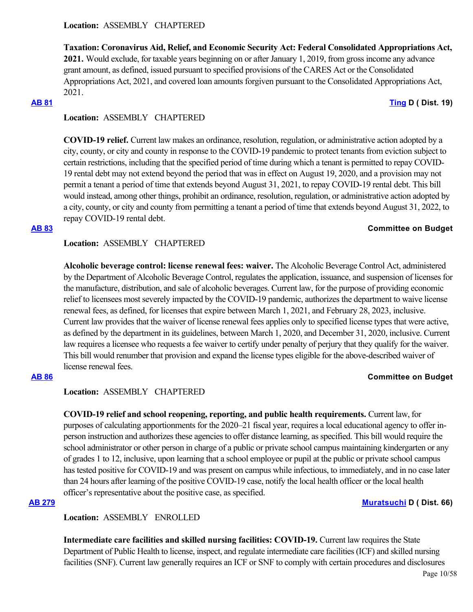# **Location:**  ASSEMBLY CHAPTERED

**Taxation: Coronavirus Aid, Relief, and Economic Security Act: Federal Consolidated Appropriations Act, 2021.** Would exclude, for taxable years beginning on or after January 1, 2019, from gross income any advance grant amount, as defined, issued pursuant to specified provisions of the CARES Act or the Consolidated Appropriations Act, 2021, and covered loan amounts forgiven pursuant to the Consolidated Appropriations Act, 2021.

**[AB 81](https://ctweb.capitoltrack.com/public/publishbillinfo.aspx?bi=%2BMblNnJpRI04%2BM0EKImi9YutSq106fXowTdxctlZ695NYEu9x%2F%2BmtzZMC9cSMdlm) [Ting](https://a19.asmdc.org/) D ( Dist. 19)**

# **Location:**  ASSEMBLY CHAPTERED

**COVID-19 relief.** Current law makes an ordinance, resolution, regulation, or administrative action adopted by a city, county, or city and county in response to the COVID-19 pandemic to protect tenants from eviction subject to certain restrictions, including that the specified period of time during which a tenant is permitted to repay COVID-19 rental debt may not extend beyond the period that was in effect on August 19, 2020, and a provision may not permit a tenant a period of time that extends beyond August 31, 2021, to repay COVID-19 rental debt. This bill would instead, among other things, prohibit an ordinance, resolution, regulation, or administrative action adopted by a city, county, or city and county from permitting a tenant a period of time that extends beyond August 31, 2022, to repay COVID-19 rental debt.

### **[AB 83](https://ctweb.capitoltrack.com/public/publishbillinfo.aspx?bi=bKgUK7VAR4QQxU0BKzJL4EXb0w%2B3x%2BVCWv%2BVeTw3gfDJsLXsMMzdh9519nBRSdGo) Committee on Budget**

# **Location:**  ASSEMBLY CHAPTERED

**Alcoholic beverage control: license renewal fees: waiver.** The Alcoholic Beverage Control Act, administered by the Department of Alcoholic Beverage Control, regulates the application, issuance, and suspension of licenses for the manufacture, distribution, and sale of alcoholic beverages. Current law, for the purpose of providing economic relief to licensees most severely impacted by the COVID-19 pandemic, authorizes the department to waive license renewal fees, as defined, for licenses that expire between March 1, 2021, and February 28, 2023, inclusive. Current law provides that the waiver of license renewal fees applies only to specified license types that were active, as defined by the department in its guidelines, between March 1, 2020, and December 31, 2020, inclusive. Current law requires a licensee who requests a fee waiver to certify under penalty of perjury that they qualify for the waiver. This bill would renumber that provision and expand the license types eligible for the above-described waiver of license renewal fees.

# **[AB 86](https://ctweb.capitoltrack.com/public/publishbillinfo.aspx?bi=U5shfJa9I0USdNbC3FJxlwp6ngQdxnTMDJiNnfWcmDGLx2JzMgKM%2BJn6ciXSnPxL) Committee on Budget**

# **Location:**  ASSEMBLY CHAPTERED

**COVID-19 relief and school reopening, reporting, and public health requirements.** Current law, for purposes of calculating apportionments for the 2020–21 fiscal year, requires a local educational agency to offer inperson instruction and authorizes these agencies to offer distance learning, as specified. This bill would require the school administrator or other person in charge of a public or private school campus maintaining kindergarten or any of grades 1 to 12, inclusive, upon learning that a school employee or pupil at the public or private school campus has tested positive for COVID-19 and was present on campus while infectious, to immediately, and in no case later than 24 hours after learning of the positive COVID-19 case, notify the local health officer or the local health officer's representative about the positive case, as specified.

### **[AB 279](https://ctweb.capitoltrack.com/public/publishbillinfo.aspx?bi=FT8PLHaFkjbi8FyOpMMPcH8RkyFo6fBnkKkYlA7dTDRBwm5IY%2FEVhp63Y1ZHVEI7) [Muratsuchi](https://a66.asmdc.org/) D ( Dist. 66)**

# **Location:**  ASSEMBLY ENROLLED

**Intermediate care facilities and skilled nursing facilities: COVID-19.** Current law requires the State Department of Public Health to license, inspect, and regulate intermediate care facilities (ICF) and skilled nursing facilities (SNF). Current law generally requires an ICF or SNF to comply with certain procedures and disclosures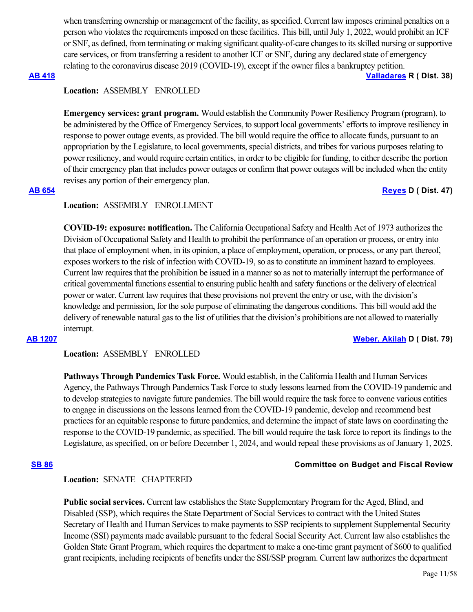when transferring ownership or management of the facility, as specified. Current law imposes criminal penalties on a person who violates the requirements imposed on these facilities. This bill, until July 1, 2022, would prohibit an ICF or SNF, as defined, from terminating or making significant quality-of-care changes to its skilled nursing or supportive care services, or from transferring a resident to another ICF or SNF, during any declared state of emergency relating to the coronavirus disease 2019 (COVID-19), except if the owner files a bankruptcy petition.

### **[AB 418](https://ctweb.capitoltrack.com/public/publishbillinfo.aspx?bi=GnU%2BOEQEzmHVUc7wIVVEiISDCMew6AYOCOY1SW3zVsNYuKJ%2FXiMsYUj1nO8i9xP2) [Valladares](https://ad38.asmrc.org/) R ( Dist. 38)**

# **Location:**  ASSEMBLY ENROLLED

**Emergency services: grant program.** Would establish the Community Power Resiliency Program (program), to be administered by the Office of Emergency Services, to support local governments' efforts to improve resiliency in response to power outage events, as provided. The bill would require the office to allocate funds, pursuant to an appropriation by the Legislature, to local governments, special districts, and tribes for various purposes relating to power resiliency, and would require certain entities, in order to be eligible for funding, to either describe the portion of their emergency plan that includes power outages or confirm that power outages will be included when the entity revises any portion of their emergency plan.

### **[AB 654](https://ctweb.capitoltrack.com/public/publishbillinfo.aspx?bi=o%2F3TT8SYL1CjMs3fLpbKW1d9450HJVC7e8UHecOZWNH9njbsFHcrwVz%2FMciMatKB) [Reyes](https://a47.asmdc.org/) D ( Dist. 47)**

# **Location:**  ASSEMBLY ENROLLMENT

**COVID-19: exposure: notification.** The California Occupational Safety and Health Act of 1973 authorizes the Division of Occupational Safety and Health to prohibit the performance of an operation or process, or entry into that place of employment when, in its opinion, a place of employment, operation, or process, or any part thereof, exposes workers to the risk of infection with COVID-19, so as to constitute an imminent hazard to employees. Current law requires that the prohibition be issued in a manner so as not to materially interrupt the performance of critical governmental functions essential to ensuring public health and safety functions or the delivery of electrical power or water. Current law requires that these provisions not prevent the entry or use, with the division's knowledge and permission, for the sole purpose of eliminating the dangerous conditions. This bill would add the delivery of renewable natural gas to the list of utilities that the division's prohibitions are not allowed to materially interrupt.

**[AB 1207](https://ctweb.capitoltrack.com/public/publishbillinfo.aspx?bi=CsP8U%2BIyTizFGAK0gayqkRCZuVTza7dklT3YDycyk4efJJPY6AxsYtZJ8qU5lkp4) [Weber, Akilah](https://a79.asmdc.org/) D ( Dist. 79)**

### **Location:**  ASSEMBLY ENROLLED

**Pathways Through Pandemics Task Force.** Would establish, in the California Health and Human Services Agency, the Pathways Through Pandemics Task Force to study lessons learned from the COVID-19 pandemic and to develop strategies to navigate future pandemics. The bill would require the task force to convene various entities to engage in discussions on the lessons learned from the COVID-19 pandemic, develop and recommend best practices for an equitable response to future pandemics, and determine the impact of state laws on coordinating the response to the COVID-19 pandemic, as specified. The bill would require the task force to report its findings to the Legislature, as specified, on or before December 1, 2024, and would repeal these provisions as of January 1, 2025.

### **[SB 86](https://ctweb.capitoltrack.com/public/publishbillinfo.aspx?bi=iYFUAvPUutxqCit0%2B4xjGlPcUjFeQiVlGIPSS4c%2BB1kNgAALATaxORwiUwtYOoHa) Committee on Budget and Fiscal Review**

### **Location:**  SENATE CHAPTERED

**Public social services.** Current law establishes the State Supplementary Program for the Aged, Blind, and Disabled (SSP), which requires the State Department of Social Services to contract with the United States Secretary of Health and Human Services to make payments to SSP recipients to supplement Supplemental Security Income (SSI) payments made available pursuant to the federal Social Security Act. Current law also establishes the Golden State Grant Program, which requires the department to make a one-time grant payment of \$600 to qualified grant recipients, including recipients of benefits under the SSI/SSP program. Current law authorizes the department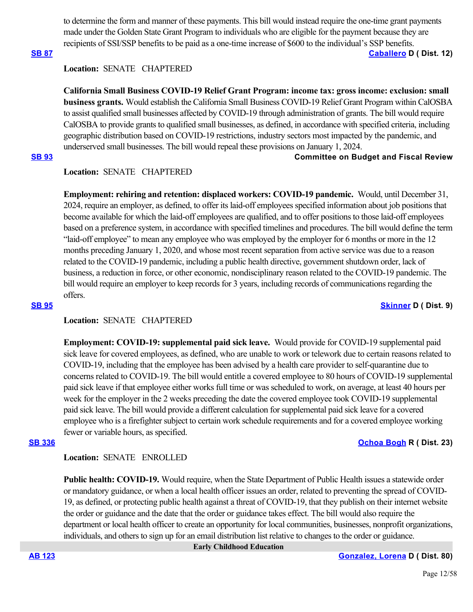to determine the form and manner of these payments. This bill would instead require the one-time grant payments made under the Golden State Grant Program to individuals who are eligible for the payment because they are recipients of SSI/SSP benefits to be paid as a one-time increase of \$600 to the individual's SSP benefits.

**[SB 87](https://ctweb.capitoltrack.com/public/publishbillinfo.aspx?bi=eXVeP59s3x2dcSrAj%2FSsW9oOdzYmVh3nNnXsZPsb%2Bt81KO9RDL1twC%2BqsXas%2FmGk) [Caballero](https://sd12.senate.ca.gov/) D ( Dist. 12)**

# **Location:**  SENATE CHAPTERED

**California Small Business COVID-19 Relief Grant Program: income tax: gross income: exclusion: small business grants.** Would establish the California Small Business COVID-19 Relief Grant Program within CalOSBA to assist qualified small businesses affected by COVID-19 through administration of grants. The bill would require CalOSBA to provide grants to qualified small businesses, as defined, in accordance with specified criteria, including geographic distribution based on COVID-19 restrictions, industry sectors most impacted by the pandemic, and underserved small businesses. The bill would repeal these provisions on January 1, 2024.

### **[SB 93](https://ctweb.capitoltrack.com/public/publishbillinfo.aspx?bi=bGyPHPhaVgHMMrtS1WJARrh8zBKR6MMNwEzhdyR6GoriD2CvzlhtIRVCq48xDfRp) Committee on Budget and Fiscal Review**

# **Location:**  SENATE CHAPTERED

**Employment: rehiring and retention: displaced workers: COVID-19 pandemic.** Would, until December 31, 2024, require an employer, as defined, to offer its laid-off employees specified information about job positions that become available for which the laid-off employees are qualified, and to offer positions to those laid-off employees based on a preference system, in accordance with specified timelines and procedures. The bill would define the term "laid-off employee" to mean any employee who was employed by the employer for 6 months or more in the 12 months preceding January 1, 2020, and whose most recent separation from active service was due to a reason related to the COVID-19 pandemic, including a public health directive, government shutdown order, lack of business, a reduction in force, or other economic, nondisciplinary reason related to the COVID-19 pandemic. The bill would require an employer to keep records for 3 years, including records of communications regarding the offers.

**[SB 95](https://ctweb.capitoltrack.com/public/publishbillinfo.aspx?bi=By5kXj0k0lH%2FbI7euVEfyAD7yVMBJ44dMMqKvtI%2F5bFEBXKBGKiIIA0sq1Ah25VI) [Skinner](http://sd09.senate.ca.gov/) D ( Dist. 9)**

### **Location:**  SENATE CHAPTERED

**Employment: COVID-19: supplemental paid sick leave.** Would provide for COVID-19 supplemental paid sick leave for covered employees, as defined, who are unable to work or telework due to certain reasons related to COVID-19, including that the employee has been advised by a health care provider to self-quarantine due to concerns related to COVID-19. The bill would entitle a covered employee to 80 hours of COVID-19 supplemental paid sick leave if that employee either works full time or was scheduled to work, on average, at least 40 hours per week for the employer in the 2 weeks preceding the date the covered employee took COVID-19 supplemental paid sick leave. The bill would provide a different calculation for supplemental paid sick leave for a covered employee who is a firefighter subject to certain work schedule requirements and for a covered employee working fewer or variable hours, as specified.

### **[SB 336](https://ctweb.capitoltrack.com/public/publishbillinfo.aspx?bi=niZ0CSE40hnqV3OTVAREG%2FOJwt2hEIHd7VoaQUsluFJ%2FklldssIh3Cd8G3VTCwo3) [Ochoa Bogh](https://ochoa-bogh.cssrc.us/) R ( Dist. 23)**

**Location:**  SENATE ENROLLED

**Public health: COVID-19.** Would require, when the State Department of Public Health issues a statewide order or mandatory guidance, or when a local health officer issues an order, related to preventing the spread of COVID-19, as defined, or protecting public health against a threat of COVID-19, that they publish on their internet website the order or guidance and the date that the order or guidance takes effect. The bill would also require the department or local health officer to create an opportunity for local communities, businesses, nonprofit organizations, individuals, and others to sign up for an email distribution list relative to changes to the order or guidance.

 **Early Childhood Education**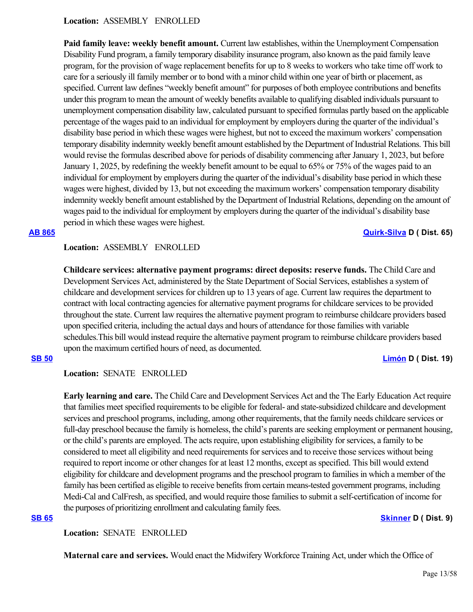### **Location:**  ASSEMBLY ENROLLED

**Paid family leave: weekly benefit amount.** Current law establishes, within the Unemployment Compensation Disability Fund program, a family temporary disability insurance program, also known as the paid family leave program, for the provision of wage replacement benefits for up to 8 weeks to workers who take time off work to care for a seriously ill family member or to bond with a minor child within one year of birth or placement, as specified. Current law defines "weekly benefit amount" for purposes of both employee contributions and benefits under this program to mean the amount of weekly benefits available to qualifying disabled individuals pursuant to unemployment compensation disability law, calculated pursuant to specified formulas partly based on the applicable percentage of the wages paid to an individual for employment by employers during the quarter of the individual's disability base period in which these wages were highest, but not to exceed the maximum workers' compensation temporary disability indemnity weekly benefit amount established by the Department of Industrial Relations. This bill would revise the formulas described above for periods of disability commencing after January 1, 2023, but before January 1, 2025, by redefining the weekly benefit amount to be equal to 65% or 75% of the wages paid to an individual for employment by employers during the quarter of the individual's disability base period in which these wages were highest, divided by 13, but not exceeding the maximum workers' compensation temporary disability indemnity weekly benefit amount established by the Department of Industrial Relations, depending on the amount of wages paid to the individual for employment by employers during the quarter of the individual's disability base period in which these wages were highest.

**[AB 865](https://ctweb.capitoltrack.com/public/publishbillinfo.aspx?bi=EghXc0OGT3%2FBZT%2FS4kmMB3Qg9Xfrtm2f4ulqI%2BIPxxC6uq2iVMqizE0kJOE7%2BaHF) [Quirk-Silva](https://a65.asmdc.org/) D ( Dist. 65)**

### **Location:**  ASSEMBLY ENROLLED

**Childcare services: alternative payment programs: direct deposits: reserve funds.** The Child Care and Development Services Act, administered by the State Department of Social Services, establishes a system of childcare and development services for children up to 13 years of age. Current law requires the department to contract with local contracting agencies for alternative payment programs for childcare services to be provided throughout the state. Current law requires the alternative payment program to reimburse childcare providers based upon specified criteria, including the actual days and hours of attendance for those families with variable schedules.This bill would instead require the alternative payment program to reimburse childcare providers based upon the maximum certified hours of need, as documented.

**[SB 50](https://ctweb.capitoltrack.com/public/publishbillinfo.aspx?bi=Abh62%2BdH60xM40%2FKrVN81VMZWiEH%2BVlu7Xg2C%2BPSiDmB8r7oa8tOxPYiMeN9emP4) [Limón](http://sd19.senate.ca.gov/) D ( Dist. 19)**

### **Location:**  SENATE ENROLLED

**Early learning and care.** The Child Care and Development Services Act and the The Early Education Act require that families meet specified requirements to be eligible for federal- and state-subsidized childcare and development services and preschool programs, including, among other requirements, that the family needs childcare services or full-day preschool because the family is homeless, the child's parents are seeking employment or permanent housing, or the child's parents are employed. The acts require, upon establishing eligibility for services, a family to be considered to meet all eligibility and need requirements for services and to receive those services without being required to report income or other changes for at least 12 months, except as specified. This bill would extend eligibility for childcare and development programs and the preschool program to families in which a member of the family has been certified as eligible to receive benefits from certain means-tested government programs, including Medi-Cal and CalFresh, as specified, and would require those families to submit a self-certification of income for the purposes of prioritizing enrollment and calculating family fees.

### **[SB 65](https://ctweb.capitoltrack.com/public/publishbillinfo.aspx?bi=%2FHOWLwGK1XZNtjiJeTXDh%2Bbm7GAj6oVDVuqYUpCneby%2FhpFImvN6Gt97ueuNieQD) [Skinner](http://sd09.senate.ca.gov/) D ( Dist. 9)**

**Location:**  SENATE ENROLLED

**Maternal care and services.** Would enact the Midwifery Workforce Training Act, under which the Office of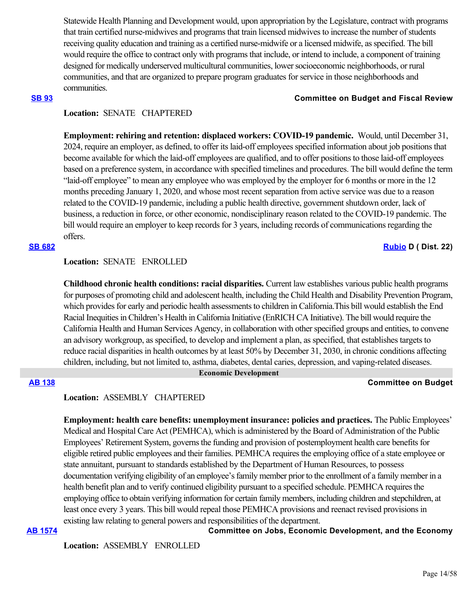Statewide Health Planning and Development would, upon appropriation by the Legislature, contract with programs that train certified nurse-midwives and programs that train licensed midwives to increase the number of students receiving quality education and training as a certified nurse-midwife or a licensed midwife, as specified. The bill would require the office to contract only with programs that include, or intend to include, a component of training designed for medically underserved multicultural communities, lower socioeconomic neighborhoods, or rural communities, and that are organized to prepare program graduates for service in those neighborhoods and communities.

### **[SB 93](https://ctweb.capitoltrack.com/public/publishbillinfo.aspx?bi=bGyPHPhaVgHMMrtS1WJARrh8zBKR6MMNwEzhdyR6GoriD2CvzlhtIRVCq48xDfRp) Committee on Budget and Fiscal Review**

### **Location:**  SENATE CHAPTERED

**Employment: rehiring and retention: displaced workers: COVID-19 pandemic.** Would, until December 31, 2024, require an employer, as defined, to offer its laid-off employees specified information about job positions that become available for which the laid-off employees are qualified, and to offer positions to those laid-off employees based on a preference system, in accordance with specified timelines and procedures. The bill would define the term "laid-off employee" to mean any employee who was employed by the employer for 6 months or more in the 12 months preceding January 1, 2020, and whose most recent separation from active service was due to a reason related to the COVID-19 pandemic, including a public health directive, government shutdown order, lack of business, a reduction in force, or other economic, nondisciplinary reason related to the COVID-19 pandemic. The bill would require an employer to keep records for 3 years, including records of communications regarding the offers.

# **[SB 682](https://ctweb.capitoltrack.com/public/publishbillinfo.aspx?bi=7bcKPH1zLWjWn5YFrZvVuPmnr451mt3CfthO%2FZ%2B4uD%2FBoaYOu176yP7SuotplQ%2Bj) [Rubio](http://sd22.senate.ca.gov/) D ( Dist. 22)**

### **Location:**  SENATE ENROLLED

**Childhood chronic health conditions: racial disparities.** Current law establishes various public health programs for purposes of promoting child and adolescent health, including the Child Health and Disability Prevention Program, which provides for early and periodic health assessments to children in California.This bill would establish the End Racial Inequities in Children's Health in California Initiative (EnRICH CA Initiative). The bill would require the California Health and Human Services Agency, in collaboration with other specified groups and entities, to convene an advisory workgroup, as specified, to develop and implement a plan, as specified, that establishes targets to reduce racial disparities in health outcomes by at least 50% by December 31, 2030, in chronic conditions affecting children, including, but not limited to, asthma, diabetes, dental caries, depression, and vaping-related diseases.

### **Economic Development**

# **[AB 138](https://ctweb.capitoltrack.com/public/publishbillinfo.aspx?bi=TNom9pbApZwigkd2v3LVMA8TZWkCfimLlPaE81QsZhdbty9bQxIcFthPhVX3Og6D) Committee on Budget**

### **Location:**  ASSEMBLY CHAPTERED

**Employment: health care benefits: unemployment insurance: policies and practices.** The Public Employees' Medical and Hospital Care Act (PEMHCA), which is administered by the Board of Administration of the Public Employees' Retirement System, governs the funding and provision of postemployment health care benefits for eligible retired public employees and their families. PEMHCA requires the employing office of a state employee or state annuitant, pursuant to standards established by the Department of Human Resources, to possess documentation verifying eligibility of an employee's family member prior to the enrollment of a family member in a health benefit plan and to verify continued eligibility pursuant to a specified schedule. PEMHCA requires the employing office to obtain verifying information for certain family members, including children and stepchildren, at least once every 3 years. This bill would repeal those PEMHCA provisions and reenact revised provisions in existing law relating to general powers and responsibilities of the department.

**[AB 1574](https://ctweb.capitoltrack.com/public/publishbillinfo.aspx?bi=WcNAX1VhC7eJFt1rotfqgYPspurjOdTMl3t5zVn47enChV1Cb2%2BU3D4Jjb2TJdKh) Committee on Jobs, Economic Development, and the Economy**

**Location:**  ASSEMBLY ENROLLED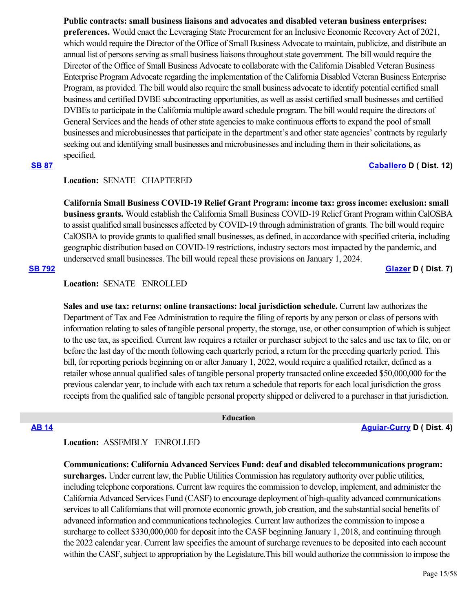**Public contracts: small business liaisons and advocates and disabled veteran business enterprises: preferences.** Would enact the Leveraging State Procurement for an Inclusive Economic Recovery Act of 2021, which would require the Director of the Office of Small Business Advocate to maintain, publicize, and distribute an annual list of persons serving as small business liaisons throughout state government. The bill would require the Director of the Office of Small Business Advocate to collaborate with the California Disabled Veteran Business Enterprise Program Advocate regarding the implementation of the California Disabled Veteran Business Enterprise Program, as provided. The bill would also require the small business advocate to identify potential certified small business and certified DVBE subcontracting opportunities, as well as assist certified small businesses and certified DVBEs to participate in the California multiple award schedule program. The bill would require the directors of General Services and the heads of other state agencies to make continuous efforts to expand the pool of small businesses and microbusinesses that participate in the department's and other state agencies' contracts by regularly seeking out and identifying small businesses and microbusinesses and including them in their solicitations, as specified.

# **[SB 87](https://ctweb.capitoltrack.com/public/publishbillinfo.aspx?bi=eXVeP59s3x2dcSrAj%2FSsW9oOdzYmVh3nNnXsZPsb%2Bt81KO9RDL1twC%2BqsXas%2FmGk) [Caballero](https://sd12.senate.ca.gov/) D ( Dist. 12)**

# **Location:**  SENATE CHAPTERED

**California Small Business COVID-19 Relief Grant Program: income tax: gross income: exclusion: small business grants.** Would establish the California Small Business COVID-19 Relief Grant Program within CalOSBA to assist qualified small businesses affected by COVID-19 through administration of grants. The bill would require CalOSBA to provide grants to qualified small businesses, as defined, in accordance with specified criteria, including geographic distribution based on COVID-19 restrictions, industry sectors most impacted by the pandemic, and underserved small businesses. The bill would repeal these provisions on January 1, 2024.

**[SB 792](https://ctweb.capitoltrack.com/public/publishbillinfo.aspx?bi=TfEt%2BGNl1fT%2BJZ3cNmmt4zyoH%2FuIryak7Fc6pQ%2BcC6pBW7%2BA2uDvO0Gvx6c3Z576) [Glazer](http://sd07.senate.ca.gov/) D ( Dist. 7)**

# **Location:**  SENATE ENROLLED

**Sales and use tax: returns: online transactions: local jurisdiction schedule.** Current law authorizes the Department of Tax and Fee Administration to require the filing of reports by any person or class of persons with information relating to sales of tangible personal property, the storage, use, or other consumption of which is subject to the use tax, as specified. Current law requires a retailer or purchaser subject to the sales and use tax to file, on or before the last day of the month following each quarterly period, a return for the preceding quarterly period. This bill, for reporting periods beginning on or after January 1, 2022, would require a qualified retailer, defined as a retailer whose annual qualified sales of tangible personal property transacted online exceeded \$50,000,000 for the previous calendar year, to include with each tax return a schedule that reports for each local jurisdiction the gross receipts from the qualified sale of tangible personal property shipped or delivered to a purchaser in that jurisdiction.

 **Education**

**[AB 14](https://ctweb.capitoltrack.com/public/publishbillinfo.aspx?bi=PJ7%2BepUVd85X%2BCqlJ9X9fOZ57l7wspB6zHmRkbn4yMvYIGYbRAK5Yp%2BxoAPIXInF) [Aguiar-Curry](https://a04.asmdc.org/) D ( Dist. 4)**

# **Location:**  ASSEMBLY ENROLLED

**Communications: California Advanced Services Fund: deaf and disabled telecommunications program: surcharges.** Under current law, the Public Utilities Commission has regulatory authority over public utilities, including telephone corporations. Current law requires the commission to develop, implement, and administer the California Advanced Services Fund (CASF) to encourage deployment of high-quality advanced communications services to all Californians that will promote economic growth, job creation, and the substantial social benefits of advanced information and communications technologies. Current law authorizes the commission to impose a surcharge to collect \$330,000,000 for deposit into the CASF beginning January 1, 2018, and continuing through the 2022 calendar year. Current law specifies the amount of surcharge revenues to be deposited into each account within the CASF, subject to appropriation by the Legislature.This bill would authorize the commission to impose the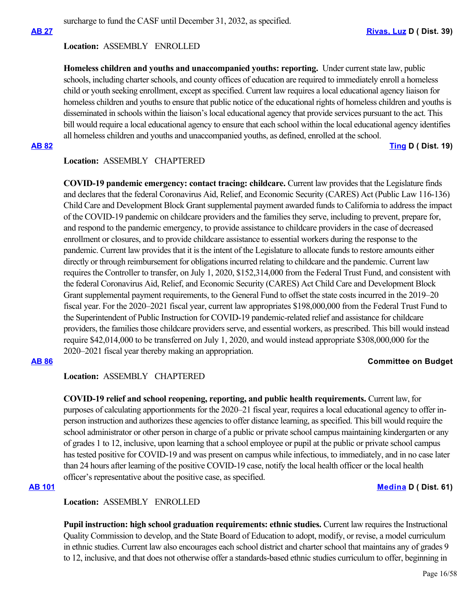# **Location:**  ASSEMBLY ENROLLED

**Homeless children and youths and unaccompanied youths: reporting.** Under current state law, public schools, including charter schools, and county offices of education are required to immediately enroll a homeless child or youth seeking enrollment, except as specified. Current law requires a local educational agency liaison for homeless children and youths to ensure that public notice of the educational rights of homeless children and youths is disseminated in schools within the liaison's local educational agency that provide services pursuant to the act. This bill would require a local educational agency to ensure that each school within the local educational agency identifies all homeless children and youths and unaccompanied youths, as defined, enrolled at the school.

**[AB 82](https://ctweb.capitoltrack.com/public/publishbillinfo.aspx?bi=E%2BCmfrSOosAGg12%2FPPhzAyV2luKZag31olam5r9Uwg9LlP4N49u9%2B5vJPJRMyaoY) [Ting](https://a19.asmdc.org/) D ( Dist. 19)**

# **Location:**  ASSEMBLY CHAPTERED

**COVID-19 pandemic emergency: contact tracing: childcare.** Current law provides that the Legislature finds and declares that the federal Coronavirus Aid, Relief, and Economic Security (CARES) Act (Public Law 116-136) Child Care and Development Block Grant supplemental payment awarded funds to California to address the impact of the COVID-19 pandemic on childcare providers and the families they serve, including to prevent, prepare for, and respond to the pandemic emergency, to provide assistance to childcare providers in the case of decreased enrollment or closures, and to provide childcare assistance to essential workers during the response to the pandemic. Current law provides that it is the intent of the Legislature to allocate funds to restore amounts either directly or through reimbursement for obligations incurred relating to childcare and the pandemic. Current law requires the Controller to transfer, on July 1, 2020, \$152,314,000 from the Federal Trust Fund, and consistent with the federal Coronavirus Aid, Relief, and Economic Security (CARES) Act Child Care and Development Block Grant supplemental payment requirements, to the General Fund to offset the state costs incurred in the 2019–20 fiscal year. For the 2020–2021 fiscal year, current law appropriates \$198,000,000 from the Federal Trust Fund to the Superintendent of Public Instruction for COVID-19 pandemic-related relief and assistance for childcare providers, the families those childcare providers serve, and essential workers, as prescribed. This bill would instead require \$42,014,000 to be transferred on July 1, 2020, and would instead appropriate \$308,000,000 for the 2020–2021 fiscal year thereby making an appropriation.

# **[AB 86](https://ctweb.capitoltrack.com/public/publishbillinfo.aspx?bi=U5shfJa9I0USdNbC3FJxlwp6ngQdxnTMDJiNnfWcmDGLx2JzMgKM%2BJn6ciXSnPxL) Committee on Budget**

# **Location:**  ASSEMBLY CHAPTERED

**COVID-19 relief and school reopening, reporting, and public health requirements.** Current law, for purposes of calculating apportionments for the 2020–21 fiscal year, requires a local educational agency to offer inperson instruction and authorizes these agencies to offer distance learning, as specified. This bill would require the school administrator or other person in charge of a public or private school campus maintaining kindergarten or any of grades 1 to 12, inclusive, upon learning that a school employee or pupil at the public or private school campus has tested positive for COVID-19 and was present on campus while infectious, to immediately, and in no case later than 24 hours after learning of the positive COVID-19 case, notify the local health officer or the local health officer's representative about the positive case, as specified.

### **[AB 101](https://ctweb.capitoltrack.com/public/publishbillinfo.aspx?bi=SA4m82kQRt91xhZah5wMkJvEaNvU6tVMF9cwyYaPAA9WvOmX8cKDd91eYyEQCa1Y) [Medina](https://a61.asmdc.org/) D ( Dist. 61)**

# **Location:**  ASSEMBLY ENROLLED

**Pupil instruction: high school graduation requirements: ethnic studies.** Current law requires the Instructional Quality Commission to develop, and the State Board of Education to adopt, modify, or revise, a model curriculum in ethnic studies. Current law also encourages each school district and charter school that maintains any of grades 9 to 12, inclusive, and that does not otherwise offer a standards-based ethnic studies curriculum to offer, beginning in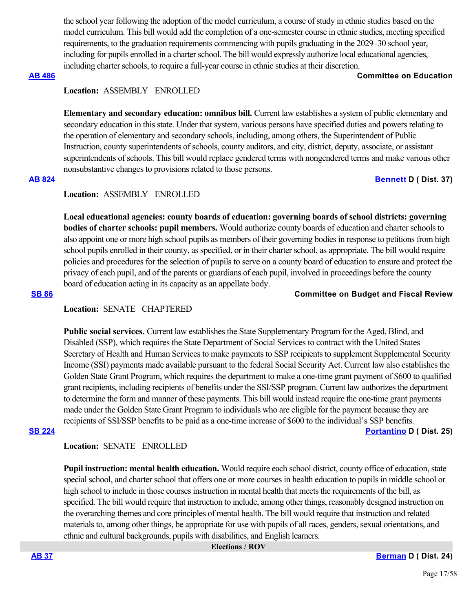the school year following the adoption of the model curriculum, a course of study in ethnic studies based on the model curriculum. This bill would add the completion of a one-semester course in ethnic studies, meeting specified requirements, to the graduation requirements commencing with pupils graduating in the 2029–30 school year, including for pupils enrolled in a charter school. The bill would expressly authorize local educational agencies, including charter schools, to require a full-year course in ethnic studies at their discretion.

### **[AB 486](https://ctweb.capitoltrack.com/public/publishbillinfo.aspx?bi=oubEKQu%2B09yA7iGGyDdveZk9Ubdfz9%2B70Z9v0%2FVSsmx4D4qjalwV4suU6pE7zdS4) Committee on Education**

# **Location:**  ASSEMBLY ENROLLED

**Elementary and secondary education: omnibus bill.** Current law establishes a system of public elementary and secondary education in this state. Under that system, various persons have specified duties and powers relating to the operation of elementary and secondary schools, including, among others, the Superintendent of Public Instruction, county superintendents of schools, county auditors, and city, district, deputy, associate, or assistant superintendents of schools. This bill would replace gendered terms with nongendered terms and make various other nonsubstantive changes to provisions related to those persons. **[AB 824](https://ctweb.capitoltrack.com/public/publishbillinfo.aspx?bi=4w7a3x0Xnb6ieHQbTAIHmo1VBpUQbMo4UrUe0AkOzA%2FiJwCzrWYv38POGE4J062U) [Bennett](https://a37.asmdc.org/) D ( Dist. 37)**

# **Location:**  ASSEMBLY ENROLLED

**Local educational agencies: county boards of education: governing boards of school districts: governing bodies of charter schools: pupil members.** Would authorize county boards of education and charter schools to also appoint one or more high school pupils as members of their governing bodies in response to petitions from high school pupils enrolled in their county, as specified, or in their charter school, as appropriate. The bill would require policies and procedures for the selection of pupils to serve on a county board of education to ensure and protect the privacy of each pupil, and of the parents or guardians of each pupil, involved in proceedings before the county board of education acting in its capacity as an appellate body.

### **[SB 86](https://ctweb.capitoltrack.com/public/publishbillinfo.aspx?bi=iYFUAvPUutxqCit0%2B4xjGlPcUjFeQiVlGIPSS4c%2BB1kNgAALATaxORwiUwtYOoHa) Committee on Budget and Fiscal Review**

# **Location:**  SENATE CHAPTERED

**Public social services.** Current law establishes the State Supplementary Program for the Aged, Blind, and Disabled (SSP), which requires the State Department of Social Services to contract with the United States Secretary of Health and Human Services to make payments to SSP recipients to supplement Supplemental Security Income (SSI) payments made available pursuant to the federal Social Security Act. Current law also establishes the Golden State Grant Program, which requires the department to make a one-time grant payment of \$600 to qualified grant recipients, including recipients of benefits under the SSI/SSP program. Current law authorizes the department to determine the form and manner of these payments. This bill would instead require the one-time grant payments made under the Golden State Grant Program to individuals who are eligible for the payment because they are recipients of SSI/SSP benefits to be paid as a one-time increase of \$600 to the individual's SSP benefits. **[SB 224](https://ctweb.capitoltrack.com/public/publishbillinfo.aspx?bi=DM6voUCgLw3vG9tn2ohUlSz%2BYm%2BUwDm9SUq7pJ8T81nrMTjQbjemiDsQefclpumo) [Portantino](http://sd25.senate.ca.gov/) D ( Dist. 25)**

# **Location:**  SENATE ENROLLED

**Pupil instruction: mental health education.** Would require each school district, county office of education, state special school, and charter school that offers one or more courses in health education to pupils in middle school or high school to include in those courses instruction in mental health that meets the requirements of the bill, as specified. The bill would require that instruction to include, among other things, reasonably designed instruction on the overarching themes and core principles of mental health. The bill would require that instruction and related materials to, among other things, be appropriate for use with pupils of all races, genders, sexual orientations, and ethnic and cultural backgrounds, pupils with disabilities, and English learners.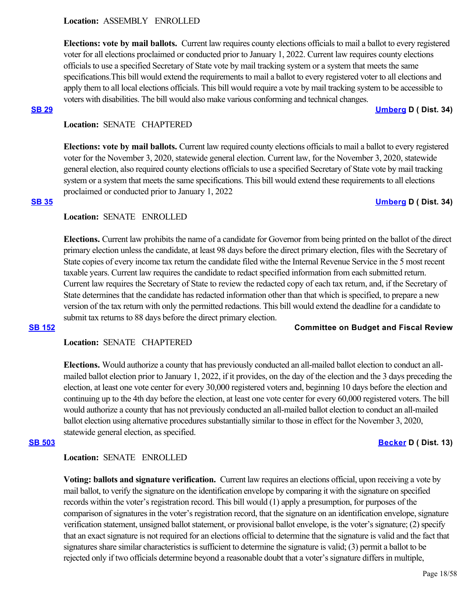### **Location:**  ASSEMBLY ENROLLED

**Elections: vote by mail ballots.** Current law requires county elections officials to mail a ballot to every registered voter for all elections proclaimed or conducted prior to January 1, 2022. Current law requires county elections officials to use a specified Secretary of State vote by mail tracking system or a system that meets the same specifications.This bill would extend the requirements to mail a ballot to every registered voter to all elections and apply them to all local elections officials. This bill would require a vote by mail tracking system to be accessible to voters with disabilities. The bill would also make various conforming and technical changes.

**[SB 29](https://ctweb.capitoltrack.com/public/publishbillinfo.aspx?bi=yIJr3w%2FwBBFvxr64ksXevSx8Om5d8LulHBwyCdh2ADsbQchvO3mJ3LeMrdcStk7H) [Umberg](https://sd34.senate.ca.gov/) D ( Dist. 34)**

# **Location:**  SENATE CHAPTERED

**Elections: vote by mail ballots.** Current law required county elections officials to mail a ballot to every registered voter for the November 3, 2020, statewide general election. Current law, for the November 3, 2020, statewide general election, also required county elections officials to use a specified Secretary of State vote by mail tracking system or a system that meets the same specifications. This bill would extend these requirements to all elections proclaimed or conducted prior to January 1, 2022

# **[SB 35](https://ctweb.capitoltrack.com/public/publishbillinfo.aspx?bi=K4VO%2B%2F%2FXcjYeFMsoKn5pTb2iM2WfEovekFbcxqCkFF1%2FMECA7gqN3M706GgQiy0e) [Umberg](https://sd34.senate.ca.gov/) D ( Dist. 34)**

# **Location:**  SENATE ENROLLED

**Elections.** Current law prohibits the name of a candidate for Governor from being printed on the ballot of the direct primary election unless the candidate, at least 98 days before the direct primary election, files with the Secretary of State copies of every income tax return the candidate filed withe the Internal Revenue Service in the 5 most recent taxable years. Current law requires the candidate to redact specified information from each submitted return. Current law requires the Secretary of State to review the redacted copy of each tax return, and, if the Secretary of State determines that the candidate has redacted information other than that which is specified, to prepare a new version of the tax return with only the permitted redactions. This bill would extend the deadline for a candidate to submit tax returns to 88 days before the direct primary election.

# **[SB 152](https://ctweb.capitoltrack.com/public/publishbillinfo.aspx?bi=VJhbkGVPGw%2Bgnl2gt3aUg8zPYhReRKv15nFi%2B3qpPDg7%2FzrK2c17qUcsRnVEUSpR) Committee on Budget and Fiscal Review**

### **Location:**  SENATE CHAPTERED

**Elections.** Would authorize a county that has previously conducted an all-mailed ballot election to conduct an allmailed ballot election prior to January 1, 2022, if it provides, on the day of the election and the 3 days preceding the election, at least one vote center for every 30,000 registered voters and, beginning 10 days before the election and continuing up to the 4th day before the election, at least one vote center for every 60,000 registered voters. The bill would authorize a county that has not previously conducted an all-mailed ballot election to conduct an all-mailed ballot election using alternative procedures substantially similar to those in effect for the November 3, 2020, statewide general election, as specified.

### **[SB 503](https://ctweb.capitoltrack.com/public/publishbillinfo.aspx?bi=34yULcDToW0iNb%2B3lRKrd6QauiyZ4CvZVxQWc8ZplW3uGapR0xlML622OhdMMrWy) [Becker](http://sd13.senate.ca.gov/) D ( Dist. 13)**

### **Location:**  SENATE ENROLLED

**Voting: ballots and signature verification.** Current law requires an elections official, upon receiving a vote by mail ballot, to verify the signature on the identification envelope by comparing it with the signature on specified records within the voter's registration record. This bill would (1) apply a presumption, for purposes of the comparison of signatures in the voter's registration record, that the signature on an identification envelope, signature verification statement, unsigned ballot statement, or provisional ballot envelope, is the voter's signature; (2) specify that an exact signature is not required for an elections official to determine that the signature is valid and the fact that signatures share similar characteristics is sufficient to determine the signature is valid; (3) permit a ballot to be rejected only if two officials determine beyond a reasonable doubt that a voter's signature differs in multiple,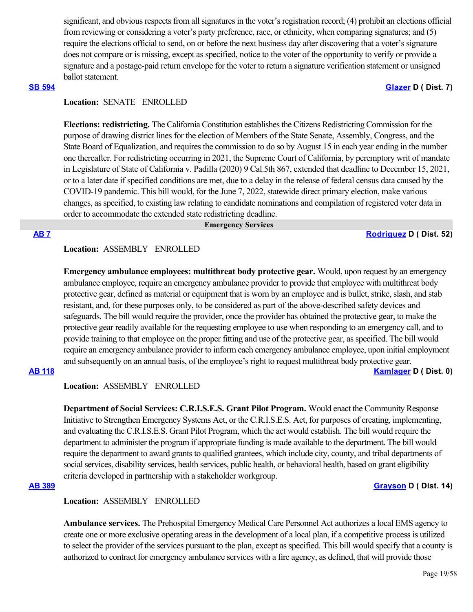significant, and obvious respects from all signatures in the voter's registration record; (4) prohibit an elections official from reviewing or considering a voter's party preference, race, or ethnicity, when comparing signatures; and (5) require the elections official to send, on or before the next business day after discovering that a voter's signature does not compare or is missing, except as specified, notice to the voter of the opportunity to verify or provide a signature and a postage-paid return envelope for the voter to return a signature verification statement or unsigned ballot statement.

### **[SB 594](https://ctweb.capitoltrack.com/public/publishbillinfo.aspx?bi=kOfI7Aw8HK%2F1P5ifWgmLakhdJE1c559hKvxsm2J%2F%2BQrIn6mAZx%2FhjUblUgIFWO7c) [Glazer](http://sd07.senate.ca.gov/) D ( Dist. 7)**

# **Location:**  SENATE ENROLLED

**Elections: redistricting.** The California Constitution establishes the Citizens Redistricting Commission for the purpose of drawing district lines for the election of Members of the State Senate, Assembly, Congress, and the State Board of Equalization, and requires the commission to do so by August 15 in each year ending in the number one thereafter. For redistricting occurring in 2021, the Supreme Court of California, by peremptory writ of mandate in Legislature of State of California v. Padilla (2020) 9 Cal.5th 867, extended that deadline to December 15, 2021, or to a later date if specified conditions are met, due to a delay in the release of federal census data caused by the COVID-19 pandemic. This bill would, for the June 7, 2022, statewide direct primary election, make various changes, as specified, to existing law relating to candidate nominations and compilation of registered voter data in order to accommodate the extended state redistricting deadline.

### **Emergency Services**

**[AB 7](https://ctweb.capitoltrack.com/public/publishbillinfo.aspx?bi=p8WZMbevtTVfIMkwEOLndJHfwEiLMX0Z15ylFCS3HoKCVwm0AVG1tDGgJ3vX%2FR0w) [Rodriguez](https://a52.asmdc.org/) D ( Dist. 52)**

# **Location:**  ASSEMBLY ENROLLED

**Emergency ambulance employees: multithreat body protective gear.** Would, upon request by an emergency ambulance employee, require an emergency ambulance provider to provide that employee with multithreat body protective gear, defined as material or equipment that is worn by an employee and is bullet, strike, slash, and stab resistant, and, for these purposes only, to be considered as part of the above-described safety devices and safeguards. The bill would require the provider, once the provider has obtained the protective gear, to make the protective gear readily available for the requesting employee to use when responding to an emergency call, and to provide training to that employee on the proper fitting and use of the protective gear, as specified. The bill would require an emergency ambulance provider to inform each emergency ambulance employee, upon initial employment and subsequently on an annual basis, of the employee's right to request multithreat body protective gear.

# **[AB 118](https://ctweb.capitoltrack.com/public/publishbillinfo.aspx?bi=SphFfN9xeteQbOXIrPokfTP%2F%2FjX%2Bl92itaraU1VDwAfdEowaPjR55wTw%2FaWUZ6CL) [Kamlager](https://a54.asmdc.org/) D ( Dist. 0)**

**Location:**  ASSEMBLY ENROLLED

**Department of Social Services: C.R.I.S.E.S. Grant Pilot Program.** Would enact the Community Response Initiative to Strengthen Emergency Systems Act, or the C.R.I.S.E.S. Act, for purposes of creating, implementing, and evaluating the C.R.I.S.E.S. Grant Pilot Program, which the act would establish. The bill would require the department to administer the program if appropriate funding is made available to the department. The bill would require the department to award grants to qualified grantees, which include city, county, and tribal departments of social services, disability services, health services, public health, or behavioral health, based on grant eligibility criteria developed in partnership with a stakeholder workgroup.

### **[AB 389](https://ctweb.capitoltrack.com/public/publishbillinfo.aspx?bi=RiUzKNsjke%2FQEhgp%2Bj3gJvpdDZMxEFwTdrBEyotjBeCkPO08fy%2BIa2lOd9UdGooL) [Grayson](https://a14.asmdc.org/) D ( Dist. 14)**

### **Location:**  ASSEMBLY ENROLLED

**Ambulance services.** The Prehospital Emergency Medical Care Personnel Act authorizes a local EMS agency to create one or more exclusive operating areas in the development of a local plan, if a competitive process is utilized to select the provider of the services pursuant to the plan, except as specified. This bill would specify that a county is authorized to contract for emergency ambulance services with a fire agency, as defined, that will provide those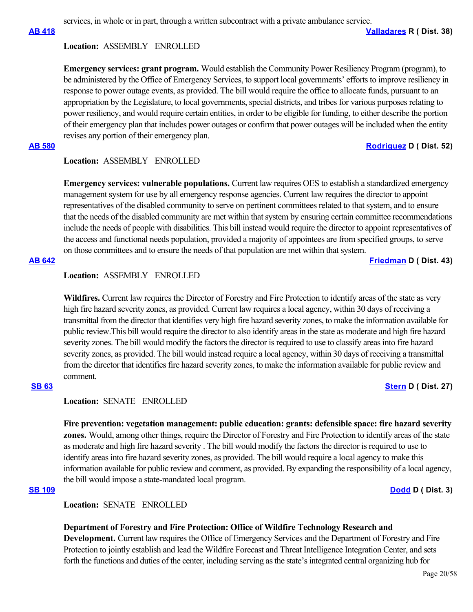services, in whole or in part, through a written subcontract with a private ambulance service.

**[AB 418](https://ctweb.capitoltrack.com/public/publishbillinfo.aspx?bi=GnU%2BOEQEzmHVUc7wIVVEiISDCMew6AYOCOY1SW3zVsNYuKJ%2FXiMsYUj1nO8i9xP2) [Valladares](https://ad38.asmrc.org/) R ( Dist. 38)**

### **Location:**  ASSEMBLY ENROLLED

**Emergency services: grant program.** Would establish the Community Power Resiliency Program (program), to be administered by the Office of Emergency Services, to support local governments' efforts to improve resiliency in response to power outage events, as provided. The bill would require the office to allocate funds, pursuant to an appropriation by the Legislature, to local governments, special districts, and tribes for various purposes relating to power resiliency, and would require certain entities, in order to be eligible for funding, to either describe the portion of their emergency plan that includes power outages or confirm that power outages will be included when the entity revises any portion of their emergency plan.

# **[AB 580](https://ctweb.capitoltrack.com/public/publishbillinfo.aspx?bi=WXU55vgswBolv7sEKrga9uPdhhh5zPA6p5QPBadmZqQSYUHA%2F3WrOjrM6hRAYbSP) [Rodriguez](https://a52.asmdc.org/) D ( Dist. 52)**

### **Location:**  ASSEMBLY ENROLLED

**Emergency services: vulnerable populations.** Current law requires OES to establish a standardized emergency management system for use by all emergency response agencies. Current law requires the director to appoint representatives of the disabled community to serve on pertinent committees related to that system, and to ensure that the needs of the disabled community are met within that system by ensuring certain committee recommendations include the needs of people with disabilities. This bill instead would require the director to appoint representatives of the access and functional needs population, provided a majority of appointees are from specified groups, to serve on those committees and to ensure the needs of that population are met within that system.

**[AB 642](https://ctweb.capitoltrack.com/public/publishbillinfo.aspx?bi=K6CX19qENDPAMvd7iLwZ1HVEdz%2BeRY7EgYjNbp0KZj2POGQlH%2FLQzU1i2gvGHWeX) [Friedman](https://a43.asmdc.org/) D ( Dist. 43)**

# **Location:**  ASSEMBLY ENROLLED

**Wildfires.** Current law requires the Director of Forestry and Fire Protection to identify areas of the state as very high fire hazard severity zones, as provided. Current law requires a local agency, within 30 days of receiving a transmittal from the director that identifies very high fire hazard severity zones, to make the information available for public review.This bill would require the director to also identify areas in the state as moderate and high fire hazard severity zones. The bill would modify the factors the director is required to use to classify areas into fire hazard severity zones, as provided. The bill would instead require a local agency, within 30 days of receiving a transmittal from the director that identifies fire hazard severity zones, to make the information available for public review and comment.

### **[SB 63](https://ctweb.capitoltrack.com/public/publishbillinfo.aspx?bi=51BTS7vZ%2FnRh37SDSRFhwHJo55TTZhO%2FVJVDJqxfuxXLS9oe%2FbQJwqoj%2BGMKYDoU) [Stern](http://sd27.senate.ca.gov/) D ( Dist. 27)**

### **Location:**  SENATE ENROLLED

**Fire prevention: vegetation management: public education: grants: defensible space: fire hazard severity zones.** Would, among other things, require the Director of Forestry and Fire Protection to identify areas of the state as moderate and high fire hazard severity . The bill would modify the factors the director is required to use to identify areas into fire hazard severity zones, as provided. The bill would require a local agency to make this information available for public review and comment, as provided. By expanding the responsibility of a local agency, the bill would impose a state-mandated local program.

**[SB 109](https://ctweb.capitoltrack.com/public/publishbillinfo.aspx?bi=VcVV71HTyDNa3dv83xyYX%2BWRZUb%2FY9P91HkxJBrTJG8q%2FGXpQCVc5LP8rZGmML70) [Dodd](http://sd03.senate.ca.gov/) D ( Dist. 3)**

**Location:**  SENATE ENROLLED

# **Department of Forestry and Fire Protection: Office of Wildfire Technology Research and**

**Development.** Current law requires the Office of Emergency Services and the Department of Forestry and Fire Protection to jointly establish and lead the Wildfire Forecast and Threat Intelligence Integration Center, and sets forth the functions and duties of the center, including serving as the state's integrated central organizing hub for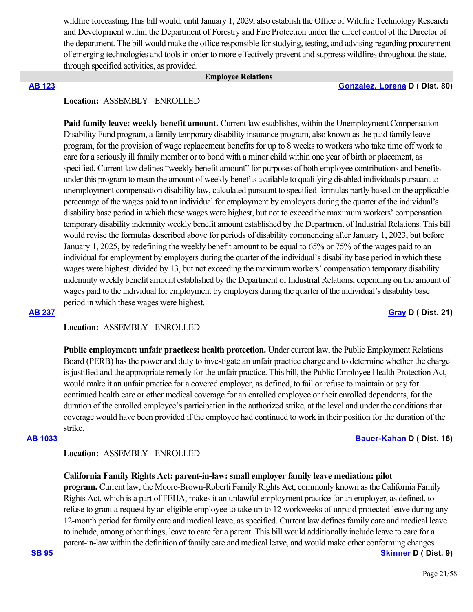wildfire forecasting. This bill would, until January 1, 2029, also establish the Office of Wildfire Technology Research and Development within the Department of Forestry and Fire Protection under the direct control of the Director of the department. The bill would make the office responsible for studying, testing, and advising regarding procurement of emerging technologies and tools in order to more effectively prevent and suppress wildfires throughout the state, through specified activities, as provided.

### **Employee Relations**

### **[AB 123](https://ctweb.capitoltrack.com/public/publishbillinfo.aspx?bi=%2F8P%2FESm4cLrZPdZlseHCQ6aTJbD6zKr0QhaL%2Fr3l%2B80CEFmtlz4tcU5EIMhoxRGN) [Gonzalez, Lorena](https://a80.asmdc.org/) D ( Dist. 80)**

## **Location:**  ASSEMBLY ENROLLED

Paid family leave: weekly benefit amount. Current law establishes, within the Unemployment Compensation Disability Fund program, a family temporary disability insurance program, also known as the paid family leave program, for the provision of wage replacement benefits for up to 8 weeks to workers who take time off work to care for a seriously ill family member or to bond with a minor child within one year of birth or placement, as specified. Current law defines "weekly benefit amount" for purposes of both employee contributions and benefits under this program to mean the amount of weekly benefits available to qualifying disabled individuals pursuant to unemployment compensation disability law, calculated pursuant to specified formulas partly based on the applicable percentage of the wages paid to an individual for employment by employers during the quarter of the individual's disability base period in which these wages were highest, but not to exceed the maximum workers' compensation temporary disability indemnity weekly benefit amount established by the Department of Industrial Relations. This bill would revise the formulas described above for periods of disability commencing after January 1, 2023, but before January 1, 2025, by redefining the weekly benefit amount to be equal to 65% or 75% of the wages paid to an individual for employment by employers during the quarter of the individual's disability base period in which these wages were highest, divided by 13, but not exceeding the maximum workers' compensation temporary disability indemnity weekly benefit amount established by the Department of Industrial Relations, depending on the amount of wages paid to the individual for employment by employers during the quarter of the individual's disability base period in which these wages were highest.

### **[AB 237](https://ctweb.capitoltrack.com/public/publishbillinfo.aspx?bi=5RP1DLm3qpLWTKuSbKMQoylpU%2FXY3shc1RkSmmT%2BxjLT%2Bh3bnhwftbofR%2FO1uoXd) [Gray](https://a21.asmdc.org/) D ( Dist. 21)**

**Location:**  ASSEMBLY ENROLLED

**Public employment: unfair practices: health protection.** Under current law, the Public Employment Relations Board (PERB) has the power and duty to investigate an unfair practice charge and to determine whether the charge is justified and the appropriate remedy for the unfair practice. This bill, the Public Employee Health Protection Act, would make it an unfair practice for a covered employer, as defined, to fail or refuse to maintain or pay for continued health care or other medical coverage for an enrolled employee or their enrolled dependents, for the duration of the enrolled employee's participation in the authorized strike, at the level and under the conditions that coverage would have been provided if the employee had continued to work in their position for the duration of the strike.

**[AB 1033](https://ctweb.capitoltrack.com/public/publishbillinfo.aspx?bi=xYGuUPYnZXyGqc5fcg1bXa39ezAuxRRvZ%2BREPIVKIy%2FEgspm7t9jONMSJedg28tA) [Bauer-Kahan](https://a16.asmdc.org/) D ( Dist. 16)**

### **Location:**  ASSEMBLY ENROLLED

### **California Family Rights Act: parent-in-law: small employer family leave mediation: pilot**

**program.** Current law, the Moore-Brown-Roberti Family Rights Act, commonly known as the California Family Rights Act, which is a part of FEHA, makes it an unlawful employment practice for an employer, as defined, to refuse to grant a request by an eligible employee to take up to 12 workweeks of unpaid protected leave during any 12-month period for family care and medical leave, as specified. Current law defines family care and medical leave to include, among other things, leave to care for a parent. This bill would additionally include leave to care for a parent-in-law within the definition of family care and medical leave, and would make other conforming changes.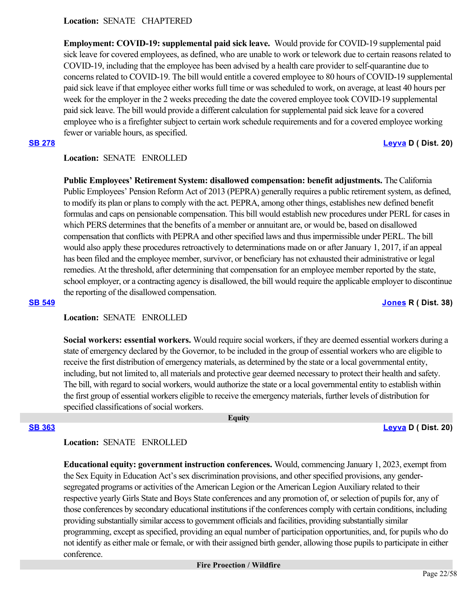# **Location:**  SENATE CHAPTERED

**Employment: COVID-19: supplemental paid sick leave.** Would provide for COVID-19 supplemental paid sick leave for covered employees, as defined, who are unable to work or telework due to certain reasons related to COVID-19, including that the employee has been advised by a health care provider to self-quarantine due to concerns related to COVID-19. The bill would entitle a covered employee to 80 hours of COVID-19 supplemental paid sick leave if that employee either works full time or was scheduled to work, on average, at least 40 hours per week for the employer in the 2 weeks preceding the date the covered employee took COVID-19 supplemental paid sick leave. The bill would provide a different calculation for supplemental paid sick leave for a covered employee who is a firefighter subject to certain work schedule requirements and for a covered employee working fewer or variable hours, as specified.

**[SB 278](https://ctweb.capitoltrack.com/public/publishbillinfo.aspx?bi=IKf8oK13fMnUIvFPqf9rrMppPPdaC4pD8vIgkzO9fQev1jOxYRohAjr2jZVnn0OW) [Leyva](http://sd20.senate.ca.gov/) D ( Dist. 20)**

# **Location:**  SENATE ENROLLED

**Public Employees' Retirement System: disallowed compensation: benefit adjustments.** The California Public Employees' Pension Reform Act of 2013 (PEPRA) generally requires a public retirement system, as defined, to modify its plan or plans to comply with the act. PEPRA, among other things, establishes new defined benefit formulas and caps on pensionable compensation. This bill would establish new procedures under PERL for cases in which PERS determines that the benefits of a member or annuitant are, or would be, based on disallowed compensation that conflicts with PEPRA and other specified laws and thus impermissible under PERL. The bill would also apply these procedures retroactively to determinations made on or after January 1, 2017, if an appeal has been filed and the employee member, survivor, or beneficiary has not exhausted their administrative or legal remedies. At the threshold, after determining that compensation for an employee member reported by the state, school employer, or a contracting agency is disallowed, the bill would require the applicable employer to discontinue the reporting of the disallowed compensation.

### **[SB 549](https://ctweb.capitoltrack.com/public/publishbillinfo.aspx?bi=o5Z1P6xdagM0KvYFV1mAq%2FdB34p7U6HX%2FtvRc3d2ea6BjDTgMdBMV7zkxurH7Uyc) [Jones](https://jones.cssrc.us/) R ( Dist. 38)**

# **Location:**  SENATE ENROLLED

**Social workers: essential workers.** Would require social workers, if they are deemed essential workers during a state of emergency declared by the Governor, to be included in the group of essential workers who are eligible to receive the first distribution of emergency materials, as determined by the state or a local governmental entity, including, but not limited to, all materials and protective gear deemed necessary to protect their health and safety. The bill, with regard to social workers, would authorize the state or a local governmental entity to establish within the first group of essential workers eligible to receive the emergency materials, further levels of distribution for specified classifications of social workers.

 **Equity**

**[SB 363](https://ctweb.capitoltrack.com/public/publishbillinfo.aspx?bi=Km8JctphnrId5GPX%2Bj1%2FbuBOP9izzWxV793EUhXTYGfDx2%2BF7Uku2fDvFIipjzbI) [Leyva](http://sd20.senate.ca.gov/) D ( Dist. 20)**

# **Location:**  SENATE ENROLLED

**Educational equity: government instruction conferences.** Would, commencing January 1, 2023, exempt from the Sex Equity in Education Act's sex discrimination provisions, and other specified provisions, any gendersegregated programs or activities of the American Legion or the American Legion Auxiliary related to their respective yearly Girls State and Boys State conferences and any promotion of, or selection of pupils for, any of those conferences by secondary educational institutions if the conferences comply with certain conditions, including providing substantially similar access to government officials and facilities, providing substantially similar programming, except as specified, providing an equal number of participation opportunities, and, for pupils who do not identify as either male or female, or with their assigned birth gender, allowing those pupils to participate in either conference.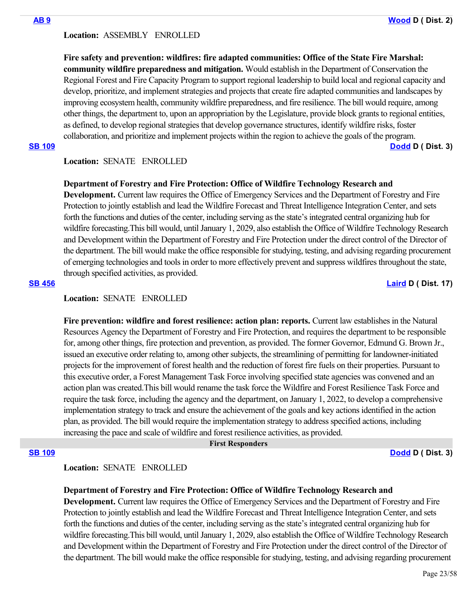### **Location:**  ASSEMBLY ENROLLED

**Fire safety and prevention: wildfires: fire adapted communities: Office of the State Fire Marshal: community wildfire preparedness and mitigation.** Would establish in the Department of Conservation the Regional Forest and Fire Capacity Program to support regional leadership to build local and regional capacity and develop, prioritize, and implement strategies and projects that create fire adapted communities and landscapes by improving ecosystem health, community wildfire preparedness, and fire resilience. The bill would require, among other things, the department to, upon an appropriation by the Legislature, provide block grants to regional entities, as defined, to develop regional strategies that develop governance structures, identify wildfire risks, foster collaboration, and prioritize and implement projects within the region to achieve the goals of the program.

**[SB 109](https://ctweb.capitoltrack.com/public/publishbillinfo.aspx?bi=VcVV71HTyDNa3dv83xyYX%2BWRZUb%2FY9P91HkxJBrTJG8q%2FGXpQCVc5LP8rZGmML70) [Dodd](http://sd03.senate.ca.gov/) D ( Dist. 3)**

# **Location:**  SENATE ENROLLED

### **Department of Forestry and Fire Protection: Office of Wildfire Technology Research and**

**Development.** Current law requires the Office of Emergency Services and the Department of Forestry and Fire Protection to jointly establish and lead the Wildfire Forecast and Threat Intelligence Integration Center, and sets forth the functions and duties of the center, including serving as the state's integrated central organizing hub for wildfire forecasting. This bill would, until January 1, 2029, also establish the Office of Wildfire Technology Research and Development within the Department of Forestry and Fire Protection under the direct control of the Director of the department. The bill would make the office responsible for studying, testing, and advising regarding procurement of emerging technologies and tools in order to more effectively prevent and suppress wildfires throughout the state, through specified activities, as provided.

### **[SB 456](https://ctweb.capitoltrack.com/public/publishbillinfo.aspx?bi=r1FpZ5S3rV4DPWUFWirjrt08pB8gtynCEbdSrBd02GEWa3YhhTMtS%2BsTpf3ApQwD) [Laird](http://sd17.senate.ca.gov/) D ( Dist. 17)**

# **Location:**  SENATE ENROLLED

**Fire prevention: wildfire and forest resilience: action plan: reports.** Current law establishes in the Natural Resources Agency the Department of Forestry and Fire Protection, and requires the department to be responsible for, among other things, fire protection and prevention, as provided. The former Governor, Edmund G. Brown Jr., issued an executive order relating to, among other subjects, the streamlining of permitting for landowner-initiated projects for the improvement of forest health and the reduction of forest fire fuels on their properties. Pursuant to this executive order, a Forest Management Task Force involving specified state agencies was convened and an action plan was created.This bill would rename the task force the Wildfire and Forest Resilience Task Force and require the task force, including the agency and the department, on January 1, 2022, to develop a comprehensive implementation strategy to track and ensure the achievement of the goals and key actions identified in the action plan, as provided. The bill would require the implementation strategy to address specified actions, including increasing the pace and scale of wildfire and forest resilience activities, as provided.

### **First Responders**

**[SB 109](https://ctweb.capitoltrack.com/public/publishbillinfo.aspx?bi=VcVV71HTyDNa3dv83xyYX%2BWRZUb%2FY9P91HkxJBrTJG8q%2FGXpQCVc5LP8rZGmML70) [Dodd](http://sd03.senate.ca.gov/) D ( Dist. 3)**

# **Location:**  SENATE ENROLLED

# **Department of Forestry and Fire Protection: Office of Wildfire Technology Research and**

**Development.** Current law requires the Office of Emergency Services and the Department of Forestry and Fire Protection to jointly establish and lead the Wildfire Forecast and Threat Intelligence Integration Center, and sets forth the functions and duties of the center, including serving as the state's integrated central organizing hub for wildfire forecasting.This bill would, until January 1, 2029, also establish the Office of Wildfire Technology Research and Development within the Department of Forestry and Fire Protection under the direct control of the Director of the department. The bill would make the office responsible for studying, testing, and advising regarding procurement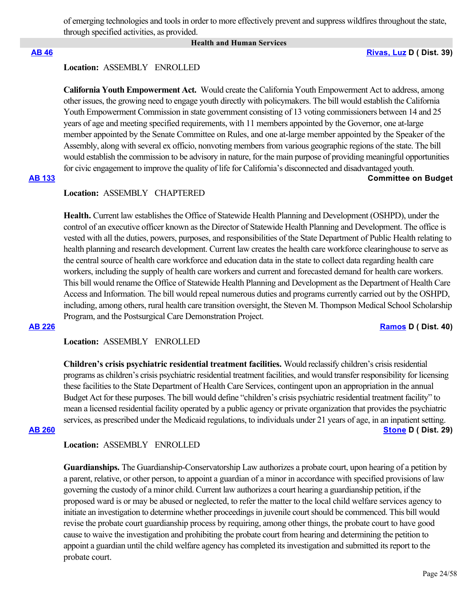of emerging technologies and tools in order to more effectively prevent and suppress wildfires throughout the state, through specified activities, as provided.

### **Health and Human Services**

**[AB 46](https://ctweb.capitoltrack.com/public/publishbillinfo.aspx?bi=ssIZdgyKguVMeYIkH2JH8HrdCaK64xkOWRco5WOYYjeKpNuL3q44PGgTyU9ERz3G) [Rivas, Luz](https://a39.asmdc.org/) D ( Dist. 39)**

# **Location:**  ASSEMBLY ENROLLED

**California Youth Empowerment Act.** Would create the California Youth Empowerment Act to address, among other issues, the growing need to engage youth directly with policymakers. The bill would establish the California Youth Empowerment Commission in state government consisting of 13 voting commissioners between 14 and 25 years of age and meeting specified requirements, with 11 members appointed by the Governor, one at-large member appointed by the Senate Committee on Rules, and one at-large member appointed by the Speaker of the Assembly, along with several ex officio, nonvoting members from various geographic regions of the state. The bill would establish the commission to be advisory in nature, for the main purpose of providing meaningful opportunities for civic engagement to improve the quality of life for California's disconnected and disadvantaged youth.

# **[AB 133](https://ctweb.capitoltrack.com/public/publishbillinfo.aspx?bi=l2i%2FtQ7Po3AxGWz9R2iAsfNJwrNM%2F90dI145r1YwOT3QaXmjvEUeS2NBFIwpdfdf) Committee on Budget**

# **Location:**  ASSEMBLY CHAPTERED

**Health.** Current law establishes the Office of Statewide Health Planning and Development (OSHPD), under the control of an executive officer known as the Director of Statewide Health Planning and Development. The office is vested with all the duties, powers, purposes, and responsibilities of the State Department of Public Health relating to health planning and research development. Current law creates the health care workforce clearinghouse to serve as the central source of health care workforce and education data in the state to collect data regarding health care workers, including the supply of health care workers and current and forecasted demand for health care workers. This bill would rename the Office of Statewide Health Planning and Development as the Department of Health Care Access and Information. The bill would repeal numerous duties and programs currently carried out by the OSHPD, including, among others, rural health care transition oversight, the Steven M. Thompson Medical School Scholarship Program, and the Postsurgical Care Demonstration Project.

### **[AB 226](https://ctweb.capitoltrack.com/public/publishbillinfo.aspx?bi=ijuUBRh09meHt2W%2BTyRX1vtSwgnMyKBjnrWssUIJV5sYAiOgRghoQy0Co9zvmV0V) [Ramos](https://a40.asmdc.org/) D ( Dist. 40)**

**Location:**  ASSEMBLY ENROLLED

**Children's crisis psychiatric residential treatment facilities.** Would reclassify children's crisis residential programs as children's crisis psychiatric residential treatment facilities, and would transfer responsibility for licensing these facilities to the State Department of Health Care Services, contingent upon an appropriation in the annual Budget Act for these purposes. The bill would define "children's crisis psychiatric residential treatment facility" to mean a licensed residential facility operated by a public agency or private organization that provides the psychiatric services, as prescribed under the Medicaid regulations, to individuals under 21 years of age, in an inpatient setting. **[AB 260](https://ctweb.capitoltrack.com/public/publishbillinfo.aspx?bi=TBKk8l4MX4ULZoQ7Wu54%2FHn28oc%2FViJGCsS9q2QxLsxsS2ccwUpEBiRVD3vCmtTZ) [Stone](https://a29.asmdc.org/) D ( Dist. 29)**

### **Location:**  ASSEMBLY ENROLLED

**Guardianships.** The Guardianship-Conservatorship Law authorizes a probate court, upon hearing of a petition by a parent, relative, or other person, to appoint a guardian of a minor in accordance with specified provisions of law governing the custody of a minor child. Current law authorizes a court hearing a guardianship petition, if the proposed ward is or may be abused or neglected, to refer the matter to the local child welfare services agency to initiate an investigation to determine whether proceedings in juvenile court should be commenced. This bill would revise the probate court guardianship process by requiring, among other things, the probate court to have good cause to waive the investigation and prohibiting the probate court from hearing and determining the petition to appoint a guardian until the child welfare agency has completed its investigation and submitted its report to the probate court.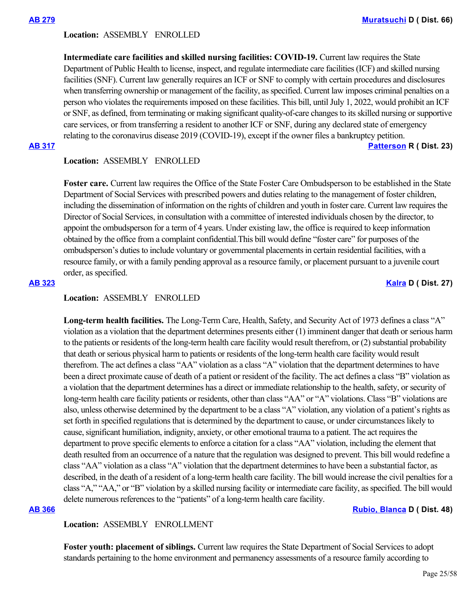### **Location:**  ASSEMBLY ENROLLED

**Intermediate care facilities and skilled nursing facilities: COVID-19.** Current law requires the State Department of Public Health to license, inspect, and regulate intermediate care facilities (ICF) and skilled nursing facilities (SNF). Current law generally requires an ICF or SNF to comply with certain procedures and disclosures when transferring ownership or management of the facility, as specified. Current law imposes criminal penalties on a person who violates the requirements imposed on these facilities. This bill, until July 1, 2022, would prohibit an ICF or SNF, as defined, from terminating or making significant quality-of-care changes to its skilled nursing or supportive care services, or from transferring a resident to another ICF or SNF, during any declared state of emergency relating to the coronavirus disease 2019 (COVID-19), except if the owner files a bankruptcy petition.

**[AB 317](https://ctweb.capitoltrack.com/public/publishbillinfo.aspx?bi=eQJ9%2FMLBMfbzw5ONcy%2B8K3wtK3IO2T%2FMNHf48raywA8crHw3rp%2B4TUerrGhNILXs) [Patterson](https://ad23.asmrc.org/) R ( Dist. 23)**

### **Location:**  ASSEMBLY ENROLLED

**Foster care.** Current law requires the Office of the State Foster Care Ombudsperson to be established in the State Department of Social Services with prescribed powers and duties relating to the management of foster children, including the dissemination of information on the rights of children and youth in foster care. Current law requires the Director of Social Services, in consultation with a committee of interested individuals chosen by the director, to appoint the ombudsperson for a term of 4 years. Under existing law, the office is required to keep information obtained by the office from a complaint confidential.This bill would define "foster care" for purposes of the ombudsperson's duties to include voluntary or governmental placements in certain residential facilities, with a resource family, or with a family pending approval as a resource family, or placement pursuant to a juvenile court order, as specified.

### **[AB 323](https://ctweb.capitoltrack.com/public/publishbillinfo.aspx?bi=FVuDopc6kJiuGasl8fzHZaCeNmO7xd8vEtVVNyjBKkDCIzplBxDH8Z6kcbazgDsk) [Kalra](https://a27.asmdc.org/) D ( Dist. 27)**

### **Location:**  ASSEMBLY ENROLLED

**Long-term health facilities.** The Long-Term Care, Health, Safety, and Security Act of 1973 defines a class "A" violation as a violation that the department determines presents either (1) imminent danger that death or serious harm to the patients or residents of the long-term health care facility would result therefrom, or (2) substantial probability that death or serious physical harm to patients or residents of the long-term health care facility would result therefrom. The act defines a class "AA" violation as a class "A" violation that the department determines to have been a direct proximate cause of death of a patient or resident of the facility. The act defines a class "B" violation as a violation that the department determines has a direct or immediate relationship to the health, safety, or security of long-term health care facility patients or residents, other than class "AA" or "A" violations. Class "B" violations are also, unless otherwise determined by the department to be a class "A" violation, any violation of a patient's rights as set forth in specified regulations that is determined by the department to cause, or under circumstances likely to cause, significant humiliation, indignity, anxiety, or other emotional trauma to a patient. The act requires the department to prove specific elements to enforce a citation for a class "AA" violation, including the element that death resulted from an occurrence of a nature that the regulation was designed to prevent. This bill would redefine a class "AA" violation as a class "A" violation that the department determines to have been a substantial factor, as described, in the death of a resident of a long-term health care facility. The bill would increase the civil penalties for a class "A," "AA," or "B" violation by a skilled nursing facility or intermediate care facility, as specified. The bill would delete numerous references to the "patients" of a long-term health care facility.

**[AB 366](https://ctweb.capitoltrack.com/public/publishbillinfo.aspx?bi=oscuWD5%2FA7IqQpmFiJ1OS%2BvK1YUdFp0w5GjN71gSumB4WIJUcVr1fCXzqaro87F%2F) [Rubio, Blanca](https://a48.asmdc.org/) D ( Dist. 48)**

# **Location:**  ASSEMBLY ENROLLMENT

**Foster youth: placement of siblings.** Current law requires the State Department of Social Services to adopt standards pertaining to the home environment and permanency assessments of a resource family according to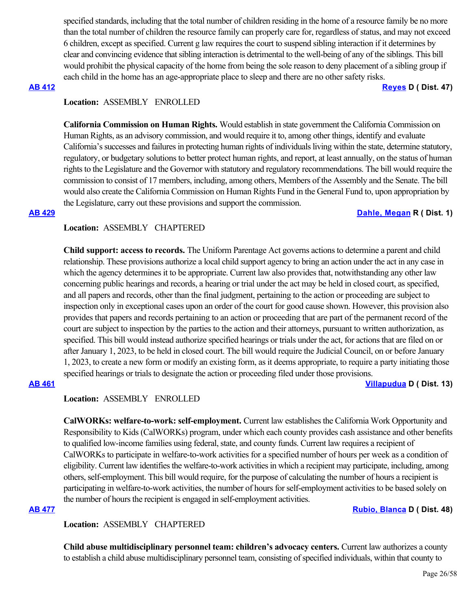specified standards, including that the total number of children residing in the home of a resource family be no more than the total number of children the resource family can properly care for, regardless of status, and may not exceed 6 children, except as specified. Current g law requires the court to suspend sibling interaction if it determines by clear and convincing evidence that sibling interaction is detrimental to the well-being of any of the siblings. This bill would prohibit the physical capacity of the home from being the sole reason to deny placement of a sibling group if each child in the home has an age-appropriate place to sleep and there are no other safety risks.

**[AB 412](https://ctweb.capitoltrack.com/public/publishbillinfo.aspx?bi=x5D6bohmRxFQGsVYLITij76U5y5o%2F1udXsI9ZV%2BLt4KPWrVLLYetQgdWkeJZyREl) [Reyes](https://a47.asmdc.org/) D ( Dist. 47)**

# **Location:**  ASSEMBLY ENROLLED

**California Commission on Human Rights.** Would establish in state government the California Commission on Human Rights, as an advisory commission, and would require it to, among other things, identify and evaluate California's successes and failures in protecting human rights of individuals living within the state, determine statutory, regulatory, or budgetary solutions to better protect human rights, and report, at least annually, on the status of human rights to the Legislature and the Governor with statutory and regulatory recommendations. The bill would require the commission to consist of 17 members, including, among others, Members of the Assembly and the Senate. The bill would also create the California Commission on Human Rights Fund in the General Fund to, upon appropriation by the Legislature, carry out these provisions and support the commission.

# **[AB 429](https://ctweb.capitoltrack.com/public/publishbillinfo.aspx?bi=yZO1mQ7ny%2FsoOaRPgRxAtJN6vpY3uOkods4NifJYdKbMYv0Pwz3zCUJYWQTvfvml) [Dahle, Megan](https://ad01.asmrc.org/) R ( Dist. 1)**

# **Location:**  ASSEMBLY CHAPTERED

**Child support: access to records.** The Uniform Parentage Act governs actions to determine a parent and child relationship. These provisions authorize a local child support agency to bring an action under the act in any case in which the agency determines it to be appropriate. Current law also provides that, notwithstanding any other law concerning public hearings and records, a hearing or trial under the act may be held in closed court, as specified, and all papers and records, other than the final judgment, pertaining to the action or proceeding are subject to inspection only in exceptional cases upon an order of the court for good cause shown. However, this provision also provides that papers and records pertaining to an action or proceeding that are part of the permanent record of the court are subject to inspection by the parties to the action and their attorneys, pursuant to written authorization, as specified. This bill would instead authorize specified hearings or trials under the act, for actions that are filed on or after January 1, 2023, to be held in closed court. The bill would require the Judicial Council, on or before January 1, 2023, to create a new form or modify an existing form, as it deems appropriate, to require a party initiating those specified hearings or trials to designate the action or proceeding filed under those provisions.

**[AB 461](https://ctweb.capitoltrack.com/public/publishbillinfo.aspx?bi=3dzuO1cuwQKR8ptWvH0xpENNwkvTG0nFZjIOfPBxFHhLTzXSApTWukAoSVc6xpl5) [Villapudua](https://a13.asmdc.org/) D ( Dist. 13)**

### **Location:**  ASSEMBLY ENROLLED

**CalWORKs: welfare-to-work: self-employment.** Current law establishes the California Work Opportunity and Responsibility to Kids (CalWORKs) program, under which each county provides cash assistance and other benefits to qualified low-income families using federal, state, and county funds. Current law requires a recipient of CalWORKs to participate in welfare-to-work activities for a specified number of hours per week as a condition of eligibility. Current law identifies the welfare-to-work activities in which a recipient may participate, including, among others, self-employment. This bill would require, for the purpose of calculating the number of hours a recipient is participating in welfare-to-work activities, the number of hours for self-employment activities to be based solely on the number of hours the recipient is engaged in self-employment activities.

**[AB 477](https://ctweb.capitoltrack.com/public/publishbillinfo.aspx?bi=RnXCKhmpvPmgLo3b3zYwbZVGoQ9Ksj0RBNArZYHLvZqWT5Ms1Q0kSW95EMUjA54u) [Rubio, Blanca](https://a48.asmdc.org/) D ( Dist. 48)**

# **Location:**  ASSEMBLY CHAPTERED

**Child abuse multidisciplinary personnel team: children's advocacy centers.** Current law authorizes a county to establish a child abuse multidisciplinary personnel team, consisting of specified individuals, within that county to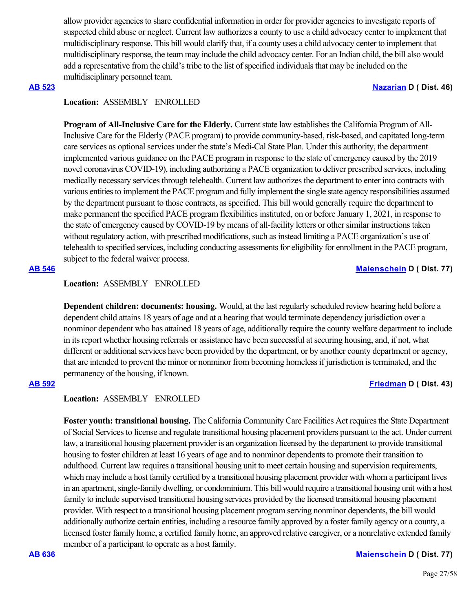allow provider agencies to share confidential information in order for provider agencies to investigate reports of suspected child abuse or neglect. Current law authorizes a county to use a child advocacy center to implement that multidisciplinary response. This bill would clarify that, if a county uses a child advocacy center to implement that multidisciplinary response, the team may include the child advocacy center. For an Indian child, the bill also would add a representative from the child's tribe to the list of specified individuals that may be included on the multidisciplinary personnel team.

### **[AB 523](https://ctweb.capitoltrack.com/public/publishbillinfo.aspx?bi=BKUxO9RlRbkbDhyUt92OVhsSUwKlRjohpyyDldk01w9vUU%2BdBtVA2xail5uJ0ppE) [Nazarian](https://a46.asmdc.org/) D ( Dist. 46)**

# **Location:**  ASSEMBLY ENROLLED

**Program of All-Inclusive Care for the Elderly.** Current state law establishes the California Program of All-Inclusive Care for the Elderly (PACE program) to provide community-based, risk-based, and capitated long-term care services as optional services under the state's Medi-Cal State Plan. Under this authority, the department implemented various guidance on the PACE program in response to the state of emergency caused by the 2019 novel coronavirus COVID-19), including authorizing a PACE organization to deliver prescribed services, including medically necessary services through telehealth. Current law authorizes the department to enter into contracts with various entities to implement the PACE program and fully implement the single state agency responsibilities assumed by the department pursuant to those contracts, as specified. This bill would generally require the department to make permanent the specified PACE program flexibilities instituted, on or before January 1, 2021, in response to the state of emergency caused by COVID-19 by means of all-facility letters or other similar instructions taken without regulatory action, with prescribed modifications, such as instead limiting a PACE organization's use of telehealth to specified services, including conducting assessments for eligibility for enrollment in the PACE program, subject to the federal waiver process.

### **[AB 546](https://ctweb.capitoltrack.com/public/publishbillinfo.aspx?bi=thZ0N%2BpJryuMdZwJrHWbKoyN1vPEbc3g697O5T16%2B1cJXHEOJJq23kAYQYEvVf%2Ft) [Maienschein](https://a77.asmdc.org/) D ( Dist. 77)**

### **Location:**  ASSEMBLY ENROLLED

**Dependent children: documents: housing.** Would, at the last regularly scheduled review hearing held before a dependent child attains 18 years of age and at a hearing that would terminate dependency jurisdiction over a nonminor dependent who has attained 18 years of age, additionally require the county welfare department to include in its report whether housing referrals or assistance have been successful at securing housing, and, if not, what different or additional services have been provided by the department, or by another county department or agency, that are intended to prevent the minor or nonminor from becoming homeless if jurisdiction is terminated, and the permanency of the housing, if known.

# **[AB 592](https://ctweb.capitoltrack.com/public/publishbillinfo.aspx?bi=fQ%2Fu6nhAfFAWzM%2BGOEj49VgevlzkYPBiDE00kfhBC7M%2BMmhClpgGKgt5T9nRXJoP) [Friedman](https://a43.asmdc.org/) D ( Dist. 43)**

### **Location:**  ASSEMBLY ENROLLED

**Foster youth: transitional housing.** The California Community Care Facilities Act requires the State Department of Social Services to license and regulate transitional housing placement providers pursuant to the act. Under current law, a transitional housing placement provider is an organization licensed by the department to provide transitional housing to foster children at least 16 years of age and to nonminor dependents to promote their transition to adulthood. Current law requires a transitional housing unit to meet certain housing and supervision requirements, which may include a host family certified by a transitional housing placement provider with whom a participant lives in an apartment, single-family dwelling, or condominium. This bill would require a transitional housing unit with a host family to include supervised transitional housing services provided by the licensed transitional housing placement provider. With respect to a transitional housing placement program serving nonminor dependents, the bill would additionally authorize certain entities, including a resource family approved by a foster family agency or a county, a licensed foster family home, a certified family home, an approved relative caregiver, or a nonrelative extended family member of a participant to operate as a host family.

### **[AB 636](https://ctweb.capitoltrack.com/public/publishbillinfo.aspx?bi=Vnl5GbYvnWAco%2F3Y13JD0AC88faTwIxstRVL1xbRaIKxDjG0Yf%2BOaKi6cgJpNTOC) [Maienschein](https://a77.asmdc.org/) D ( Dist. 77)**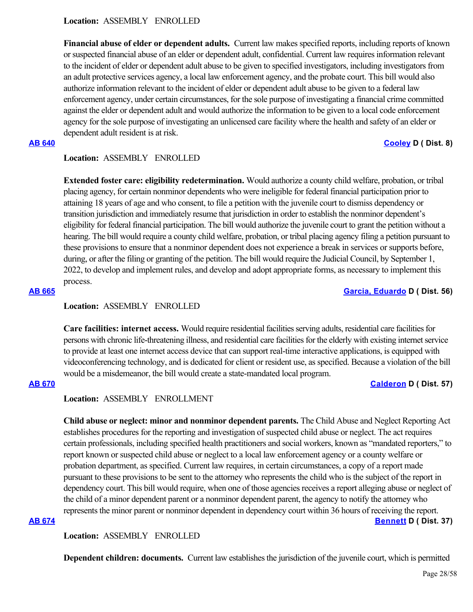**Location:**  ASSEMBLY ENROLLED

**Financial abuse of elder or dependent adults.** Current law makes specified reports, including reports of known or suspected financial abuse of an elder or dependent adult, confidential. Current law requires information relevant to the incident of elder or dependent adult abuse to be given to specified investigators, including investigators from an adult protective services agency, a local law enforcement agency, and the probate court. This bill would also authorize information relevant to the incident of elder or dependent adult abuse to be given to a federal law enforcement agency, under certain circumstances, for the sole purpose of investigating a financial crime committed against the elder or dependent adult and would authorize the information to be given to a local code enforcement agency for the sole purpose of investigating an unlicensed care facility where the health and safety of an elder or dependent adult resident is at risk.

# **[AB 640](https://ctweb.capitoltrack.com/public/publishbillinfo.aspx?bi=C698HkHGL8M83uO1QcZKs8xd7x6BEeCRXVTffnVPj0uP2cLBC8Ckl68t1POwOzvQ) [Cooley](https://a08.asmdc.org/) D ( Dist. 8)**

# **Location:**  ASSEMBLY ENROLLED

**Extended foster care: eligibility redetermination.** Would authorize a county child welfare, probation, or tribal placing agency, for certain nonminor dependents who were ineligible for federal financial participation prior to attaining 18 years of age and who consent, to file a petition with the juvenile court to dismiss dependency or transition jurisdiction and immediately resume that jurisdiction in order to establish the nonminor dependent's eligibility for federal financial participation. The bill would authorize the juvenile court to grant the petition without a hearing. The bill would require a county child welfare, probation, or tribal placing agency filing a petition pursuant to these provisions to ensure that a nonminor dependent does not experience a break in services or supports before, during, or after the filing or granting of the petition. The bill would require the Judicial Council, by September 1, 2022, to develop and implement rules, and develop and adopt appropriate forms, as necessary to implement this process.

### **[AB 665](https://ctweb.capitoltrack.com/public/publishbillinfo.aspx?bi=Myq2sd2DpiB5gSUg9awSoNLeO0RYVxGivycvN7XOp3kRFk1Kv0iR3bZKgXFW2Ujr) [Garcia, Eduardo](https://a56.asmdc.org/) D ( Dist. 56)**

# **Location:**  ASSEMBLY ENROLLED

**Care facilities: internet access.** Would require residential facilities serving adults, residential care facilities for persons with chronic life-threatening illness, and residential care facilities for the elderly with existing internet service to provide at least one internet access device that can support real-time interactive applications, is equipped with videoconferencing technology, and is dedicated for client or resident use, as specified. Because a violation of the bill would be a misdemeanor, the bill would create a state-mandated local program.

### **[AB 670](https://ctweb.capitoltrack.com/public/publishbillinfo.aspx?bi=lfp1FvlvQtJibWs1y92D3G5Pq4H0HBUQJNPmOSNb%2BPKp3IKJkmWUM54uu2znrJ0f) [Calderon](https://a57.asmdc.org/) D ( Dist. 57)**

# **Location:**  ASSEMBLY ENROLLMENT

**Child abuse or neglect: minor and nonminor dependent parents.** The Child Abuse and Neglect Reporting Act establishes procedures for the reporting and investigation of suspected child abuse or neglect. The act requires certain professionals, including specified health practitioners and social workers, known as "mandated reporters," to report known or suspected child abuse or neglect to a local law enforcement agency or a county welfare or probation department, as specified. Current law requires, in certain circumstances, a copy of a report made pursuant to these provisions to be sent to the attorney who represents the child who is the subject of the report in dependency court. This bill would require, when one of those agencies receives a report alleging abuse or neglect of the child of a minor dependent parent or a nonminor dependent parent, the agency to notify the attorney who represents the minor parent or nonminor dependent in dependency court within 36 hours of receiving the report. **[AB 674](https://ctweb.capitoltrack.com/public/publishbillinfo.aspx?bi=2mlsBFxRIVCKUSWRzBraS2y0PnyNx6bWRgWzcyaZYUPBlyin5AxkxUiz4LWrH4Yb) [Bennett](https://a37.asmdc.org/) D ( Dist. 37)**

**Location:**  ASSEMBLY ENROLLED

**Dependent children: documents.** Current law establishes the jurisdiction of the juvenile court, which is permitted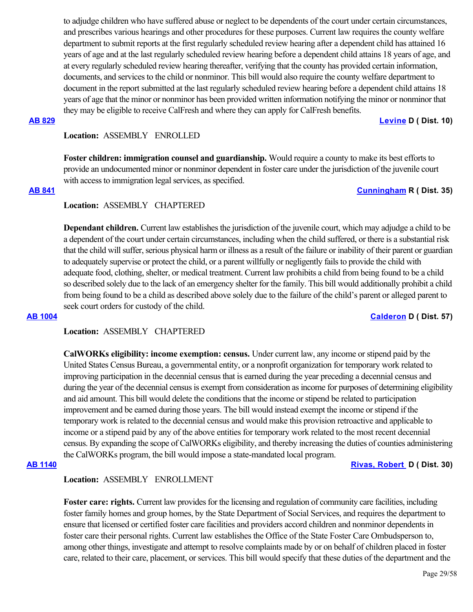to adjudge children who have suffered abuse or neglect to be dependents of the court under certain circumstances, and prescribes various hearings and other procedures for these purposes. Current law requires the county welfare department to submit reports at the first regularly scheduled review hearing after a dependent child has attained 16 years of age and at the last regularly scheduled review hearing before a dependent child attains 18 years of age, and at every regularly scheduled review hearing thereafter, verifying that the county has provided certain information, documents, and services to the child or nonminor. This bill would also require the county welfare department to document in the report submitted at the last regularly scheduled review hearing before a dependent child attains 18 years of age that the minor or nonminor has been provided written information notifying the minor or nonminor that they may be eligible to receive CalFresh and where they can apply for CalFresh benefits.

**[AB 829](https://ctweb.capitoltrack.com/public/publishbillinfo.aspx?bi=FJjvK3IFUdh3%2B%2FI09VHY2jUSrv5Yr25ETbjUiownvBCIAAode42Vebf%2F6uxi5IzB) [Levine](https://a10.asmdc.org/) D ( Dist. 10)**

# **Location:**  ASSEMBLY ENROLLED

**Foster children: immigration counsel and guardianship.** Would require a county to make its best efforts to provide an undocumented minor or nonminor dependent in foster care under the jurisdiction of the juvenile court with access to immigration legal services, as specified.

### **[AB 841](https://ctweb.capitoltrack.com/public/publishbillinfo.aspx?bi=STQyvr5UN9ogDE0GYAaB%2FnFoY2a9y6Lchm0mKvsgCD6%2FqlS%2Fjk67RO58K%2FIdL46A) [Cunningham](https://ad35.asmrc.org/) R ( Dist. 35)**

# **Location:**  ASSEMBLY CHAPTERED

**Dependant children.** Current law establishes the jurisdiction of the juvenile court, which may adjudge a child to be a dependent of the court under certain circumstances, including when the child suffered, or there is a substantial risk that the child will suffer, serious physical harm or illness as a result of the failure or inability of their parent or guardian to adequately supervise or protect the child, or a parent willfully or negligently fails to provide the child with adequate food, clothing, shelter, or medical treatment. Current law prohibits a child from being found to be a child so described solely due to the lack of an emergency shelter for the family. This bill would additionally prohibit a child from being found to be a child as described above solely due to the failure of the child's parent or alleged parent to seek court orders for custody of the child.

# **[AB 1004](https://ctweb.capitoltrack.com/public/publishbillinfo.aspx?bi=S8kifD84ch3r%2BrDweWQNZ4jKS2ipswmj79C%2B6FjsDiV%2BIeC%2Fwzksk%2FIk5E4Je%2F%2FS) [Calderon](https://a57.asmdc.org/) D ( Dist. 57)**

# **Location:**  ASSEMBLY CHAPTERED

**CalWORKs eligibility: income exemption: census.** Under current law, any income or stipend paid by the United States Census Bureau, a governmental entity, or a nonprofit organization for temporary work related to improving participation in the decennial census that is earned during the year preceding a decennial census and during the year of the decennial census is exempt from consideration as income for purposes of determining eligibility and aid amount. This bill would delete the conditions that the income or stipend be related to participation improvement and be earned during those years. The bill would instead exempt the income or stipend if the temporary work is related to the decennial census and would make this provision retroactive and applicable to income or a stipend paid by any of the above entities for temporary work related to the most recent decennial census. By expanding the scope of CalWORKs eligibility, and thereby increasing the duties of counties administering the CalWORKs program, the bill would impose a state-mandated local program.

### **[AB 1140](https://ctweb.capitoltrack.com/public/publishbillinfo.aspx?bi=2RwChrnFSiX0s2sEO2KCa03Xi7pQOepqs4XGW3mvq6V%2Bp6kH%2FHxOi%2BD3Jm%2BkmvIn) [Rivas, Robert](https://a30.asmdc.org/)  D ( Dist. 30)**

# **Location:**  ASSEMBLY ENROLLMENT

**Foster care: rights.** Current law provides for the licensing and regulation of community care facilities, including foster family homes and group homes, by the State Department of Social Services, and requires the department to ensure that licensed or certified foster care facilities and providers accord children and nonminor dependents in foster care their personal rights. Current law establishes the Office of the State Foster Care Ombudsperson to, among other things, investigate and attempt to resolve complaints made by or on behalf of children placed in foster care, related to their care, placement, or services. This bill would specify that these duties of the department and the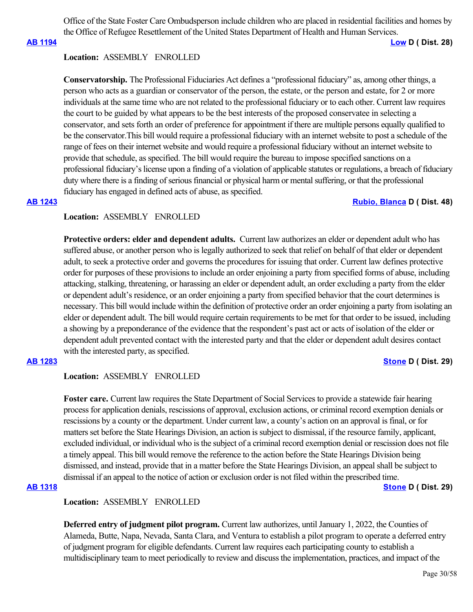Office of the State Foster Care Ombudsperson include children who are placed in residential facilities and homes by the Office of Refugee Resettlement of the United States Department of Health and Human Services.

**[AB 1194](https://ctweb.capitoltrack.com/public/publishbillinfo.aspx?bi=1sQYhjm1zAo4AruvY2h%2FhNyjWNSNu42vsPUR0LoO8NATFUO%2BGAzrZbfWvZYUrSEu) [Low](https://a28.asmdc.org/) D ( Dist. 28)**

### **Location:**  ASSEMBLY ENROLLED

**Conservatorship.** The Professional Fiduciaries Act defines a "professional fiduciary" as, among other things, a person who acts as a guardian or conservator of the person, the estate, or the person and estate, for 2 or more individuals at the same time who are not related to the professional fiduciary or to each other. Current law requires the court to be guided by what appears to be the best interests of the proposed conservatee in selecting a conservator, and sets forth an order of preference for appointment if there are multiple persons equally qualified to be the conservator.This bill would require a professional fiduciary with an internet website to post a schedule of the range of fees on their internet website and would require a professional fiduciary without an internet website to provide that schedule, as specified. The bill would require the bureau to impose specified sanctions on a professional fiduciary's license upon a finding of a violation of applicable statutes or regulations, a breach of fiduciary duty where there is a finding of serious financial or physical harm or mental suffering, or that the professional fiduciary has engaged in defined acts of abuse, as specified.

# **[AB 1243](https://ctweb.capitoltrack.com/public/publishbillinfo.aspx?bi=CRN7dkk4DBv%2BMJYuYNQPOzNg%2FLSfMFDrHETIKIg77vuCZ2EBOYOtKOu46ykKWjXi) [Rubio, Blanca](https://a48.asmdc.org/) D ( Dist. 48)**

# **Location:**  ASSEMBLY ENROLLED

**Protective orders: elder and dependent adults.** Current law authorizes an elder or dependent adult who has suffered abuse, or another person who is legally authorized to seek that relief on behalf of that elder or dependent adult, to seek a protective order and governs the procedures for issuing that order. Current law defines protective order for purposes of these provisions to include an order enjoining a party from specified forms of abuse, including attacking, stalking, threatening, or harassing an elder or dependent adult, an order excluding a party from the elder or dependent adult's residence, or an order enjoining a party from specified behavior that the court determines is necessary. This bill would include within the definition of protective order an order enjoining a party from isolating an elder or dependent adult. The bill would require certain requirements to be met for that order to be issued, including a showing by a preponderance of the evidence that the respondent's past act or acts of isolation of the elder or dependent adult prevented contact with the interested party and that the elder or dependent adult desires contact with the interested party, as specified.

### **[AB 1283](https://ctweb.capitoltrack.com/public/publishbillinfo.aspx?bi=z4wcE2VEKkBbrjRZE0%2FgT8hxOHDDyVlCUcOhFykRm%2BJaVqg6Y%2B%2FM5SZQ%2FRj7IxBT) [Stone](https://a29.asmdc.org/) D ( Dist. 29)**

### **Location:**  ASSEMBLY ENROLLED

**Foster care.** Current law requires the State Department of Social Services to provide a statewide fair hearing process for application denials, rescissions of approval, exclusion actions, or criminal record exemption denials or rescissions by a county or the department. Under current law, a county's action on an approval is final, or for matters set before the State Hearings Division, an action is subject to dismissal, if the resource family, applicant, excluded individual, or individual who is the subject of a criminal record exemption denial or rescission does not file a timely appeal. This bill would remove the reference to the action before the State Hearings Division being dismissed, and instead, provide that in a matter before the State Hearings Division, an appeal shall be subject to dismissal if an appeal to the notice of action or exclusion order is not filed within the prescribed time.

### **[AB 1318](https://ctweb.capitoltrack.com/public/publishbillinfo.aspx?bi=3xYd8%2Bhlw6BJi1bzvx90ooGPM8WavWdlifE23zFXHdwgrPRcuOccSw1zRx%2BgRPXC) [Stone](https://a29.asmdc.org/) D ( Dist. 29)**

### **Location:**  ASSEMBLY ENROLLED

**Deferred entry of judgment pilot program.** Current law authorizes, until January 1, 2022, the Counties of Alameda, Butte, Napa, Nevada, Santa Clara, and Ventura to establish a pilot program to operate a deferred entry of judgment program for eligible defendants. Current law requires each participating county to establish a multidisciplinary team to meet periodically to review and discuss the implementation, practices, and impact of the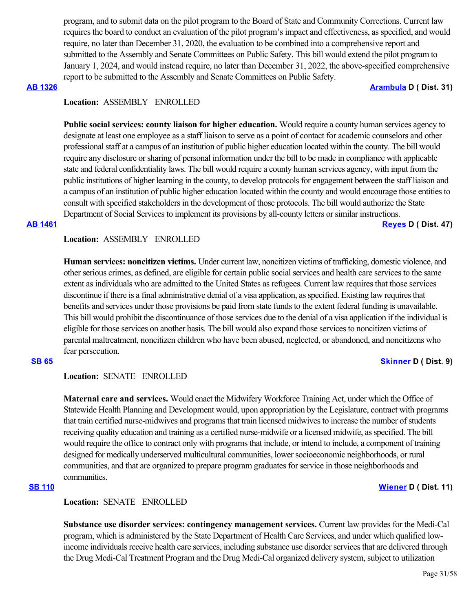program, and to submit data on the pilot program to the Board of State and Community Corrections. Current law requires the board to conduct an evaluation of the pilot program's impact and effectiveness, as specified, and would require, no later than December 31, 2020, the evaluation to be combined into a comprehensive report and submitted to the Assembly and Senate Committees on Public Safety. This bill would extend the pilot program to January 1, 2024, and would instead require, no later than December 31, 2022, the above-specified comprehensive report to be submitted to the Assembly and Senate Committees on Public Safety.

**[AB 1326](https://ctweb.capitoltrack.com/public/publishbillinfo.aspx?bi=svrk76HjH2ADJYa7%2BYPKRBoSAcvBt37eftHLkQUTJeHOz%2Fc7u%2BOmwkj5smQgI1rk) [Arambula](https://a31.asmdc.org/) D ( Dist. 31)**

# **Location:**  ASSEMBLY ENROLLED

**Public social services: county liaison for higher education.** Would require a county human services agency to designate at least one employee as a staff liaison to serve as a point of contact for academic counselors and other professional staff at a campus of an institution of public higher education located within the county. The bill would require any disclosure or sharing of personal information under the bill to be made in compliance with applicable state and federal confidentiality laws. The bill would require a county human services agency, with input from the public institutions of higher learning in the county, to develop protocols for engagement between the staff liaison and a campus of an institution of public higher education located within the county and would encourage those entities to consult with specified stakeholders in the development of those protocols. The bill would authorize the State Department of Social Services to implement its provisions by all-county letters or similar instructions.

**[AB 1461](https://ctweb.capitoltrack.com/public/publishbillinfo.aspx?bi=xnxBSDrKB9s8NJd3XQzCrxbyLpOEYIZLcDC53gNeghFkSBXbojMBIPDw6%2B6CiK80) [Reyes](https://a47.asmdc.org/) D ( Dist. 47)**

# **Location:**  ASSEMBLY ENROLLED

**Human services: noncitizen victims.** Under current law, noncitizen victims of trafficking, domestic violence, and other serious crimes, as defined, are eligible for certain public social services and health care services to the same extent as individuals who are admitted to the United States as refugees. Current law requires that those services discontinue if there is a final administrative denial of a visa application, as specified. Existing law requires that benefits and services under those provisions be paid from state funds to the extent federal funding is unavailable. This bill would prohibit the discontinuance of those services due to the denial of a visa application if the individual is eligible for those services on another basis. The bill would also expand those services to noncitizen victims of parental maltreatment, noncitizen children who have been abused, neglected, or abandoned, and noncitizens who fear persecution.

### **[SB 65](https://ctweb.capitoltrack.com/public/publishbillinfo.aspx?bi=%2FHOWLwGK1XZNtjiJeTXDh%2Bbm7GAj6oVDVuqYUpCneby%2FhpFImvN6Gt97ueuNieQD) [Skinner](http://sd09.senate.ca.gov/) D ( Dist. 9)**

### **Location:**  SENATE ENROLLED

**Maternal care and services.** Would enact the Midwifery Workforce Training Act, under which the Office of Statewide Health Planning and Development would, upon appropriation by the Legislature, contract with programs that train certified nurse-midwives and programs that train licensed midwives to increase the number of students receiving quality education and training as a certified nurse-midwife or a licensed midwife, as specified. The bill would require the office to contract only with programs that include, or intend to include, a component of training designed for medically underserved multicultural communities, lower socioeconomic neighborhoods, or rural communities, and that are organized to prepare program graduates for service in those neighborhoods and communities.

# **[SB 110](https://ctweb.capitoltrack.com/public/publishbillinfo.aspx?bi=P%2FUz4%2Fe%2BnFMjmpFEY8MsLSHRRqwnTX8J9bMKTe54krqBzz%2F3EE3kPOcnaFJhO8PX) [Wiener](http://sd11.senate.ca.gov/) D ( Dist. 11)**

# **Location:**  SENATE ENROLLED

**Substance use disorder services: contingency management services.** Current law provides for the Medi-Cal program, which is administered by the State Department of Health Care Services, and under which qualified lowincome individuals receive health care services, including substance use disorder services that are delivered through the Drug Medi-Cal Treatment Program and the Drug Medi-Cal organized delivery system, subject to utilization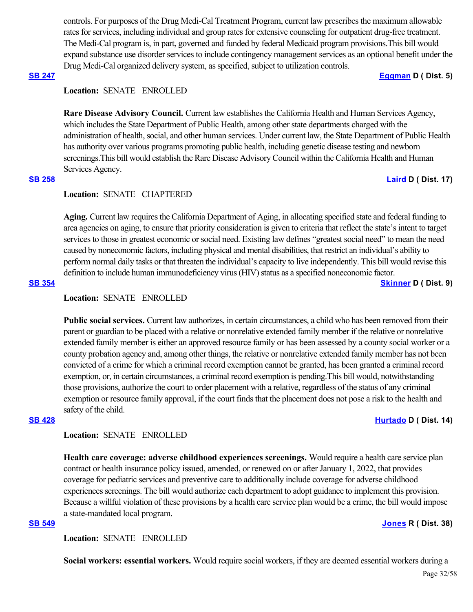controls. For purposes of the Drug Medi-Cal Treatment Program, current law prescribes the maximum allowable rates for services, including individual and group rates for extensive counseling for outpatient drug-free treatment. The Medi-Cal program is, in part, governed and funded by federal Medicaid program provisions.This bill would expand substance use disorder services to include contingency management services as an optional benefit under the Drug Medi-Cal organized delivery system, as specified, subject to utilization controls.

### **[SB 247](https://ctweb.capitoltrack.com/public/publishbillinfo.aspx?bi=oyZLyLOipHGopRG0E%2Fjxrbdmt2M7Ht3pp6hQdA8fUPgric7sLeh3cXldUaXMtaFS) [Eggman](http://sd05.senate.ca.gov/) D ( Dist. 5)**

# **Location:**  SENATE ENROLLED

**Rare Disease Advisory Council.** Current law establishes the California Health and Human Services Agency, which includes the State Department of Public Health, among other state departments charged with the administration of health, social, and other human services. Under current law, the State Department of Public Health has authority over various programs promoting public health, including genetic disease testing and newborn screenings.This bill would establish the Rare Disease Advisory Council within the California Health and Human Services Agency.

# **[SB 258](https://ctweb.capitoltrack.com/public/publishbillinfo.aspx?bi=H74O4FIwzMG7aFNPQG0ivkceYCLaOgA3guaiJOH9G5t1boPWUcPdhCkmXqTornqS) [Laird](http://sd17.senate.ca.gov/) D ( Dist. 17)**

### **Location:**  SENATE CHAPTERED

**Aging.** Current law requires the California Department of Aging, in allocating specified state and federal funding to area agencies on aging, to ensure that priority consideration is given to criteria that reflect the state's intent to target services to those in greatest economic or social need. Existing law defines "greatest social need" to mean the need caused by noneconomic factors, including physical and mental disabilities, that restrict an individual's ability to perform normal daily tasks or that threaten the individual's capacity to live independently. This bill would revise this definition to include human immunodeficiency virus (HIV) status as a specified noneconomic factor.

**[SB 354](https://ctweb.capitoltrack.com/public/publishbillinfo.aspx?bi=AArCEUp%2BK8YB9BMi10w7kZLmrcm9xaJWKn0sYCdxliv%2Fmsr1JU04kn7DCvEZPulE) [Skinner](http://sd09.senate.ca.gov/) D ( Dist. 9)**

# **Location:**  SENATE ENROLLED

**Public social services.** Current law authorizes, in certain circumstances, a child who has been removed from their parent or guardian to be placed with a relative or nonrelative extended family member if the relative or nonrelative extended family member is either an approved resource family or has been assessed by a county social worker or a county probation agency and, among other things, the relative or nonrelative extended family member has not been convicted of a crime for which a criminal record exemption cannot be granted, has been granted a criminal record exemption, or, in certain circumstances, a criminal record exemption is pending.This bill would, notwithstanding those provisions, authorize the court to order placement with a relative, regardless of the status of any criminal exemption or resource family approval, if the court finds that the placement does not pose a risk to the health and safety of the child.

### **[SB 428](https://ctweb.capitoltrack.com/public/publishbillinfo.aspx?bi=i6mcT0H2LhKnEF5F%2Foj4NrdvRsvU7PVmSi28FfYaShbeoUta06PchYQawDXZEdur) [Hurtado](https://sd14.senate.ca.gov/) D ( Dist. 14)**

### **Location:**  SENATE ENROLLED

**Health care coverage: adverse childhood experiences screenings.** Would require a health care service plan contract or health insurance policy issued, amended, or renewed on or after January 1, 2022, that provides coverage for pediatric services and preventive care to additionally include coverage for adverse childhood experiences screenings. The bill would authorize each department to adopt guidance to implement this provision. Because a willful violation of these provisions by a health care service plan would be a crime, the bill would impose a state-mandated local program.

### **[SB 549](https://ctweb.capitoltrack.com/public/publishbillinfo.aspx?bi=o5Z1P6xdagM0KvYFV1mAq%2FdB34p7U6HX%2FtvRc3d2ea6BjDTgMdBMV7zkxurH7Uyc) [Jones](https://jones.cssrc.us/) R ( Dist. 38)**

**Location:**  SENATE ENROLLED

**Social workers: essential workers.** Would require social workers, if they are deemed essential workers during a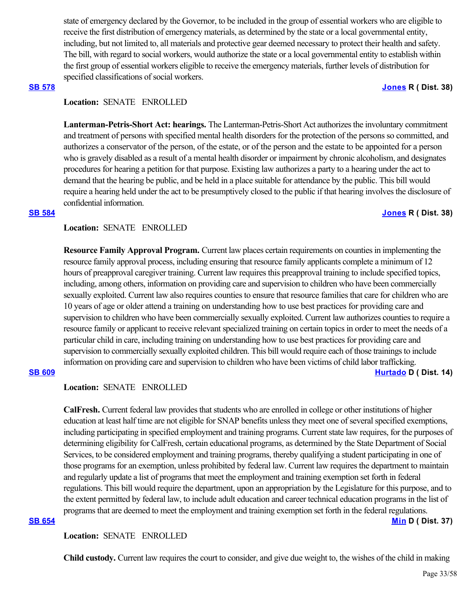state of emergency declared by the Governor, to be included in the group of essential workers who are eligible to receive the first distribution of emergency materials, as determined by the state or a local governmental entity, including, but not limited to, all materials and protective gear deemed necessary to protect their health and safety. The bill, with regard to social workers, would authorize the state or a local governmental entity to establish within the first group of essential workers eligible to receive the emergency materials, further levels of distribution for specified classifications of social workers.

### **[SB 578](https://ctweb.capitoltrack.com/public/publishbillinfo.aspx?bi=eOYqZtxGPsud86GZnbsGfqcDWe9no%2BWOkqhNpVvqoVDQKURNteTIzkLTNg%2BUZ5pZ) [Jones](https://jones.cssrc.us/) R ( Dist. 38)**

# **Location:**  SENATE ENROLLED

**Lanterman-Petris-Short Act: hearings.** The Lanterman-Petris-Short Act authorizes the involuntary commitment and treatment of persons with specified mental health disorders for the protection of the persons so committed, and authorizes a conservator of the person, of the estate, or of the person and the estate to be appointed for a person who is gravely disabled as a result of a mental health disorder or impairment by chronic alcoholism, and designates procedures for hearing a petition for that purpose. Existing law authorizes a party to a hearing under the act to demand that the hearing be public, and be held in a place suitable for attendance by the public. This bill would require a hearing held under the act to be presumptively closed to the public if that hearing involves the disclosure of confidential information.

### **[SB 584](https://ctweb.capitoltrack.com/public/publishbillinfo.aspx?bi=T5j945lGjd3bxlcumuIv24hkHn7MjBzSullS6h9GN7DOVnoRZjG4rV3Vdc0L9QHx) [Jones](https://jones.cssrc.us/) R ( Dist. 38)**

### **Location:**  SENATE ENROLLED

**Resource Family Approval Program.** Current law places certain requirements on counties in implementing the resource family approval process, including ensuring that resource family applicants complete a minimum of 12 hours of preapproval caregiver training. Current law requires this preapproval training to include specified topics, including, among others, information on providing care and supervision to children who have been commercially sexually exploited. Current law also requires counties to ensure that resource families that care for children who are 10 years of age or older attend a training on understanding how to use best practices for providing care and supervision to children who have been commercially sexually exploited. Current law authorizes counties to require a resource family or applicant to receive relevant specialized training on certain topics in order to meet the needs of a particular child in care, including training on understanding how to use best practices for providing care and supervision to commercially sexually exploited children. This bill would require each of those trainings to include information on providing care and supervision to children who have been victims of child labor trafficking. **[SB 609](https://ctweb.capitoltrack.com/public/publishbillinfo.aspx?bi=IAHtD%2F1INn7JOtwlhDag1P4Dzo7bZZfs9TNj70Ab%2F2KQjOrwqcPTOc1OYBA59rih) [Hurtado](https://sd14.senate.ca.gov/) D ( Dist. 14)**

# **Location:**  SENATE ENROLLED

**CalFresh.** Current federal law provides that students who are enrolled in college or other institutions of higher education at least half time are not eligible for SNAP benefits unless they meet one of several specified exemptions, including participating in specified employment and training programs. Current state law requires, for the purposes of determining eligibility for CalFresh, certain educational programs, as determined by the State Department of Social Services, to be considered employment and training programs, thereby qualifying a student participating in one of those programs for an exemption, unless prohibited by federal law. Current law requires the department to maintain and regularly update a list of programs that meet the employment and training exemption set forth in federal regulations. This bill would require the department, upon an appropriation by the Legislature for this purpose, and to the extent permitted by federal law, to include adult education and career technical education programs in the list of programs that are deemed to meet the employment and training exemption set forth in the federal regulations. **[SB 654](https://ctweb.capitoltrack.com/public/publishbillinfo.aspx?bi=pZE%2BsQC2w59Q1CFEIcPz6Chwe1miXAOHTrkKUY2n%2FD%2BLxmXhshjkXL6Z4l%2F5kSlD) [Min](https://sd37.senate.ca.gov/) D ( Dist. 37)**

# **Location:**  SENATE ENROLLED

**Child custody.** Current law requires the court to consider, and give due weight to, the wishes of the child in making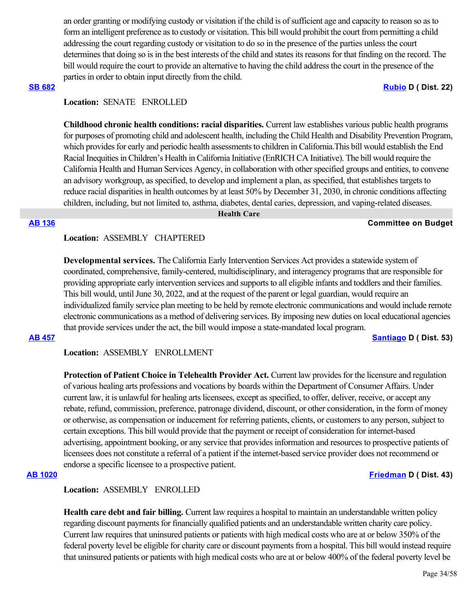an order granting or modifying custody or visitation if the child is of sufficient age and capacity to reason so as to form an intelligent preference as to custody or visitation. This bill would prohibit the court from permitting a child addressing the court regarding custody or visitation to do so in the presence of the parties unless the court determines that doing so is in the best interests of the child and states its reasons for that finding on the record. The bill would require the court to provide an alternative to having the child address the court in the presence of the parties in order to obtain input directly from the child.

### **[SB 682](https://ctweb.capitoltrack.com/public/publishbillinfo.aspx?bi=7bcKPH1zLWjWn5YFrZvVuPmnr451mt3CfthO%2FZ%2B4uD%2FBoaYOu176yP7SuotplQ%2Bj) [Rubio](http://sd22.senate.ca.gov/) D ( Dist. 22)**

# **Location:**  SENATE ENROLLED

**Childhood chronic health conditions: racial disparities.** Current law establishes various public health programs for purposes of promoting child and adolescent health, including the Child Health and Disability Prevention Program, which provides for early and periodic health assessments to children in California.This bill would establish the End Racial Inequities in Children's Health in California Initiative (EnRICH CA Initiative). The bill would require the California Health and Human Services Agency, in collaboration with other specified groups and entities, to convene an advisory workgroup, as specified, to develop and implement a plan, as specified, that establishes targets to reduce racial disparities in health outcomes by at least 50% by December 31, 2030, in chronic conditions affecting children, including, but not limited to, asthma, diabetes, dental caries, depression, and vaping-related diseases.

### **Health Care**

### **[AB 136](https://ctweb.capitoltrack.com/public/publishbillinfo.aspx?bi=7MkbjgWdSz6NV3omxNtY7zX7kqQsQOnXcWtTdoXtrlEEGaUX8zsiAUTW81cXaepg) Committee on Budget**

# **Location:**  ASSEMBLY CHAPTERED

**Developmental services.** The California Early Intervention Services Act provides a statewide system of coordinated, comprehensive, family-centered, multidisciplinary, and interagency programs that are responsible for providing appropriate early intervention services and supports to all eligible infants and toddlers and their families. This bill would, until June 30, 2022, and at the request of the parent or legal guardian, would require an individualized family service plan meeting to be held by remote electronic communications and would include remote electronic communications as a method of delivering services. By imposing new duties on local educational agencies that provide services under the act, the bill would impose a state-mandated local program.

**[AB 457](https://ctweb.capitoltrack.com/public/publishbillinfo.aspx?bi=vix9L6cURM18Q1gu5PaNkvMfByD%2BMRelRas42Qb6q2HFxbgD5BJUBDaaLGvOqGrc) [Santiago](https://a53.asmdc.org/) D ( Dist. 53)**

### **Location:**  ASSEMBLY ENROLLMENT

Protection of Patient Choice in Telehealth Provider Act. Current law provides for the licensure and regulation of various healing arts professions and vocations by boards within the Department of Consumer Affairs. Under current law, it is unlawful for healing arts licensees, except as specified, to offer, deliver, receive, or accept any rebate, refund, commission, preference, patronage dividend, discount, or other consideration, in the form of money or otherwise, as compensation or inducement for referring patients, clients, or customers to any person, subject to certain exceptions. This bill would provide that the payment or receipt of consideration for internet-based advertising, appointment booking, or any service that provides information and resources to prospective patients of licensees does not constitute a referral of a patient if the internet-based service provider does not recommend or endorse a specific licensee to a prospective patient.

### **[AB 1020](https://ctweb.capitoltrack.com/public/publishbillinfo.aspx?bi=FksiXDGaR8JBH3cQ9QP2oAxjtpLBXC8f6oZhyDOmHgSboHmwGJhihXaB9QxXjur9) [Friedman](https://a43.asmdc.org/) D ( Dist. 43)**

# **Location:**  ASSEMBLY ENROLLED

**Health care debt and fair billing.** Current law requires a hospital to maintain an understandable written policy regarding discount payments for financially qualified patients and an understandable written charity care policy. Current law requires that uninsured patients or patients with high medical costs who are at or below 350% of the federal poverty level be eligible for charity care or discount payments from a hospital. This bill would instead require that uninsured patients or patients with high medical costs who are at or below 400% of the federal poverty level be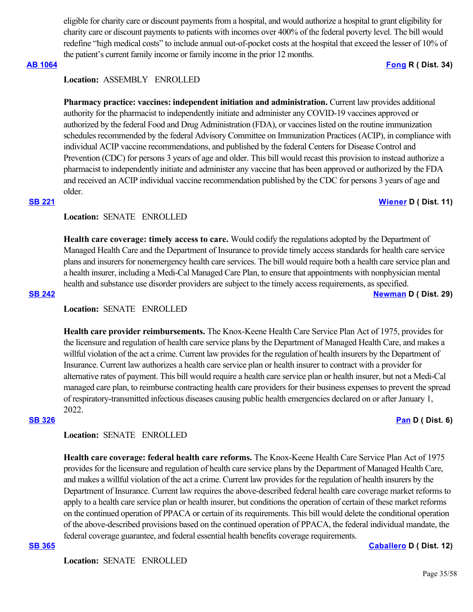eligible for charity care or discount payments from a hospital, and would authorize a hospital to grant eligibility for charity care or discount payments to patients with incomes over 400% of the federal poverty level. The bill would redefine "high medical costs" to include annual out-of-pocket costs at the hospital that exceed the lesser of 10% of the patient's current family income or family income in the prior 12 months.

# **[AB 1064](https://ctweb.capitoltrack.com/public/publishbillinfo.aspx?bi=Z%2Ftesw%2BweRcVUAkMkrQDKcixOfs6i%2BBy4Y7JagU7jpCpzyL000VRmAJk5IHYnnnp) [Fong](https://ad34.asmrc.org/) R ( Dist. 34)**

### **Location:**  ASSEMBLY ENROLLED

**Pharmacy practice: vaccines: independent initiation and administration.** Current law provides additional authority for the pharmacist to independently initiate and administer any COVID-19 vaccines approved or authorized by the federal Food and Drug Administration (FDA), or vaccines listed on the routine immunization schedules recommended by the federal Advisory Committee on Immunization Practices (ACIP), in compliance with individual ACIP vaccine recommendations, and published by the federal Centers for Disease Control and Prevention (CDC) for persons 3 years of age and older. This bill would recast this provision to instead authorize a pharmacist to independently initiate and administer any vaccine that has been approved or authorized by the FDA and received an ACIP individual vaccine recommendation published by the CDC for persons 3 years of age and older.

### **[SB 221](https://ctweb.capitoltrack.com/public/publishbillinfo.aspx?bi=02TFkTROZGiyWjpXik422PRKImIGCHGHyiKXSdkpVTu0ELATlU2nGQva7qCChyTP) [Wiener](http://sd11.senate.ca.gov/) D ( Dist. 11)**

### **Location:**  SENATE ENROLLED

**Health care coverage: timely access to care.** Would codify the regulations adopted by the Department of Managed Health Care and the Department of Insurance to provide timely access standards for health care service plans and insurers for nonemergency health care services. The bill would require both a health care service plan and a health insurer, including a Medi-Cal Managed Care Plan, to ensure that appointments with nonphysician mental health and substance use disorder providers are subject to the timely access requirements, as specified.

### **[SB 242](https://ctweb.capitoltrack.com/public/publishbillinfo.aspx?bi=Mk7tCVceyzDHdP3rovclLi%2FI5qua4pNVAdienSsb%2FPgYPzNUj2xX1a1hwek93db6) [Newman](https://sd29.senate.ca.gov/) D ( Dist. 29)**

### **Location:**  SENATE ENROLLED

**Health care provider reimbursements.** The Knox-Keene Health Care Service Plan Act of 1975, provides for the licensure and regulation of health care service plans by the Department of Managed Health Care, and makes a willful violation of the act a crime. Current law provides for the regulation of health insurers by the Department of Insurance. Current law authorizes a health care service plan or health insurer to contract with a provider for alternative rates of payment. This bill would require a health care service plan or health insurer, but not a Medi-Cal managed care plan, to reimburse contracting health care providers for their business expenses to prevent the spread of respiratory-transmitted infectious diseases causing public health emergencies declared on or after January 1, 2022.

### **[SB 326](https://ctweb.capitoltrack.com/public/publishbillinfo.aspx?bi=rB1Y6WTBXDGv7UE69YA8YDgjzroTVr5CXCMxvhqDq24FJBc1jq%2FUUtqLOrkUOp5c) [Pan](http://sd06.senate.ca.gov/) D ( Dist. 6)**

### **Location:**  SENATE ENROLLED

**Health care coverage: federal health care reforms.** The Knox-Keene Health Care Service Plan Act of 1975 provides for the licensure and regulation of health care service plans by the Department of Managed Health Care, and makes a willful violation of the act a crime. Current law provides for the regulation of health insurers by the Department of Insurance. Current law requires the above-described federal health care coverage market reforms to apply to a health care service plan or health insurer, but conditions the operation of certain of these market reforms on the continued operation of PPACA or certain of its requirements. This bill would delete the conditional operation of the above-described provisions based on the continued operation of PPACA, the federal individual mandate, the federal coverage guarantee, and federal essential health benefits coverage requirements.

**[SB 365](https://ctweb.capitoltrack.com/public/publishbillinfo.aspx?bi=Sp90Z7k4CLT9ez%2B8S064t8vLxns45VHZvsoADXYVhJjzsL29FncAQzMz74irR3%2FM) [Caballero](https://sd12.senate.ca.gov/) D ( Dist. 12)**

**Location:**  SENATE ENROLLED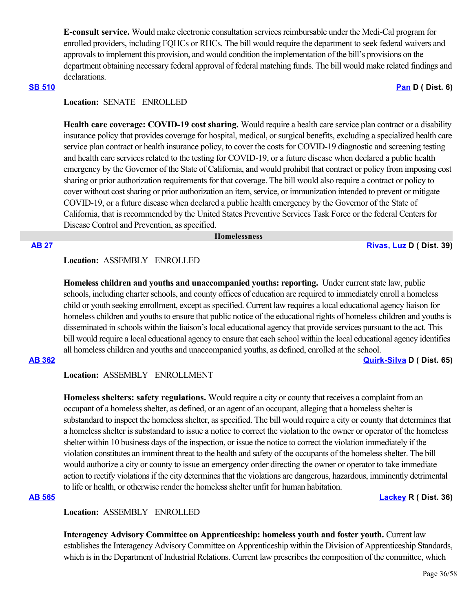**E-consult service.** Would make electronic consultation services reimbursable under the Medi-Cal program for enrolled providers, including FQHCs or RHCs. The bill would require the department to seek federal waivers and approvals to implement this provision, and would condition the implementation of the bill's provisions on the department obtaining necessary federal approval of federal matching funds. The bill would make related findings and declarations.

### **[SB 510](https://ctweb.capitoltrack.com/public/publishbillinfo.aspx?bi=yqXr%2BymIRJekVPNaMqU6maySQjqzaERMo0fGL8TgIB%2FGkq9z3DbzbdQyayr2gwxH) [Pan](http://sd06.senate.ca.gov/) D ( Dist. 6)**

# **Location:**  SENATE ENROLLED

**Health care coverage: COVID-19 cost sharing.** Would require a health care service plan contract or a disability insurance policy that provides coverage for hospital, medical, or surgical benefits, excluding a specialized health care service plan contract or health insurance policy, to cover the costs for COVID-19 diagnostic and screening testing and health care services related to the testing for COVID-19, or a future disease when declared a public health emergency by the Governor of the State of California, and would prohibit that contract or policy from imposing cost sharing or prior authorization requirements for that coverage. The bill would also require a contract or policy to cover without cost sharing or prior authorization an item, service, or immunization intended to prevent or mitigate COVID-19, or a future disease when declared a public health emergency by the Governor of the State of California, that is recommended by the United States Preventive Services Task Force or the federal Centers for Disease Control and Prevention, as specified.

### **Homelessness**

**[AB 27](https://ctweb.capitoltrack.com/public/publishbillinfo.aspx?bi=x4XyyqXGhwGnYdhJXQdtKNyhgckctlG%2Bra6aa3YuPUvHwdfX8p9BiyraOIqLrT45) [Rivas, Luz](https://a39.asmdc.org/) D ( Dist. 39)**

# **Location:**  ASSEMBLY ENROLLED

**Homeless children and youths and unaccompanied youths: reporting.** Under current state law, public schools, including charter schools, and county offices of education are required to immediately enroll a homeless child or youth seeking enrollment, except as specified. Current law requires a local educational agency liaison for homeless children and youths to ensure that public notice of the educational rights of homeless children and youths is disseminated in schools within the liaison's local educational agency that provide services pursuant to the act. This bill would require a local educational agency to ensure that each school within the local educational agency identifies all homeless children and youths and unaccompanied youths, as defined, enrolled at the school.

**[AB 362](https://ctweb.capitoltrack.com/public/publishbillinfo.aspx?bi=0UOH2z55mkkQNFGLyebwgEsWtO4oFxII98EnpQ8%2BSyMdoCwEEhOFxUaL3NKOPqdg) [Quirk-Silva](https://a65.asmdc.org/) D ( Dist. 65)**

# **Location:**  ASSEMBLY ENROLLMENT

**Homeless shelters: safety regulations.** Would require a city or county that receives a complaint from an occupant of a homeless shelter, as defined, or an agent of an occupant, alleging that a homeless shelter is substandard to inspect the homeless shelter, as specified. The bill would require a city or county that determines that a homeless shelter is substandard to issue a notice to correct the violation to the owner or operator of the homeless shelter within 10 business days of the inspection, or issue the notice to correct the violation immediately if the violation constitutes an imminent threat to the health and safety of the occupants of the homeless shelter. The bill would authorize a city or county to issue an emergency order directing the owner or operator to take immediate action to rectify violations if the city determines that the violations are dangerous, hazardous, imminently detrimental to life or health, or otherwise render the homeless shelter unfit for human habitation.

**[AB 565](https://ctweb.capitoltrack.com/public/publishbillinfo.aspx?bi=3TjGdqIMVOGVAakbtrXlaJ13u5i3mNae81HK8Q%2BzmjQA9M8tT9K2GHQJffFNFziM) [Lackey](https://ad36.asmrc.org/) R ( Dist. 36)**

# **Location:**  ASSEMBLY ENROLLED

**Interagency Advisory Committee on Apprenticeship: homeless youth and foster youth.** Current law establishes the Interagency Advisory Committee on Apprenticeship within the Division of Apprenticeship Standards, which is in the Department of Industrial Relations. Current law prescribes the composition of the committee, which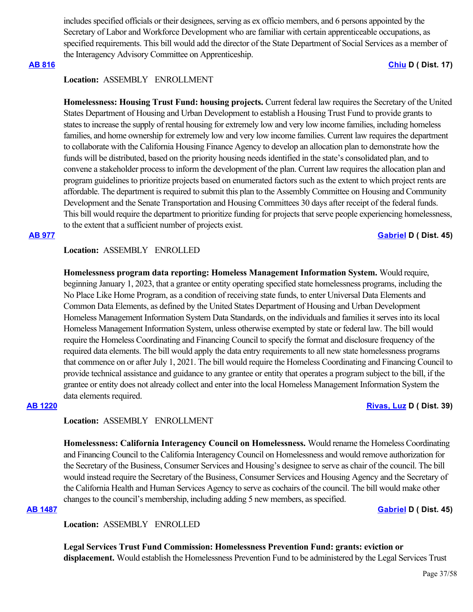includes specified officials or their designees, serving as ex officio members, and 6 persons appointed by the Secretary of Labor and Workforce Development who are familiar with certain apprenticeable occupations, as specified requirements. This bill would add the director of the State Department of Social Services as a member of the Interagency Advisory Committee on Apprenticeship.

### **[AB 816](https://ctweb.capitoltrack.com/public/publishbillinfo.aspx?bi=gq3GESPHAP8T73KPoWpI1Qx3THIUH3GTwK4VWzXtjomsK4Pk0IAN9MfS8BxFk88%2B) [Chiu](https://a17.asmdc.org/) D ( Dist. 17)**

### **Location:**  ASSEMBLY ENROLLMENT

**Homelessness: Housing Trust Fund: housing projects.** Current federal law requires the Secretary of the United States Department of Housing and Urban Development to establish a Housing Trust Fund to provide grants to states to increase the supply of rental housing for extremely low and very low income families, including homeless families, and home ownership for extremely low and very low income families. Current law requires the department to collaborate with the California Housing Finance Agency to develop an allocation plan to demonstrate how the funds will be distributed, based on the priority housing needs identified in the state's consolidated plan, and to convene a stakeholder process to inform the development of the plan. Current law requires the allocation plan and program guidelines to prioritize projects based on enumerated factors such as the extent to which project rents are affordable. The department is required to submit this plan to the Assembly Committee on Housing and Community Development and the Senate Transportation and Housing Committees 30 days after receipt of the federal funds. This bill would require the department to prioritize funding for projects that serve people experiencing homelessness, to the extent that a sufficient number of projects exist.

### **[AB 977](https://ctweb.capitoltrack.com/public/publishbillinfo.aspx?bi=MPCQIzoVJSC8PsUZS2EeSds1uh459wwlwvqlh3a%2BX%2FcxtDNVYYjoWy5VCwT84CCP) [Gabriel](https://a45.asmdc.org/) D ( Dist. 45)**

**Location:**  ASSEMBLY ENROLLED

**Homelessness program data reporting: Homeless Management Information System.** Would require, beginning January 1, 2023, that a grantee or entity operating specified state homelessness programs, including the No Place Like Home Program, as a condition of receiving state funds, to enter Universal Data Elements and Common Data Elements, as defined by the United States Department of Housing and Urban Development Homeless Management Information System Data Standards, on the individuals and families it serves into its local Homeless Management Information System, unless otherwise exempted by state or federal law. The bill would require the Homeless Coordinating and Financing Council to specify the format and disclosure frequency of the required data elements. The bill would apply the data entry requirements to all new state homelessness programs that commence on or after July 1, 2021. The bill would require the Homeless Coordinating and Financing Council to provide technical assistance and guidance to any grantee or entity that operates a program subject to the bill, if the grantee or entity does not already collect and enter into the local Homeless Management Information System the data elements required.

### **[AB 1220](https://ctweb.capitoltrack.com/public/publishbillinfo.aspx?bi=NFfE8zjqii2zfWOxTFKiz4xLNGcs6UIUkx8FkbvRHP9VDD4ZJbPbYUQxja35SeCB) [Rivas, Luz](https://a39.asmdc.org/) D ( Dist. 39)**

# **Location:**  ASSEMBLY ENROLLMENT

**Homelessness: California Interagency Council on Homelessness.** Would rename the Homeless Coordinating and Financing Council to the California Interagency Council on Homelessness and would remove authorization for the Secretary of the Business, Consumer Services and Housing's designee to serve as chair of the council. The bill would instead require the Secretary of the Business, Consumer Services and Housing Agency and the Secretary of the California Health and Human Services Agency to serve as cochairs of the council. The bill would make other changes to the council's membership, including adding 5 new members, as specified.

**[AB 1487](https://ctweb.capitoltrack.com/public/publishbillinfo.aspx?bi=cV3o%2F%2BWA22wLkH7n6QpyLiaNEEG3fOLgmz1%2FN7FPVU6XYbi4mdqJ%2FGuoP8tA%2Fs0q) [Gabriel](https://a45.asmdc.org/) D ( Dist. 45)**

**Location:**  ASSEMBLY ENROLLED

**Legal Services Trust Fund Commission: Homelessness Prevention Fund: grants: eviction or displacement.** Would establish the Homelessness Prevention Fund to be administered by the Legal Services Trust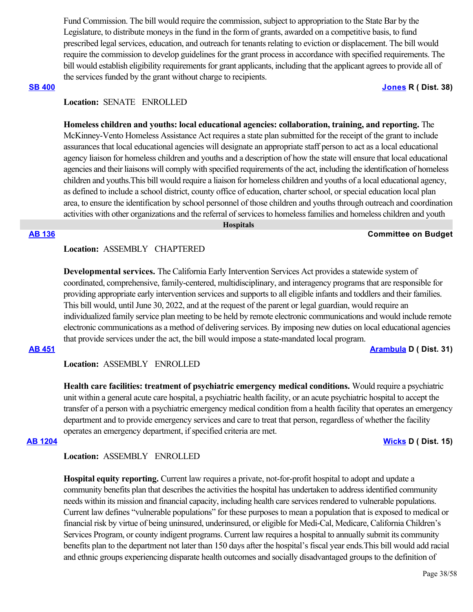Fund Commission. The bill would require the commission, subject to appropriation to the State Bar by the Legislature, to distribute moneys in the fund in the form of grants, awarded on a competitive basis, to fund prescribed legal services, education, and outreach for tenants relating to eviction or displacement. The bill would require the commission to develop guidelines for the grant process in accordance with specified requirements. The bill would establish eligibility requirements for grant applicants, including that the applicant agrees to provide all of the services funded by the grant without charge to recipients.

### **[SB 400](https://ctweb.capitoltrack.com/public/publishbillinfo.aspx?bi=KHHI1SDAaCnBHMCZEhuUvwi94poNqFFUOeBcX%2F%2FH8aHVSq9X8z5e%2B38Q5Zut6gzL) [Jones](https://jones.cssrc.us/) R ( Dist. 38)**

# **Location:**  SENATE ENROLLED

**Homeless children and youths: local educational agencies: collaboration, training, and reporting.** The McKinney-Vento Homeless Assistance Act requires a state plan submitted for the receipt of the grant to include assurances that local educational agencies will designate an appropriate staff person to act as a local educational agency liaison for homeless children and youths and a description of how the state will ensure that local educational agencies and their liaisons will comply with specified requirements of the act, including the identification of homeless children and youths.This bill would require a liaison for homeless children and youths of a local educational agency, as defined to include a school district, county office of education, charter school, or special education local plan area, to ensure the identification by school personnel of those children and youths through outreach and coordination activities with other organizations and the referral of services to homeless families and homeless children and youth

 **Hospitals**

### **[AB 136](https://ctweb.capitoltrack.com/public/publishbillinfo.aspx?bi=7MkbjgWdSz6NV3omxNtY7zX7kqQsQOnXcWtTdoXtrlEEGaUX8zsiAUTW81cXaepg) Committee on Budget**

### **Location:**  ASSEMBLY CHAPTERED

**Developmental services.** The California Early Intervention Services Act provides a statewide system of coordinated, comprehensive, family-centered, multidisciplinary, and interagency programs that are responsible for providing appropriate early intervention services and supports to all eligible infants and toddlers and their families. This bill would, until June 30, 2022, and at the request of the parent or legal guardian, would require an individualized family service plan meeting to be held by remote electronic communications and would include remote electronic communications as a method of delivering services. By imposing new duties on local educational agencies that provide services under the act, the bill would impose a state-mandated local program.

**[AB 451](https://ctweb.capitoltrack.com/public/publishbillinfo.aspx?bi=SFAJPBlL5u1%2FlSU7v%2BQEoAIIhRHeOzGNhOVLD9SDSHF%2FLWipTp4VD44e5DOUoszy) [Arambula](https://a31.asmdc.org/) D ( Dist. 31)**

**Location:**  ASSEMBLY ENROLLED

**Health care facilities: treatment of psychiatric emergency medical conditions.** Would require a psychiatric unit within a general acute care hospital, a psychiatric health facility, or an acute psychiatric hospital to accept the transfer of a person with a psychiatric emergency medical condition from a health facility that operates an emergency department and to provide emergency services and care to treat that person, regardless of whether the facility operates an emergency department, if specified criteria are met.

### **[AB 1204](https://ctweb.capitoltrack.com/public/publishbillinfo.aspx?bi=kD%2Blnd9p0dQXAe5vrQOp4dvCwls4fZqVXCsL7QF5NB%2B4bRWfcryOr0p5%2BUMK1xOm) [Wicks](https://a15.asmdc.org/) D ( Dist. 15)**

**Location:**  ASSEMBLY ENROLLED

**Hospital equity reporting.** Current law requires a private, not-for-profit hospital to adopt and update a community benefits plan that describes the activities the hospital has undertaken to address identified community needs within its mission and financial capacity, including health care services rendered to vulnerable populations. Current law defines "vulnerable populations" for these purposes to mean a population that is exposed to medical or financial risk by virtue of being uninsured, underinsured, or eligible for Medi-Cal, Medicare, California Children's Services Program, or county indigent programs. Current law requires a hospital to annually submit its community benefits plan to the department not later than 150 days after the hospital's fiscal year ends.This bill would add racial and ethnic groups experiencing disparate health outcomes and socially disadvantaged groups to the definition of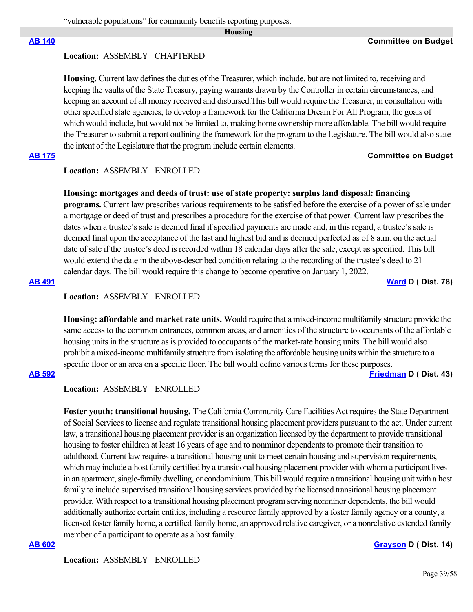**Housing**

# **Location:**  ASSEMBLY CHAPTERED

**Housing.** Current law defines the duties of the Treasurer, which include, but are not limited to, receiving and keeping the vaults of the State Treasury, paying warrants drawn by the Controller in certain circumstances, and keeping an account of all money received and disbursed.This bill would require the Treasurer, in consultation with other specified state agencies, to develop a framework for the California Dream For All Program, the goals of which would include, but would not be limited to, making home ownership more affordable. The bill would require the Treasurer to submit a report outlining the framework for the program to the Legislature. The bill would also state the intent of the Legislature that the program include certain elements.

# **[AB 175](https://ctweb.capitoltrack.com/public/publishbillinfo.aspx?bi=X%2B6C1FX7Nv96BoogD8fT2T1Vq89lplA54uFH9USaIjLq4XPgcDMBYxqTQBYvOgv3) Committee on Budget**

# **Location:**  ASSEMBLY ENROLLED

### **Housing: mortgages and deeds of trust: use of state property: surplus land disposal: financing**

**programs.** Current law prescribes various requirements to be satisfied before the exercise of a power of sale under a mortgage or deed of trust and prescribes a procedure for the exercise of that power. Current law prescribes the dates when a trustee's sale is deemed final if specified payments are made and, in this regard, a trustee's sale is deemed final upon the acceptance of the last and highest bid and is deemed perfected as of 8 a.m. on the actual date of sale if the trustee's deed is recorded within 18 calendar days after the sale, except as specified. This bill would extend the date in the above-described condition relating to the recording of the trustee's deed to 21 calendar days. The bill would require this change to become operative on January 1, 2022.

### **[AB 491](https://ctweb.capitoltrack.com/public/publishbillinfo.aspx?bi=nE8RUE87Hr9CR9Lydw9ztqPSYXh7RtrPImwn%2FHGglE%2FPV61KaqTraIUYEo%2Bd5%2FN%2B) [Ward](https://a78.asmdc.org/) D ( Dist. 78)**

# **Location:**  ASSEMBLY ENROLLED

**Housing: affordable and market rate units.** Would require that a mixed-income multifamily structure provide the same access to the common entrances, common areas, and amenities of the structure to occupants of the affordable housing units in the structure as is provided to occupants of the market-rate housing units. The bill would also prohibit a mixed-income multifamily structure from isolating the affordable housing units within the structure to a specific floor or an area on a specific floor. The bill would define various terms for these purposes.

### **[AB 592](https://ctweb.capitoltrack.com/public/publishbillinfo.aspx?bi=fQ%2Fu6nhAfFAWzM%2BGOEj49VgevlzkYPBiDE00kfhBC7M%2BMmhClpgGKgt5T9nRXJoP) [Friedman](https://a43.asmdc.org/) D ( Dist. 43)**

### **Location:**  ASSEMBLY ENROLLED

**Foster youth: transitional housing.** The California Community Care Facilities Act requires the State Department of Social Services to license and regulate transitional housing placement providers pursuant to the act. Under current law, a transitional housing placement provider is an organization licensed by the department to provide transitional housing to foster children at least 16 years of age and to nonminor dependents to promote their transition to adulthood. Current law requires a transitional housing unit to meet certain housing and supervision requirements, which may include a host family certified by a transitional housing placement provider with whom a participant lives in an apartment, single-family dwelling, or condominium. This bill would require a transitional housing unit with a host family to include supervised transitional housing services provided by the licensed transitional housing placement provider. With respect to a transitional housing placement program serving nonminor dependents, the bill would additionally authorize certain entities, including a resource family approved by a foster family agency or a county, a licensed foster family home, a certified family home, an approved relative caregiver, or a nonrelative extended family member of a participant to operate as a host family.

# **[AB 602](https://ctweb.capitoltrack.com/public/publishbillinfo.aspx?bi=hDF0dG3q70h5etCzF0PFkboQPAlzbvGNPqTUfAx8UmRydUE9IuCSh7zMZCeBGSzB) [Grayson](https://a14.asmdc.org/) D ( Dist. 14)**

**Location:**  ASSEMBLY ENROLLED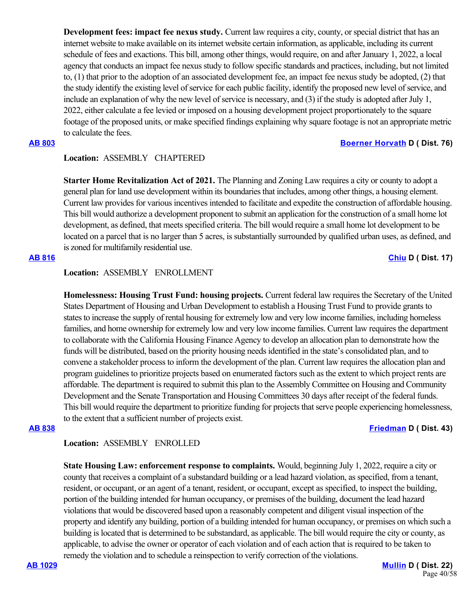**Development fees: impact fee nexus study.** Current law requires a city, county, or special district that has an internet website to make available on its internet website certain information, as applicable, including its current schedule of fees and exactions. This bill, among other things, would require, on and after January 1, 2022, a local agency that conducts an impact fee nexus study to follow specific standards and practices, including, but not limited to, (1) that prior to the adoption of an associated development fee, an impact fee nexus study be adopted, (2) that the study identify the existing level of service for each public facility, identify the proposed new level of service, and include an explanation of why the new level of service is necessary, and (3) if the study is adopted after July 1, 2022, either calculate a fee levied or imposed on a housing development project proportionately to the square footage of the proposed units, or make specified findings explaining why square footage is not an appropriate metric to calculate the fees.

### **[AB 803](https://ctweb.capitoltrack.com/public/publishbillinfo.aspx?bi=Tdd8bsbeiUELQyyYw%2BsWoO2qTWTYgplr52s9YEDa783emScti0UsRWWIX%2FJhh6qb) [Boerner Horvath](https://a76.asmdc.org/) D ( Dist. 76)**

# **Location:**  ASSEMBLY CHAPTERED

**Starter Home Revitalization Act of 2021.** The Planning and Zoning Law requires a city or county to adopt a general plan for land use development within its boundaries that includes, among other things, a housing element. Current law provides for various incentives intended to facilitate and expedite the construction of affordable housing. This bill would authorize a development proponent to submit an application for the construction of a small home lot development, as defined, that meets specified criteria. The bill would require a small home lot development to be located on a parcel that is no larger than 5 acres, is substantially surrounded by qualified urban uses, as defined, and is zoned for multifamily residential use.

## **[AB 816](https://ctweb.capitoltrack.com/public/publishbillinfo.aspx?bi=gq3GESPHAP8T73KPoWpI1Qx3THIUH3GTwK4VWzXtjomsK4Pk0IAN9MfS8BxFk88%2B) [Chiu](https://a17.asmdc.org/) D ( Dist. 17)**

# **Location:**  ASSEMBLY ENROLLMENT

**Homelessness: Housing Trust Fund: housing projects.** Current federal law requires the Secretary of the United States Department of Housing and Urban Development to establish a Housing Trust Fund to provide grants to states to increase the supply of rental housing for extremely low and very low income families, including homeless families, and home ownership for extremely low and very low income families. Current law requires the department to collaborate with the California Housing Finance Agency to develop an allocation plan to demonstrate how the funds will be distributed, based on the priority housing needs identified in the state's consolidated plan, and to convene a stakeholder process to inform the development of the plan. Current law requires the allocation plan and program guidelines to prioritize projects based on enumerated factors such as the extent to which project rents are affordable. The department is required to submit this plan to the Assembly Committee on Housing and Community Development and the Senate Transportation and Housing Committees 30 days after receipt of the federal funds. This bill would require the department to prioritize funding for projects that serve people experiencing homelessness, to the extent that a sufficient number of projects exist.

### **[AB 838](https://ctweb.capitoltrack.com/public/publishbillinfo.aspx?bi=Brkey8VtQoOavWLWDZaTRHt%2BXG22Hf%2Byt%2Frm7NaMxEbP3SbR00W7tGhDSxswVqY7) [Friedman](https://a43.asmdc.org/) D ( Dist. 43)**

**Location:**  ASSEMBLY ENROLLED

**State Housing Law: enforcement response to complaints.** Would, beginning July 1, 2022, require a city or county that receives a complaint of a substandard building or a lead hazard violation, as specified, from a tenant, resident, or occupant, or an agent of a tenant, resident, or occupant, except as specified, to inspect the building, portion of the building intended for human occupancy, or premises of the building, document the lead hazard violations that would be discovered based upon a reasonably competent and diligent visual inspection of the property and identify any building, portion of a building intended for human occupancy, or premises on which such a building is located that is determined to be substandard, as applicable. The bill would require the city or county, as applicable, to advise the owner or operator of each violation and of each action that is required to be taken to remedy the violation and to schedule a reinspection to verify correction of the violations.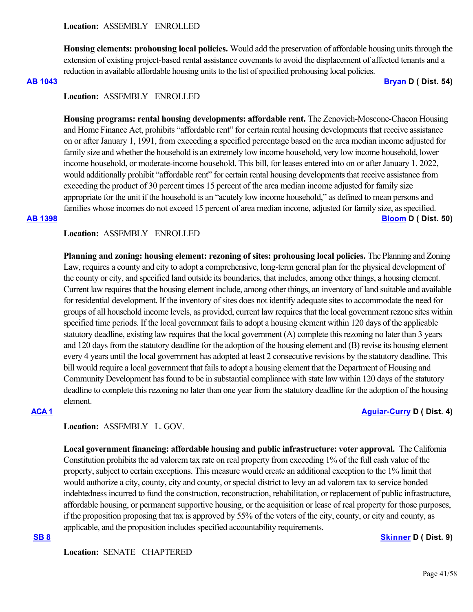**Housing elements: prohousing local policies.** Would add the preservation of affordable housing units through the extension of existing project-based rental assistance covenants to avoid the displacement of affected tenants and a reduction in available affordable housing units to the list of specified prohousing local policies.

**[AB 1043](https://ctweb.capitoltrack.com/public/publishbillinfo.aspx?bi=V%2FUIXIEJNWB4wbV1L6YWuKtJ93EHMrAJ7I2UpHuHthbUzMmcHkoLfJiHnlz9b3xx) [Bryan](https://a54.asmdc.org/) D ( Dist. 54)**

### **Location:**  ASSEMBLY ENROLLED

**Housing programs: rental housing developments: affordable rent.** The Zenovich-Moscone-Chacon Housing and Home Finance Act, prohibits "affordable rent" for certain rental housing developments that receive assistance on or after January 1, 1991, from exceeding a specified percentage based on the area median income adjusted for family size and whether the household is an extremely low income household, very low income household, lower income household, or moderate-income household. This bill, for leases entered into on or after January 1, 2022, would additionally prohibit "affordable rent" for certain rental housing developments that receive assistance from exceeding the product of 30 percent times 15 percent of the area median income adjusted for family size appropriate for the unit if the household is an "acutely low income household," as defined to mean persons and families whose incomes do not exceed 15 percent of area median income, adjusted for family size, as specified. **[AB 1398](https://ctweb.capitoltrack.com/public/publishbillinfo.aspx?bi=8gkNeR2i1XVQU8rLDJBwupkDBk19i41j%2BQzgmwiOHZgLpTFVUVAOgVn5QZ5FVV33) [Bloom](https://a50.asmdc.org/) D ( Dist. 50)**

# **Location:**  ASSEMBLY ENROLLED

**Planning and zoning: housing element: rezoning of sites: prohousing local policies.** The Planning and Zoning Law, requires a county and city to adopt a comprehensive, long-term general plan for the physical development of the county or city, and specified land outside its boundaries, that includes, among other things, a housing element. Current law requires that the housing element include, among other things, an inventory of land suitable and available for residential development. If the inventory of sites does not identify adequate sites to accommodate the need for groups of all household income levels, as provided, current law requires that the local government rezone sites within specified time periods. If the local government fails to adopt a housing element within 120 days of the applicable statutory deadline, existing law requires that the local government (A) complete this rezoning no later than 3 years and 120 days from the statutory deadline for the adoption of the housing element and (B) revise its housing element every 4 years until the local government has adopted at least 2 consecutive revisions by the statutory deadline. This bill would require a local government that fails to adopt a housing element that the Department of Housing and Community Development has found to be in substantial compliance with state law within 120 days of the statutory deadline to complete this rezoning no later than one year from the statutory deadline for the adoption of the housing element.

### **[ACA 1](https://ctweb.capitoltrack.com/public/publishbillinfo.aspx?bi=vkAbgpBB9wOKQrx%2F6m3DJE4Lfzjw%2B69Lv7GxnaWpsGPIGgKDXm0xJSIkZsa8QVVB) [Aguiar-Curry](https://a04.asmdc.org/) D ( Dist. 4)**

### **Location:**  ASSEMBLY L. GOV.

**Local government financing: affordable housing and public infrastructure: voter approval.** The California Constitution prohibits the ad valorem tax rate on real property from exceeding 1% of the full cash value of the property, subject to certain exceptions. This measure would create an additional exception to the 1% limit that would authorize a city, county, city and county, or special district to levy an ad valorem tax to service bonded indebtedness incurred to fund the construction, reconstruction, rehabilitation, or replacement of public infrastructure, affordable housing, or permanent supportive housing, or the acquisition or lease of real property for those purposes, if the proposition proposing that tax is approved by 55% of the voters of the city, county, or city and county, as applicable, and the proposition includes specified accountability requirements.

### **[SB 8](https://ctweb.capitoltrack.com/public/publishbillinfo.aspx?bi=KCtI9WQoEAQDmEE2VLlzGALHWMammoBzi14An%2BdqBaQK1%2FOploWFXBq%2B6f3qFstA) [Skinner](http://sd09.senate.ca.gov/) D ( Dist. 9)**

**Location:**  SENATE CHAPTERED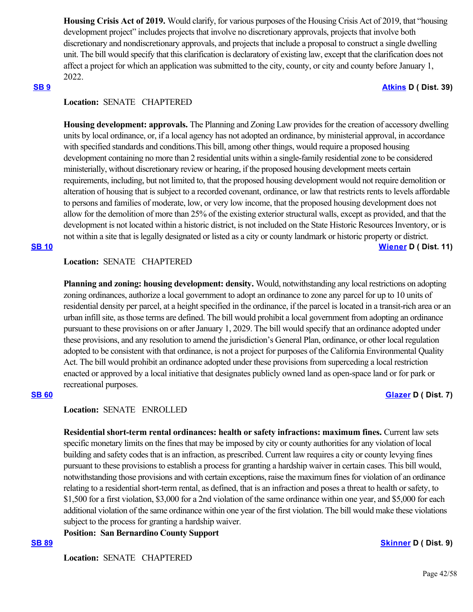**Housing Crisis Act of 2019.** Would clarify, for various purposes of the Housing Crisis Act of 2019, that "housing development project" includes projects that involve no discretionary approvals, projects that involve both discretionary and nondiscretionary approvals, and projects that include a proposal to construct a single dwelling unit. The bill would specify that this clarification is declaratory of existing law, except that the clarification does not affect a project for which an application was submitted to the city, county, or city and county before January 1, 2022.

### **[SB 9](https://ctweb.capitoltrack.com/public/publishbillinfo.aspx?bi=mIkar%2FhtVTeqIFNqniJJlD39byWiu7gCq2FAWNN%2BlbVeIAwV1OYB2KjgpgnG%2B%2Fj0) [Atkins](http://sd39.senate.ca.gov/) D ( Dist. 39)**

# **Location:**  SENATE CHAPTERED

**Housing development: approvals.** The Planning and Zoning Law provides for the creation of accessory dwelling units by local ordinance, or, if a local agency has not adopted an ordinance, by ministerial approval, in accordance with specified standards and conditions.This bill, among other things, would require a proposed housing development containing no more than 2 residential units within a single-family residential zone to be considered ministerially, without discretionary review or hearing, if the proposed housing development meets certain requirements, including, but not limited to, that the proposed housing development would not require demolition or alteration of housing that is subject to a recorded covenant, ordinance, or law that restricts rents to levels affordable to persons and families of moderate, low, or very low income, that the proposed housing development does not allow for the demolition of more than 25% of the existing exterior structural walls, except as provided, and that the development is not located within a historic district, is not included on the State Historic Resources Inventory, or is not within a site that is legally designated or listed as a city or county landmark or historic property or district.

### **[SB 10](https://ctweb.capitoltrack.com/public/publishbillinfo.aspx?bi=2W8UaHb2VoW73%2FsPXZrpP0TRvn5LYH%2BS9OLubpPADZ2EgLTzy%2BGOCuy1VYRGAhY1) [Wiener](http://sd11.senate.ca.gov/) D ( Dist. 11)**

# **Location:**  SENATE CHAPTERED

**Planning and zoning: housing development: density.** Would, notwithstanding any local restrictions on adopting zoning ordinances, authorize a local government to adopt an ordinance to zone any parcel for up to 10 units of residential density per parcel, at a height specified in the ordinance, if the parcel is located in a transit-rich area or an urban infill site, as those terms are defined. The bill would prohibit a local government from adopting an ordinance pursuant to these provisions on or after January 1, 2029. The bill would specify that an ordinance adopted under these provisions, and any resolution to amend the jurisdiction's General Plan, ordinance, or other local regulation adopted to be consistent with that ordinance, is not a project for purposes of the California Environmental Quality Act. The bill would prohibit an ordinance adopted under these provisions from superceding a local restriction enacted or approved by a local initiative that designates publicly owned land as open-space land or for park or recreational purposes.

### **[SB 60](https://ctweb.capitoltrack.com/public/publishbillinfo.aspx?bi=TPfGa%2F8lPJ%2BXVXT4VqzlY6jFfW3YNvcg6rr4YbJoBumSQwySw3Qhis9bv1tnXJMw) [Glazer](http://sd07.senate.ca.gov/) D ( Dist. 7)**

### **Location:**  SENATE ENROLLED

**Residential short-term rental ordinances: health or safety infractions: maximum fines.** Current law sets specific monetary limits on the fines that may be imposed by city or county authorities for any violation of local building and safety codes that is an infraction, as prescribed. Current law requires a city or county levying fines pursuant to these provisions to establish a process for granting a hardship waiver in certain cases. This bill would, notwithstanding those provisions and with certain exceptions, raise the maximum fines for violation of an ordinance relating to a residential short-term rental, as defined, that is an infraction and poses a threat to health or safety, to \$1,500 for a first violation, \$3,000 for a 2nd violation of the same ordinance within one year, and \$5,000 for each additional violation of the same ordinance within one year of the first violation. The bill would make these violations subject to the process for granting a hardship waiver.

**Position: San Bernardino County Support**

**[SB 89](https://ctweb.capitoltrack.com/public/publishbillinfo.aspx?bi=nxGIq7HyV6U4bOoP5ftadl98WgWh3bZ4pwzw43AHRpX5riVTKtwEWMf7EQkCQB0Y) [Skinner](http://sd09.senate.ca.gov/) D ( Dist. 9)**

**Location:**  SENATE CHAPTERED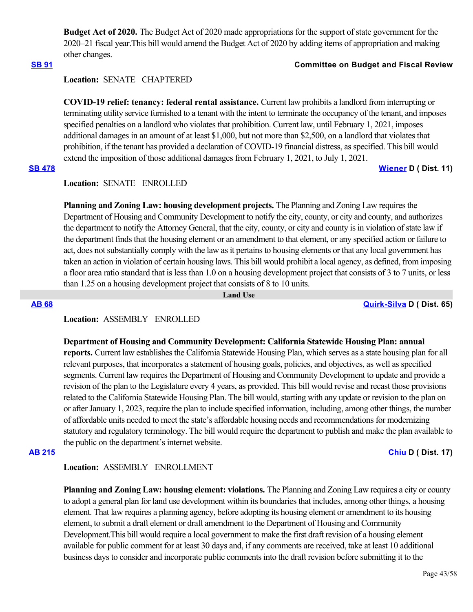**Budget Act of 2020.** The Budget Act of 2020 made appropriations for the support of state government for the 2020–21 fiscal year.This bill would amend the Budget Act of 2020 by adding items of appropriation and making other changes.

# **[SB 91](https://ctweb.capitoltrack.com/public/publishbillinfo.aspx?bi=170cS8rpcG5BGVOmWgIYrQdXq4cvJe8cdhIsZrVb3XKP3120bDgOOy2mACP6VFwX) Committee on Budget and Fiscal Review**

### **Location:**  SENATE CHAPTERED

**COVID-19 relief: tenancy: federal rental assistance.** Current law prohibits a landlord from interrupting or terminating utility service furnished to a tenant with the intent to terminate the occupancy of the tenant, and imposes specified penalties on a landlord who violates that prohibition. Current law, until February 1, 2021, imposes additional damages in an amount of at least \$1,000, but not more than \$2,500, on a landlord that violates that prohibition, if the tenant has provided a declaration of COVID-19 financial distress, as specified. This bill would extend the imposition of those additional damages from February 1, 2021, to July 1, 2021.

### **[SB 478](https://ctweb.capitoltrack.com/public/publishbillinfo.aspx?bi=J7PEN77%2BN7IbyI5nBqINBTwLxql8J9U4xIrboE3VEYIEu6T8jy1dHWET7x%2BL15S8) [Wiener](http://sd11.senate.ca.gov/) D ( Dist. 11)**

# **Location:**  SENATE ENROLLED

**Planning and Zoning Law: housing development projects.** The Planning and Zoning Law requires the Department of Housing and Community Development to notify the city, county, or city and county, and authorizes the department to notify the Attorney General, that the city, county, or city and county is in violation of state law if the department finds that the housing element or an amendment to that element, or any specified action or failure to act, does not substantially comply with the law as it pertains to housing elements or that any local government has taken an action in violation of certain housing laws. This bill would prohibit a local agency, as defined, from imposing a floor area ratio standard that is less than 1.0 on a housing development project that consists of 3 to 7 units, or less than 1.25 on a housing development project that consists of 8 to 10 units.

 **Land Use**

**[AB 68](https://ctweb.capitoltrack.com/public/publishbillinfo.aspx?bi=2Nx1DN5jLRYVhs97LWjvLJCJshdkfYHDcdYMSjZCfuwymT1yrZxeaFhSO08dn5O%2F) [Quirk-Silva](https://a65.asmdc.org/) D ( Dist. 65)**

# **Location:**  ASSEMBLY ENROLLED

### **Department of Housing and Community Development: California Statewide Housing Plan: annual**

**reports.** Current law establishes the California Statewide Housing Plan, which serves as a state housing plan for all relevant purposes, that incorporates a statement of housing goals, policies, and objectives, as well as specified segments. Current law requires the Department of Housing and Community Development to update and provide a revision of the plan to the Legislature every 4 years, as provided. This bill would revise and recast those provisions related to the California Statewide Housing Plan. The bill would, starting with any update or revision to the plan on or after January 1, 2023, require the plan to include specified information, including, among other things, the number of affordable units needed to meet the state's affordable housing needs and recommendations for modernizing statutory and regulatory terminology. The bill would require the department to publish and make the plan available to the public on the department's internet website.

### **[AB 215](https://ctweb.capitoltrack.com/public/publishbillinfo.aspx?bi=njx6zTeur3aGoUbZG1qRnVVfs%2F2pFA2mjftReRH22ms2zWR%2BpKflSN5HM3Epr3di) [Chiu](https://a17.asmdc.org/) D ( Dist. 17)**

# **Location:**  ASSEMBLY ENROLLMENT

**Planning and Zoning Law: housing element: violations.** The Planning and Zoning Law requires a city or county to adopt a general plan for land use development within its boundaries that includes, among other things, a housing element. That law requires a planning agency, before adopting its housing element or amendment to its housing element, to submit a draft element or draft amendment to the Department of Housing and Community Development.This bill would require a local government to make the first draft revision of a housing element available for public comment for at least 30 days and, if any comments are received, take at least 10 additional business days to consider and incorporate public comments into the draft revision before submitting it to the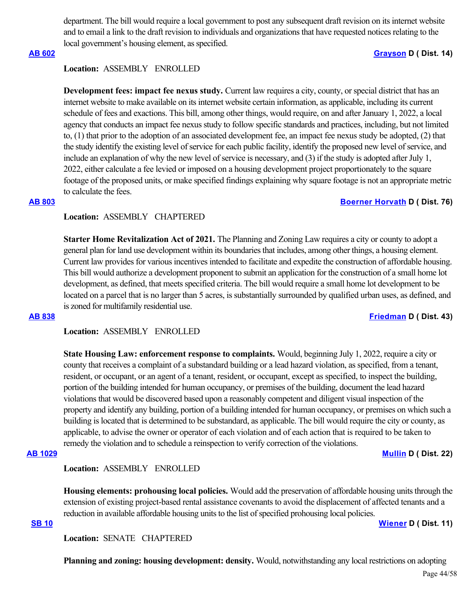department. The bill would require a local government to post any subsequent draft revision on its internet website and to email a link to the draft revision to individuals and organizations that have requested notices relating to the local government's housing element, as specified.

### **[AB 602](https://ctweb.capitoltrack.com/public/publishbillinfo.aspx?bi=hDF0dG3q70h5etCzF0PFkboQPAlzbvGNPqTUfAx8UmRydUE9IuCSh7zMZCeBGSzB) [Grayson](https://a14.asmdc.org/) D ( Dist. 14)**

# **Location:**  ASSEMBLY ENROLLED

**Development fees: impact fee nexus study.** Current law requires a city, county, or special district that has an internet website to make available on its internet website certain information, as applicable, including its current schedule of fees and exactions. This bill, among other things, would require, on and after January 1, 2022, a local agency that conducts an impact fee nexus study to follow specific standards and practices, including, but not limited to, (1) that prior to the adoption of an associated development fee, an impact fee nexus study be adopted, (2) that the study identify the existing level of service for each public facility, identify the proposed new level of service, and include an explanation of why the new level of service is necessary, and (3) if the study is adopted after July 1, 2022, either calculate a fee levied or imposed on a housing development project proportionately to the square footage of the proposed units, or make specified findings explaining why square footage is not an appropriate metric to calculate the fees.

### **[AB 803](https://ctweb.capitoltrack.com/public/publishbillinfo.aspx?bi=Tdd8bsbeiUELQyyYw%2BsWoO2qTWTYgplr52s9YEDa783emScti0UsRWWIX%2FJhh6qb) [Boerner Horvath](https://a76.asmdc.org/) D ( Dist. 76)**

# **Location:**  ASSEMBLY CHAPTERED

**Starter Home Revitalization Act of 2021.** The Planning and Zoning Law requires a city or county to adopt a general plan for land use development within its boundaries that includes, among other things, a housing element. Current law provides for various incentives intended to facilitate and expedite the construction of affordable housing. This bill would authorize a development proponent to submit an application for the construction of a small home lot development, as defined, that meets specified criteria. The bill would require a small home lot development to be located on a parcel that is no larger than 5 acres, is substantially surrounded by qualified urban uses, as defined, and is zoned for multifamily residential use.

**[AB 838](https://ctweb.capitoltrack.com/public/publishbillinfo.aspx?bi=Brkey8VtQoOavWLWDZaTRHt%2BXG22Hf%2Byt%2Frm7NaMxEbP3SbR00W7tGhDSxswVqY7) [Friedman](https://a43.asmdc.org/) D ( Dist. 43)**

**Location:**  ASSEMBLY ENROLLED

**State Housing Law: enforcement response to complaints.** Would, beginning July 1, 2022, require a city or county that receives a complaint of a substandard building or a lead hazard violation, as specified, from a tenant, resident, or occupant, or an agent of a tenant, resident, or occupant, except as specified, to inspect the building, portion of the building intended for human occupancy, or premises of the building, document the lead hazard violations that would be discovered based upon a reasonably competent and diligent visual inspection of the property and identify any building, portion of a building intended for human occupancy, or premises on which such a building is located that is determined to be substandard, as applicable. The bill would require the city or county, as applicable, to advise the owner or operator of each violation and of each action that is required to be taken to remedy the violation and to schedule a reinspection to verify correction of the violations.

**[AB 1029](https://ctweb.capitoltrack.com/public/publishbillinfo.aspx?bi=Nia9gqfh7C%2BtS%2FVln1QQzZyxuJdQdJa2mnIz8VDSVEwB%2FVAnrft1A8mPJioqitz2) [Mullin](https://a22.asmdc.org/) D ( Dist. 22)**

# **Location:**  ASSEMBLY ENROLLED

**Housing elements: prohousing local policies.** Would add the preservation of affordable housing units through the extension of existing project-based rental assistance covenants to avoid the displacement of affected tenants and a reduction in available affordable housing units to the list of specified prohousing local policies.

**[SB 10](https://ctweb.capitoltrack.com/public/publishbillinfo.aspx?bi=2W8UaHb2VoW73%2FsPXZrpP0TRvn5LYH%2BS9OLubpPADZ2EgLTzy%2BGOCuy1VYRGAhY1) [Wiener](http://sd11.senate.ca.gov/) D ( Dist. 11)**

**Location:**  SENATE CHAPTERED

**Planning and zoning: housing development: density.** Would, notwithstanding any local restrictions on adopting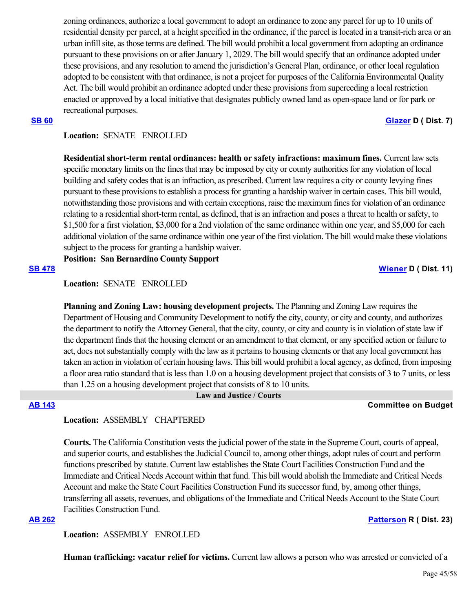zoning ordinances, authorize a local government to adopt an ordinance to zone any parcel for up to 10 units of residential density per parcel, at a height specified in the ordinance, if the parcel is located in a transit-rich area or an urban infill site, as those terms are defined. The bill would prohibit a local government from adopting an ordinance pursuant to these provisions on or after January 1, 2029. The bill would specify that an ordinance adopted under these provisions, and any resolution to amend the jurisdiction's General Plan, ordinance, or other local regulation adopted to be consistent with that ordinance, is not a project for purposes of the California Environmental Quality Act. The bill would prohibit an ordinance adopted under these provisions from superceding a local restriction enacted or approved by a local initiative that designates publicly owned land as open-space land or for park or recreational purposes.

### **[SB 60](https://ctweb.capitoltrack.com/public/publishbillinfo.aspx?bi=TPfGa%2F8lPJ%2BXVXT4VqzlY6jFfW3YNvcg6rr4YbJoBumSQwySw3Qhis9bv1tnXJMw) [Glazer](http://sd07.senate.ca.gov/) D ( Dist. 7)**

# **Location:**  SENATE ENROLLED

**Residential short-term rental ordinances: health or safety infractions: maximum fines.** Current law sets specific monetary limits on the fines that may be imposed by city or county authorities for any violation of local building and safety codes that is an infraction, as prescribed. Current law requires a city or county levying fines pursuant to these provisions to establish a process for granting a hardship waiver in certain cases. This bill would, notwithstanding those provisions and with certain exceptions, raise the maximum fines for violation of an ordinance relating to a residential short-term rental, as defined, that is an infraction and poses a threat to health or safety, to \$1,500 for a first violation, \$3,000 for a 2nd violation of the same ordinance within one year, and \$5,000 for each additional violation of the same ordinance within one year of the first violation. The bill would make these violations subject to the process for granting a hardship waiver.

**Position: San Bernardino County Support**

**[SB 478](https://ctweb.capitoltrack.com/public/publishbillinfo.aspx?bi=J7PEN77%2BN7IbyI5nBqINBTwLxql8J9U4xIrboE3VEYIEu6T8jy1dHWET7x%2BL15S8) [Wiener](http://sd11.senate.ca.gov/) D ( Dist. 11)**

# **Location:**  SENATE ENROLLED

**Planning and Zoning Law: housing development projects.** The Planning and Zoning Law requires the Department of Housing and Community Development to notify the city, county, or city and county, and authorizes the department to notify the Attorney General, that the city, county, or city and county is in violation of state law if the department finds that the housing element or an amendment to that element, or any specified action or failure to act, does not substantially comply with the law as it pertains to housing elements or that any local government has taken an action in violation of certain housing laws. This bill would prohibit a local agency, as defined, from imposing a floor area ratio standard that is less than 1.0 on a housing development project that consists of 3 to 7 units, or less than 1.25 on a housing development project that consists of 8 to 10 units.

### **Law and Justice / Courts**

# **[AB 143](https://ctweb.capitoltrack.com/public/publishbillinfo.aspx?bi=gyX8lwsP%2F9vTssif54SzDQmXO%2Fr6ctDN%2B0sjSMsP5jBaig%2BA7wAXMhmd4%2BZBYlmY) Committee on Budget**

# **Location:**  ASSEMBLY CHAPTERED

**Courts.** The California Constitution vests the judicial power of the state in the Supreme Court, courts of appeal, and superior courts, and establishes the Judicial Council to, among other things, adopt rules of court and perform functions prescribed by statute. Current law establishes the State Court Facilities Construction Fund and the Immediate and Critical Needs Account within that fund. This bill would abolish the Immediate and Critical Needs Account and make the State Court Facilities Construction Fund its successor fund, by, among other things, transferring all assets, revenues, and obligations of the Immediate and Critical Needs Account to the State Court Facilities Construction Fund.

### **[AB 262](https://ctweb.capitoltrack.com/public/publishbillinfo.aspx?bi=y0TbKDW5ooqRbDaLWP3uvH36FCi4y%2FGD0vLrEqEapJGzcNdVmKdbeG4O57RgDWul) [Patterson](https://ad23.asmrc.org/) R ( Dist. 23)**

**Location:**  ASSEMBLY ENROLLED

**Human trafficking: vacatur relief for victims.** Current law allows a person who was arrested or convicted of a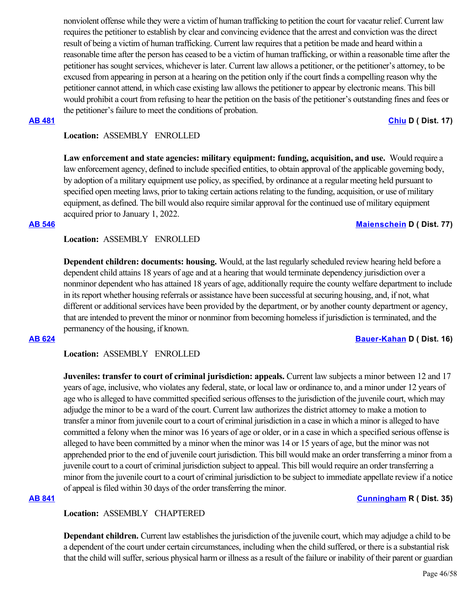nonviolent offense while they were a victim of human trafficking to petition the court for vacatur relief. Current law requires the petitioner to establish by clear and convincing evidence that the arrest and conviction was the direct result of being a victim of human trafficking. Current law requires that a petition be made and heard within a reasonable time after the person has ceased to be a victim of human trafficking, or within a reasonable time after the petitioner has sought services, whichever is later. Current law allows a petitioner, or the petitioner's attorney, to be excused from appearing in person at a hearing on the petition only if the court finds a compelling reason why the petitioner cannot attend, in which case existing law allows the petitioner to appear by electronic means. This bill would prohibit a court from refusing to hear the petition on the basis of the petitioner's outstanding fines and fees or the petitioner's failure to meet the conditions of probation.

### **[AB 481](https://ctweb.capitoltrack.com/public/publishbillinfo.aspx?bi=xlbNmHSPTN1HLIssSzgUhTorsZ0V65CWQr543X5Y9UwUSUh4eNXWy6o0Trvm4yhM) [Chiu](https://a17.asmdc.org/) D ( Dist. 17)**

# **Location:**  ASSEMBLY ENROLLED

Law enforcement and state agencies: military equipment: funding, acquisition, and use. Would require a law enforcement agency, defined to include specified entities, to obtain approval of the applicable governing body, by adoption of a military equipment use policy, as specified, by ordinance at a regular meeting held pursuant to specified open meeting laws, prior to taking certain actions relating to the funding, acquisition, or use of military equipment, as defined. The bill would also require similar approval for the continued use of military equipment acquired prior to January 1, 2022.

### **[AB 546](https://ctweb.capitoltrack.com/public/publishbillinfo.aspx?bi=thZ0N%2BpJryuMdZwJrHWbKoyN1vPEbc3g697O5T16%2B1cJXHEOJJq23kAYQYEvVf%2Ft) [Maienschein](https://a77.asmdc.org/) D ( Dist. 77)**

**Location:**  ASSEMBLY ENROLLED

**Dependent children: documents: housing.** Would, at the last regularly scheduled review hearing held before a dependent child attains 18 years of age and at a hearing that would terminate dependency jurisdiction over a nonminor dependent who has attained 18 years of age, additionally require the county welfare department to include in its report whether housing referrals or assistance have been successful at securing housing, and, if not, what different or additional services have been provided by the department, or by another county department or agency, that are intended to prevent the minor or nonminor from becoming homeless if jurisdiction is terminated, and the permanency of the housing, if known.

**[AB 624](https://ctweb.capitoltrack.com/public/publishbillinfo.aspx?bi=3VP1UUSIaFHihVELx4RpFEh6XzMxGGslNRtf8%2Fhexo%2BQ71vtSmjSRj6RRiwV3VAm) [Bauer-Kahan](https://a16.asmdc.org/) D ( Dist. 16)**

**Location:**  ASSEMBLY ENROLLED

**Juveniles: transfer to court of criminal jurisdiction: appeals.** Current law subjects a minor between 12 and 17 years of age, inclusive, who violates any federal, state, or local law or ordinance to, and a minor under 12 years of age who is alleged to have committed specified serious offenses to the jurisdiction of the juvenile court, which may adjudge the minor to be a ward of the court. Current law authorizes the district attorney to make a motion to transfer a minor from juvenile court to a court of criminal jurisdiction in a case in which a minor is alleged to have committed a felony when the minor was 16 years of age or older, or in a case in which a specified serious offense is alleged to have been committed by a minor when the minor was 14 or 15 years of age, but the minor was not apprehended prior to the end of juvenile court jurisdiction. This bill would make an order transferring a minor from a juvenile court to a court of criminal jurisdiction subject to appeal. This bill would require an order transferring a minor from the juvenile court to a court of criminal jurisdiction to be subject to immediate appellate review if a notice of appeal is filed within 30 days of the order transferring the minor.

### **[AB 841](https://ctweb.capitoltrack.com/public/publishbillinfo.aspx?bi=STQyvr5UN9ogDE0GYAaB%2FnFoY2a9y6Lchm0mKvsgCD6%2FqlS%2Fjk67RO58K%2FIdL46A) [Cunningham](https://ad35.asmrc.org/) R ( Dist. 35)**

# **Location:**  ASSEMBLY CHAPTERED

**Dependant children.** Current law establishes the jurisdiction of the juvenile court, which may adjudge a child to be a dependent of the court under certain circumstances, including when the child suffered, or there is a substantial risk that the child will suffer, serious physical harm or illness as a result of the failure or inability of their parent or guardian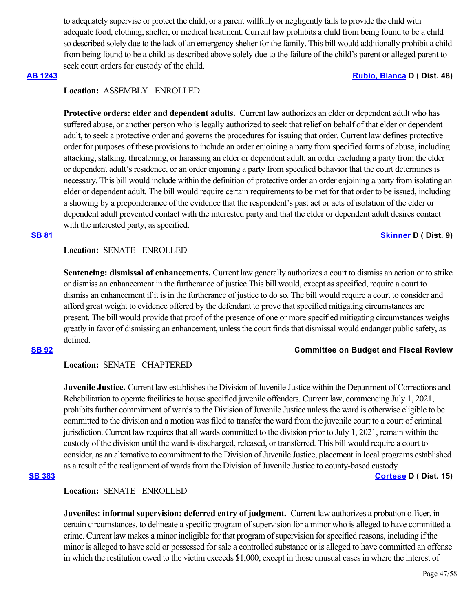to adequately supervise or protect the child, or a parent willfully or negligently fails to provide the child with adequate food, clothing, shelter, or medical treatment. Current law prohibits a child from being found to be a child so described solely due to the lack of an emergency shelter for the family. This bill would additionally prohibit a child from being found to be a child as described above solely due to the failure of the child's parent or alleged parent to seek court orders for custody of the child.

### **[AB 1243](https://ctweb.capitoltrack.com/public/publishbillinfo.aspx?bi=CRN7dkk4DBv%2BMJYuYNQPOzNg%2FLSfMFDrHETIKIg77vuCZ2EBOYOtKOu46ykKWjXi) [Rubio, Blanca](https://a48.asmdc.org/) D ( Dist. 48)**

# **Location:**  ASSEMBLY ENROLLED

**Protective orders: elder and dependent adults.** Current law authorizes an elder or dependent adult who has suffered abuse, or another person who is legally authorized to seek that relief on behalf of that elder or dependent adult, to seek a protective order and governs the procedures for issuing that order. Current law defines protective order for purposes of these provisions to include an order enjoining a party from specified forms of abuse, including attacking, stalking, threatening, or harassing an elder or dependent adult, an order excluding a party from the elder or dependent adult's residence, or an order enjoining a party from specified behavior that the court determines is necessary. This bill would include within the definition of protective order an order enjoining a party from isolating an elder or dependent adult. The bill would require certain requirements to be met for that order to be issued, including a showing by a preponderance of the evidence that the respondent's past act or acts of isolation of the elder or dependent adult prevented contact with the interested party and that the elder or dependent adult desires contact with the interested party, as specified.

### **[SB 81](https://ctweb.capitoltrack.com/public/publishbillinfo.aspx?bi=lRndb6fGjwSlXVwNfEvnkqBYteB4A28MZzLkAoQV2KkukCoQHSQziCLlSfMPwL08) [Skinner](http://sd09.senate.ca.gov/) D ( Dist. 9)**

### **Location:**  SENATE ENROLLED

**Sentencing: dismissal of enhancements.** Current law generally authorizes a court to dismiss an action or to strike or dismiss an enhancement in the furtherance of justice.This bill would, except as specified, require a court to dismiss an enhancement if it is in the furtherance of justice to do so. The bill would require a court to consider and afford great weight to evidence offered by the defendant to prove that specified mitigating circumstances are present. The bill would provide that proof of the presence of one or more specified mitigating circumstances weighs greatly in favor of dismissing an enhancement, unless the court finds that dismissal would endanger public safety, as defined.

### **[SB 92](https://ctweb.capitoltrack.com/public/publishbillinfo.aspx?bi=JfJdKyjV4lhXZ2btoyQbFuA4eoRjbLJl5HwRydvUT2cUEyV8%2BoSRX99KhmEW6cyi) Committee on Budget and Fiscal Review**

### **Location:**  SENATE CHAPTERED

**Juvenile Justice.** Current law establishes the Division of Juvenile Justice within the Department of Corrections and Rehabilitation to operate facilities to house specified juvenile offenders. Current law, commencing July 1, 2021, prohibits further commitment of wards to the Division of Juvenile Justice unless the ward is otherwise eligible to be committed to the division and a motion was filed to transfer the ward from the juvenile court to a court of criminal jurisdiction. Current law requires that all wards committed to the division prior to July 1, 2021, remain within the custody of the division until the ward is discharged, released, or transferred. This bill would require a court to consider, as an alternative to commitment to the Division of Juvenile Justice, placement in local programs established as a result of the realignment of wards from the Division of Juvenile Justice to county-based custody

# **[SB 383](https://ctweb.capitoltrack.com/public/publishbillinfo.aspx?bi=6oGKNhxFj%2F4XlHtEnb%2Fgn7dk7qu9vSTVAaKm1BEQ6a78zt2sFozhxY9asFU3CzrT) [Cortese](http://sd15.senate.ca.gov/) D ( Dist. 15)**

### **Location:**  SENATE ENROLLED

**Juveniles: informal supervision: deferred entry of judgment.** Current law authorizes a probation officer, in certain circumstances, to delineate a specific program of supervision for a minor who is alleged to have committed a crime. Current law makes a minor ineligible for that program of supervision for specified reasons, including if the minor is alleged to have sold or possessed for sale a controlled substance or is alleged to have committed an offense in which the restitution owed to the victim exceeds \$1,000, except in those unusual cases in where the interest of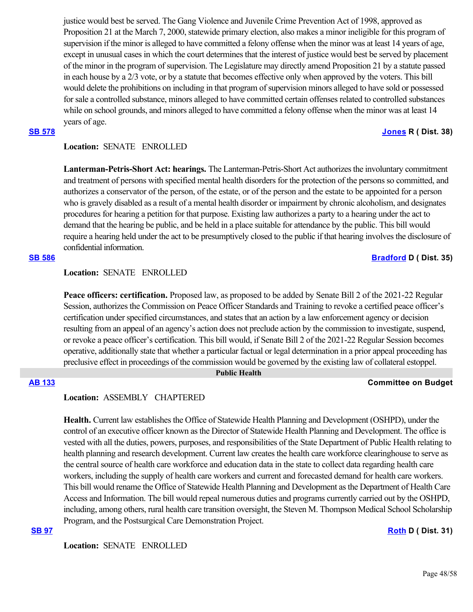justice would best be served. The Gang Violence and Juvenile Crime Prevention Act of 1998, approved as Proposition 21 at the March 7, 2000, statewide primary election, also makes a minor ineligible for this program of supervision if the minor is alleged to have committed a felony offense when the minor was at least 14 years of age, except in unusual cases in which the court determines that the interest of justice would best be served by placement of the minor in the program of supervision. The Legislature may directly amend Proposition 21 by a statute passed in each house by a 2/3 vote, or by a statute that becomes effective only when approved by the voters. This bill would delete the prohibitions on including in that program of supervision minors alleged to have sold or possessed for sale a controlled substance, minors alleged to have committed certain offenses related to controlled substances while on school grounds, and minors alleged to have committed a felony offense when the minor was at least 14 years of age.

# **[SB 578](https://ctweb.capitoltrack.com/public/publishbillinfo.aspx?bi=eOYqZtxGPsud86GZnbsGfqcDWe9no%2BWOkqhNpVvqoVDQKURNteTIzkLTNg%2BUZ5pZ) [Jones](https://jones.cssrc.us/) R ( Dist. 38)**

# **Location:**  SENATE ENROLLED

**Lanterman-Petris-Short Act: hearings.** The Lanterman-Petris-Short Act authorizes the involuntary commitment and treatment of persons with specified mental health disorders for the protection of the persons so committed, and authorizes a conservator of the person, of the estate, or of the person and the estate to be appointed for a person who is gravely disabled as a result of a mental health disorder or impairment by chronic alcoholism, and designates procedures for hearing a petition for that purpose. Existing law authorizes a party to a hearing under the act to demand that the hearing be public, and be held in a place suitable for attendance by the public. This bill would require a hearing held under the act to be presumptively closed to the public if that hearing involves the disclosure of confidential information.

### **[SB 586](https://ctweb.capitoltrack.com/public/publishbillinfo.aspx?bi=9X1B6v%2B6dI3d57LZ9gjXCIxR8h8OWbkhp6wcUcHILQnbW9fn2SgmfjmtZUYuoeSm) [Bradford](http://sd35.senate.ca.gov/) D ( Dist. 35)**

# **Location:**  SENATE ENROLLED

**Peace officers: certification.** Proposed law, as proposed to be added by Senate Bill 2 of the 2021-22 Regular Session, authorizes the Commission on Peace Officer Standards and Training to revoke a certified peace officer's certification under specified circumstances, and states that an action by a law enforcement agency or decision resulting from an appeal of an agency's action does not preclude action by the commission to investigate, suspend, or revoke a peace officer's certification. This bill would, if Senate Bill 2 of the 2021-22 Regular Session becomes operative, additionally state that whether a particular factual or legal determination in a prior appeal proceeding has preclusive effect in proceedings of the commission would be governed by the existing law of collateral estoppel.

 **Public Health**

# **[AB 133](https://ctweb.capitoltrack.com/public/publishbillinfo.aspx?bi=l2i%2FtQ7Po3AxGWz9R2iAsfNJwrNM%2F90dI145r1YwOT3QaXmjvEUeS2NBFIwpdfdf) Committee on Budget**

### **Location:**  ASSEMBLY CHAPTERED

**Health.** Current law establishes the Office of Statewide Health Planning and Development (OSHPD), under the control of an executive officer known as the Director of Statewide Health Planning and Development. The office is vested with all the duties, powers, purposes, and responsibilities of the State Department of Public Health relating to health planning and research development. Current law creates the health care workforce clearinghouse to serve as the central source of health care workforce and education data in the state to collect data regarding health care workers, including the supply of health care workers and current and forecasted demand for health care workers. This bill would rename the Office of Statewide Health Planning and Development as the Department of Health Care Access and Information. The bill would repeal numerous duties and programs currently carried out by the OSHPD, including, among others, rural health care transition oversight, the Steven M. Thompson Medical School Scholarship Program, and the Postsurgical Care Demonstration Project.

### **[SB 97](https://ctweb.capitoltrack.com/public/publishbillinfo.aspx?bi=O9nHo4x86tQqyowZHr2eN38IqDOt5Ay9gnoGrgU2dG95v%2FkhlUQhTExB5%2FP7kofh) [Roth](http://sd31.senate.ca.gov/) D ( Dist. 31)**

**Location:**  SENATE ENROLLED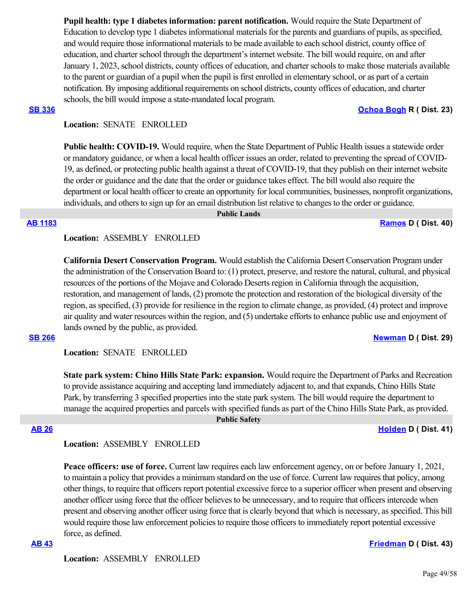**Pupil health: type 1 diabetes information: parent notification.** Would require the State Department of Education to develop type 1 diabetes informational materials for the parents and guardians of pupils, as specified, and would require those informational materials to be made available to each school district, county office of education, and charter school through the department's internet website. The bill would require, on and after January 1, 2023, school districts, county offices of education, and charter schools to make those materials available to the parent or guardian of a pupil when the pupil is first enrolled in elementary school, or as part of a certain notification. By imposing additional requirements on school districts, county offices of education, and charter schools, the bill would impose a state-mandated local program.

### **[SB 336](https://ctweb.capitoltrack.com/public/publishbillinfo.aspx?bi=niZ0CSE40hnqV3OTVAREG%2FOJwt2hEIHd7VoaQUsluFJ%2FklldssIh3Cd8G3VTCwo3) [Ochoa Bogh](https://ochoa-bogh.cssrc.us/) R ( Dist. 23)**

# **Location:**  SENATE ENROLLED

**Public health: COVID-19.** Would require, when the State Department of Public Health issues a statewide order or mandatory guidance, or when a local health officer issues an order, related to preventing the spread of COVID-19, as defined, or protecting public health against a threat of COVID-19, that they publish on their internet website the order or guidance and the date that the order or guidance takes effect. The bill would also require the department or local health officer to create an opportunity for local communities, businesses, nonprofit organizations, individuals, and others to sign up for an email distribution list relative to changes to the order or guidance.

 **Public Lands**

**[AB 1183](https://ctweb.capitoltrack.com/public/publishbillinfo.aspx?bi=8sxP%2BN2IV379khTlN2v3h3E8OcjcvSekdleRbpmAfaS4tiTsBm7Q2HSMW9f2Z65D) [Ramos](https://a40.asmdc.org/) D ( Dist. 40)**

**Location:**  ASSEMBLY ENROLLED

**California Desert Conservation Program.** Would establish the California Desert Conservation Program under the administration of the Conservation Board to: (1) protect, preserve, and restore the natural, cultural, and physical resources of the portions of the Mojave and Colorado Deserts region in California through the acquisition, restoration, and management of lands, (2) promote the protection and restoration of the biological diversity of the region, as specified, (3) provide for resilience in the region to climate change, as provided, (4) protect and improve air quality and water resources within the region, and (5) undertake efforts to enhance public use and enjoyment of lands owned by the public, as provided.

### **[SB 266](https://ctweb.capitoltrack.com/public/publishbillinfo.aspx?bi=4VP7cveFsR8P8MFYu%2B1sfXlUQ6MzDlHps2kKrKLJSWMaL5d2ZN4UfGDDNqasl%2Brk) [Newman](https://sd29.senate.ca.gov/) D ( Dist. 29)**

**Location:**  SENATE ENROLLED

**State park system: Chino Hills State Park: expansion.** Would require the Department of Parks and Recreation to provide assistance acquiring and accepting land immediately adjacent to, and that expands, Chino Hills State Park, by transferring 3 specified properties into the state park system. The bill would require the department to manage the acquired properties and parcels with specified funds as part of the Chino Hills State Park, as provided.

 **Public Safety**

**[AB 26](https://ctweb.capitoltrack.com/public/publishbillinfo.aspx?bi=QajVk%2B%2B3uqhJ%2FELP1oZEB4Dd1L9zqaYTBBnHT%2FX7aGxIsqycLpYwC%2Fp3dZsNWwq6) [Holden](https://a41.asmdc.org/) D ( Dist. 41)**

**Location:**  ASSEMBLY ENROLLED

**Peace officers: use of force.** Current law requires each law enforcement agency, on or before January 1, 2021, to maintain a policy that provides a minimum standard on the use of force. Current law requires that policy, among other things, to require that officers report potential excessive force to a superior officer when present and observing another officer using force that the officer believes to be unnecessary, and to require that officers intercede when present and observing another officer using force that is clearly beyond that which is necessary, as specified. This bill would require those law enforcement policies to require those officers to immediately report potential excessive force, as defined.

# **[AB 43](https://ctweb.capitoltrack.com/public/publishbillinfo.aspx?bi=0bhPTSM827vuBRR2brGMkA%2BbMM78NshDnDR4K4ulp8uhWKnFDVdcW4oQJzwaB%2Bkj) [Friedman](https://a43.asmdc.org/) D ( Dist. 43)**

**Location:**  ASSEMBLY ENROLLED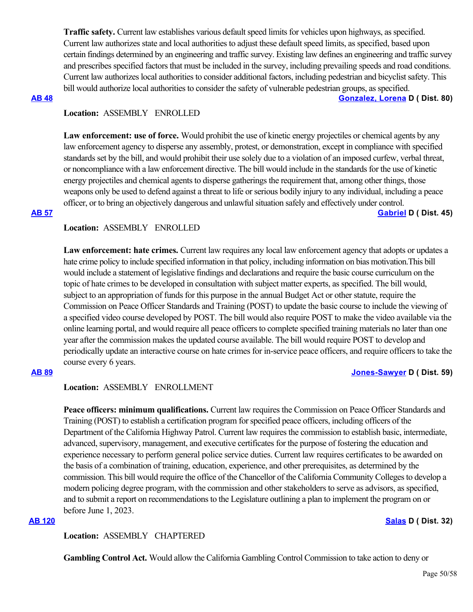**Traffic safety.** Current law establishes various default speed limits for vehicles upon highways, as specified. Current law authorizes state and local authorities to adjust these default speed limits, as specified, based upon certain findings determined by an engineering and traffic survey. Existing law defines an engineering and traffic survey and prescribes specified factors that must be included in the survey, including prevailing speeds and road conditions. Current law authorizes local authorities to consider additional factors, including pedestrian and bicyclist safety. This bill would authorize local authorities to consider the safety of vulnerable pedestrian groups, as specified.

**[AB 48](https://ctweb.capitoltrack.com/public/publishbillinfo.aspx?bi=TmRq5ZWdAfmmrGmDbKpylX%2Fw9NSVUuXA70OElO7wa2G%2BlRdeqbSyfwVWySb2RPPQ) [Gonzalez, Lorena](https://a80.asmdc.org/) D ( Dist. 80)**

# **Location:**  ASSEMBLY ENROLLED

**Law enforcement: use of force.** Would prohibit the use of kinetic energy projectiles or chemical agents by any law enforcement agency to disperse any assembly, protest, or demonstration, except in compliance with specified standards set by the bill, and would prohibit their use solely due to a violation of an imposed curfew, verbal threat, or noncompliance with a law enforcement directive. The bill would include in the standards for the use of kinetic energy projectiles and chemical agents to disperse gatherings the requirement that, among other things, those weapons only be used to defend against a threat to life or serious bodily injury to any individual, including a peace officer, or to bring an objectively dangerous and unlawful situation safely and effectively under control. **[AB 57](https://ctweb.capitoltrack.com/public/publishbillinfo.aspx?bi=qYF6SZxjm6pxZTT7D3pzzJyjeSwS0dfR935n23u%2Fo0IGBAafihbEsIdV9iznsV4d) [Gabriel](https://a45.asmdc.org/) D ( Dist. 45)**

# **Location:**  ASSEMBLY ENROLLED

**Law enforcement: hate crimes.** Current law requires any local law enforcement agency that adopts or updates a hate crime policy to include specified information in that policy, including information on bias motivation.This bill would include a statement of legislative findings and declarations and require the basic course curriculum on the topic of hate crimes to be developed in consultation with subject matter experts, as specified. The bill would, subject to an appropriation of funds for this purpose in the annual Budget Act or other statute, require the Commission on Peace Officer Standards and Training (POST) to update the basic course to include the viewing of a specified video course developed by POST. The bill would also require POST to make the video available via the online learning portal, and would require all peace officers to complete specified training materials no later than one year after the commission makes the updated course available. The bill would require POST to develop and periodically update an interactive course on hate crimes for in-service peace officers, and require officers to take the course every 6 years.

# **[AB 89](https://ctweb.capitoltrack.com/public/publishbillinfo.aspx?bi=Pj4LhiFHTdWPgL3IzWdGRRATnugepVEd%2FZJaN4ZNo8w1Ll0B5pIYlmiOU59UPXKD) [Jones-Sawyer](https://a59.asmdc.org/) D ( Dist. 59)**

# **Location:**  ASSEMBLY ENROLLMENT

**Peace officers: minimum qualifications.** Current law requires the Commission on Peace Officer Standards and Training (POST) to establish a certification program for specified peace officers, including officers of the Department of the California Highway Patrol. Current law requires the commission to establish basic, intermediate, advanced, supervisory, management, and executive certificates for the purpose of fostering the education and experience necessary to perform general police service duties. Current law requires certificates to be awarded on the basis of a combination of training, education, experience, and other prerequisites, as determined by the commission. This bill would require the office of the Chancellor of the California Community Colleges to develop a modern policing degree program, with the commission and other stakeholders to serve as advisors, as specified, and to submit a report on recommendations to the Legislature outlining a plan to implement the program on or before June 1, 2023.

# **[AB 120](https://ctweb.capitoltrack.com/public/publishbillinfo.aspx?bi=lBeShfC6Efpro8Mge4qRXsQ%2BGEx8LAbDcPv%2F4O03cjohYqco2mh%2Brj3DsmI7njyw) [Salas](https://a32.asmdc.org/) D ( Dist. 32)**

**Location:**  ASSEMBLY CHAPTERED

**Gambling Control Act.** Would allow the California Gambling Control Commission to take action to deny or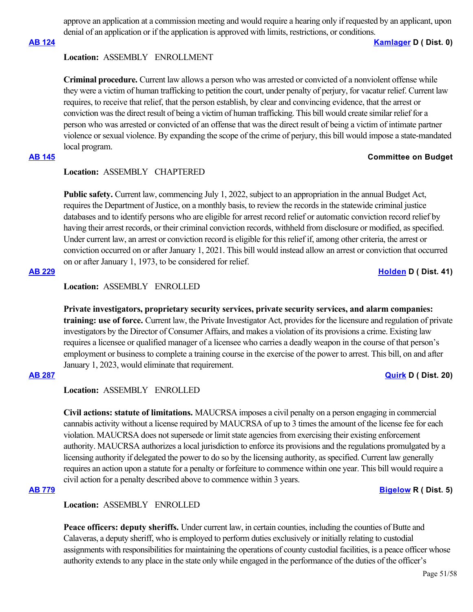approve an application at a commission meeting and would require a hearing only if requested by an applicant, upon denial of an application or if the application is approved with limits, restrictions, or conditions.

### **[AB 124](https://ctweb.capitoltrack.com/public/publishbillinfo.aspx?bi=78mCYVfua%2BZI3OAwAGqHcnahKS0q9Av0vkiJ8pKILGEssk1bJngDMeUjUScZtn6D) [Kamlager](https://a54.asmdc.org/) D ( Dist. 0)**

### **Location:**  ASSEMBLY ENROLLMENT

**Criminal procedure.** Current law allows a person who was arrested or convicted of a nonviolent offense while they were a victim of human trafficking to petition the court, under penalty of perjury, for vacatur relief. Current law requires, to receive that relief, that the person establish, by clear and convincing evidence, that the arrest or conviction was the direct result of being a victim of human trafficking. This bill would create similar relief for a person who was arrested or convicted of an offense that was the direct result of being a victim of intimate partner violence or sexual violence. By expanding the scope of the crime of perjury, this bill would impose a state-mandated local program.

### **[AB 145](https://ctweb.capitoltrack.com/public/publishbillinfo.aspx?bi=oFjQzrtrRgF52VBlUKp5cn4GRwRGle7W%2B5hXuZB5hpxEc4A9zxoMQ3U1%2BdSwkDD8) Committee on Budget**

# **Location:**  ASSEMBLY CHAPTERED

**Public safety.** Current law, commencing July 1, 2022, subject to an appropriation in the annual Budget Act, requires the Department of Justice, on a monthly basis, to review the records in the statewide criminal justice databases and to identify persons who are eligible for arrest record relief or automatic conviction record relief by having their arrest records, or their criminal conviction records, withheld from disclosure or modified, as specified. Under current law, an arrest or conviction record is eligible for this relief if, among other criteria, the arrest or conviction occurred on or after January 1, 2021. This bill would instead allow an arrest or conviction that occurred on or after January 1, 1973, to be considered for relief.

# **[AB 229](https://ctweb.capitoltrack.com/public/publishbillinfo.aspx?bi=EujA9FmXoL2ZlwhcAByCU0FBAah09n8ZdAOsa3K6LFYltFQc1vzDgRSOvTAdg8j0) [Holden](https://a41.asmdc.org/) D ( Dist. 41)**

# **Location:**  ASSEMBLY ENROLLED

**Private investigators, proprietary security services, private security services, and alarm companies: training: use of force.** Current law, the Private Investigator Act, provides for the licensure and regulation of private investigators by the Director of Consumer Affairs, and makes a violation of its provisions a crime. Existing law requires a licensee or qualified manager of a licensee who carries a deadly weapon in the course of that person's employment or business to complete a training course in the exercise of the power to arrest. This bill, on and after January 1, 2023, would eliminate that requirement.

### **[AB 287](https://ctweb.capitoltrack.com/public/publishbillinfo.aspx?bi=RkGyJL4Gbu8bVK3KHAY%2FE3f3S%2FTgYJ07yTw1N394Dv9wl2C80I%2FCy7K6KkRiw4Us) [Quirk](https://a20.asmdc.org/) D ( Dist. 20)**

**Location:**  ASSEMBLY ENROLLED

**Civil actions: statute of limitations.** MAUCRSA imposes a civil penalty on a person engaging in commercial cannabis activity without a license required by MAUCRSA of up to 3 times the amount of the license fee for each violation. MAUCRSA does not supersede or limit state agencies from exercising their existing enforcement authority. MAUCRSA authorizes a local jurisdiction to enforce its provisions and the regulations promulgated by a licensing authority if delegated the power to do so by the licensing authority, as specified. Current law generally requires an action upon a statute for a penalty or forfeiture to commence within one year. This bill would require a civil action for a penalty described above to commence within 3 years.

**[AB 779](https://ctweb.capitoltrack.com/public/publishbillinfo.aspx?bi=UKV0iTP2tLeKLMXYq4GoIzi4mtaiIBSJdjemJgExRwOQ%2Fox1DYHS8OwqVwVCeSf1) [Bigelow](https://ad05.asmrc.org/) R ( Dist. 5)**

**Location:**  ASSEMBLY ENROLLED

**Peace officers: deputy sheriffs.** Under current law, in certain counties, including the counties of Butte and Calaveras, a deputy sheriff, who is employed to perform duties exclusively or initially relating to custodial assignments with responsibilities for maintaining the operations of county custodial facilities, is a peace officer whose authority extends to any place in the state only while engaged in the performance of the duties of the officer's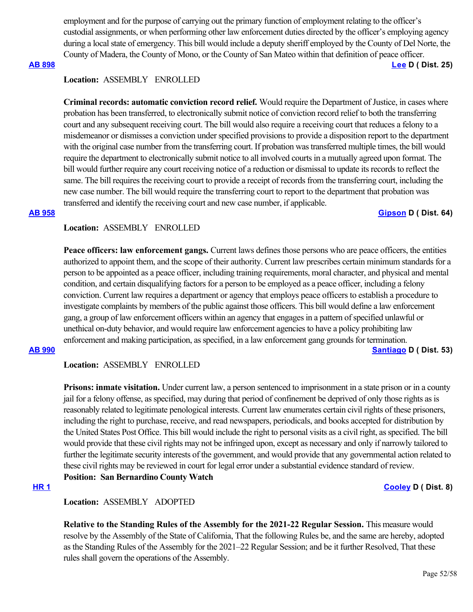employment and for the purpose of carrying out the primary function of employment relating to the officer's custodial assignments, or when performing other law enforcement duties directed by the officer's employing agency during a local state of emergency. This bill would include a deputy sheriff employed by the County of Del Norte, the County of Madera, the County of Mono, or the County of San Mateo within that definition of peace officer.

# **[AB 898](https://ctweb.capitoltrack.com/public/publishbillinfo.aspx?bi=ehFAoMYrUexAiEqFI%2BvfEk2Fgzb41LBhWqQYaitn4cojM4%2FTgTXOvOLwJ26eQ3X8) [Lee](https://a25.asmdc.org/) D ( Dist. 25)**

### **Location:**  ASSEMBLY ENROLLED

**Criminal records: automatic conviction record relief.** Would require the Department of Justice, in cases where probation has been transferred, to electronically submit notice of conviction record relief to both the transferring court and any subsequent receiving court. The bill would also require a receiving court that reduces a felony to a misdemeanor or dismisses a conviction under specified provisions to provide a disposition report to the department with the original case number from the transferring court. If probation was transferred multiple times, the bill would require the department to electronically submit notice to all involved courts in a mutually agreed upon format. The bill would further require any court receiving notice of a reduction or dismissal to update its records to reflect the same. The bill requires the receiving court to provide a receipt of records from the transferring court, including the new case number. The bill would require the transferring court to report to the department that probation was transferred and identify the receiving court and new case number, if applicable.

### **[AB 958](https://ctweb.capitoltrack.com/public/publishbillinfo.aspx?bi=eW6xuCEVq6pX4wsYqX6kIOG8ps67HgsDhB%2BdlbmUl%2FYv7zKq459OLfbr51xk3Ed8) [Gipson](https://a64.asmdc.org/) D ( Dist. 64)**

### **Location:**  ASSEMBLY ENROLLED

**Peace officers: law enforcement gangs.** Current laws defines those persons who are peace officers, the entities authorized to appoint them, and the scope of their authority. Current law prescribes certain minimum standards for a person to be appointed as a peace officer, including training requirements, moral character, and physical and mental condition, and certain disqualifying factors for a person to be employed as a peace officer, including a felony conviction. Current law requires a department or agency that employs peace officers to establish a procedure to investigate complaints by members of the public against those officers. This bill would define a law enforcement gang, a group of law enforcement officers within an agency that engages in a pattern of specified unlawful or unethical on-duty behavior, and would require law enforcement agencies to have a policy prohibiting law enforcement and making participation, as specified, in a law enforcement gang grounds for termination.

**[AB 990](https://ctweb.capitoltrack.com/public/publishbillinfo.aspx?bi=JI%2FTEjsF6JwnUpoXTaGAZ9XW1i3Elsz1DfQ5jCf8ryoIgfVfCxwTrIz09gerE2n6) [Santiago](https://a53.asmdc.org/) D ( Dist. 53)**

### **Location:**  ASSEMBLY ENROLLED

**Prisons: inmate visitation.** Under current law, a person sentenced to imprisonment in a state prison or in a county jail for a felony offense, as specified, may during that period of confinement be deprived of only those rights as is reasonably related to legitimate penological interests. Current law enumerates certain civil rights of these prisoners, including the right to purchase, receive, and read newspapers, periodicals, and books accepted for distribution by the United States Post Office. This bill would include the right to personal visits as a civil right, as specified. The bill would provide that these civil rights may not be infringed upon, except as necessary and only if narrowly tailored to further the legitimate security interests of the government, and would provide that any governmental action related to these civil rights may be reviewed in court for legal error under a substantial evidence standard of review. **Position: San Bernardino County Watch**

### **[HR 1](https://ctweb.capitoltrack.com/public/publishbillinfo.aspx?bi=Jm%2FyAY%2FX%2FbZqajqviCnPU7wcE2ard6%2B23H4yLIfjTKxLI97jwSCe6SKB6x8OqZoe) [Cooley](https://a08.asmdc.org/) D ( Dist. 8)**

### **Location:**  ASSEMBLY ADOPTED

**Relative to the Standing Rules of the Assembly for the 2021-22 Regular Session.** This measure would resolve by the Assembly of the State of California, That the following Rules be, and the same are hereby, adopted as the Standing Rules of the Assembly for the 2021–22 Regular Session; and be it further Resolved, That these rules shall govern the operations of the Assembly.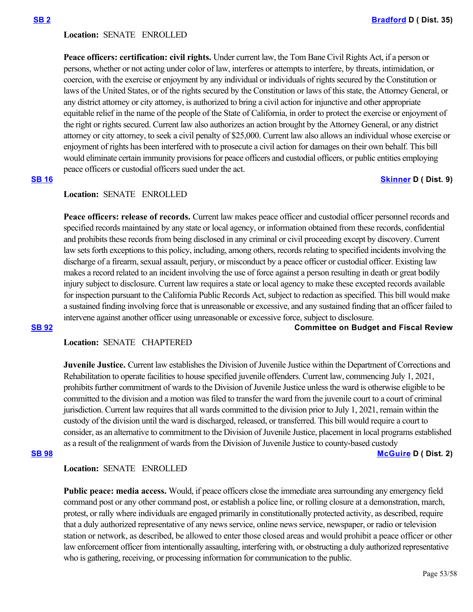### **Location:**  SENATE ENROLLED

**Peace officers: certification: civil rights.** Under current law, the Tom Bane Civil Rights Act, if a person or persons, whether or not acting under color of law, interferes or attempts to interfere, by threats, intimidation, or coercion, with the exercise or enjoyment by any individual or individuals of rights secured by the Constitution or laws of the United States, or of the rights secured by the Constitution or laws of this state, the Attorney General, or any district attorney or city attorney, is authorized to bring a civil action for injunctive and other appropriate equitable relief in the name of the people of the State of California, in order to protect the exercise or enjoyment of the right or rights secured. Current law also authorizes an action brought by the Attorney General, or any district attorney or city attorney, to seek a civil penalty of \$25,000. Current law also allows an individual whose exercise or enjoyment of rights has been interfered with to prosecute a civil action for damages on their own behalf. This bill would eliminate certain immunity provisions for peace officers and custodial officers, or public entities employing peace officers or custodial officers sued under the act.

# **[SB 16](https://ctweb.capitoltrack.com/public/publishbillinfo.aspx?bi=yCmu4aqG3O865C2bBsWVZ0zqQIa%2BGFN2LxUKcBNympGuyGJ7gH5FQJ76dzzBfesj) [Skinner](http://sd09.senate.ca.gov/) D** ( Dist. 9)

### **Location:**  SENATE ENROLLED

Peace officers: release of records. Current law makes peace officer and custodial officer personnel records and specified records maintained by any state or local agency, or information obtained from these records, confidential and prohibits these records from being disclosed in any criminal or civil proceeding except by discovery. Current law sets forth exceptions to this policy, including, among others, records relating to specified incidents involving the discharge of a firearm, sexual assault, perjury, or misconduct by a peace officer or custodial officer. Existing law makes a record related to an incident involving the use of force against a person resulting in death or great bodily injury subject to disclosure. Current law requires a state or local agency to make these excepted records available for inspection pursuant to the California Public Records Act, subject to redaction as specified. This bill would make a sustained finding involving force that is unreasonable or excessive, and any sustained finding that an officer failed to intervene against another officer using unreasonable or excessive force, subject to disclosure.

### **[SB 92](https://ctweb.capitoltrack.com/public/publishbillinfo.aspx?bi=JfJdKyjV4lhXZ2btoyQbFuA4eoRjbLJl5HwRydvUT2cUEyV8%2BoSRX99KhmEW6cyi) Committee on Budget and Fiscal Review**

# **Location:**  SENATE CHAPTERED

**Juvenile Justice.** Current law establishes the Division of Juvenile Justice within the Department of Corrections and Rehabilitation to operate facilities to house specified juvenile offenders. Current law, commencing July 1, 2021, prohibits further commitment of wards to the Division of Juvenile Justice unless the ward is otherwise eligible to be committed to the division and a motion was filed to transfer the ward from the juvenile court to a court of criminal jurisdiction. Current law requires that all wards committed to the division prior to July 1, 2021, remain within the custody of the division until the ward is discharged, released, or transferred. This bill would require a court to consider, as an alternative to commitment to the Division of Juvenile Justice, placement in local programs established as a result of the realignment of wards from the Division of Juvenile Justice to county-based custody

**[SB 98](https://ctweb.capitoltrack.com/public/publishbillinfo.aspx?bi=VDBpo0QTBnT3%2FQLK5BZeGJIjtkpltImR%2Baz12vUpN2YwA1ilQ1wGeYeuW3%2FImmOz) [McGuire](http://sd02.senate.ca.gov/) D ( Dist. 2)**

# **Location:**  SENATE ENROLLED

**Public peace: media access.** Would, if peace officers close the immediate area surrounding any emergency field command post or any other command post, or establish a police line, or rolling closure at a demonstration, march, protest, or rally where individuals are engaged primarily in constitutionally protected activity, as described, require that a duly authorized representative of any news service, online news service, newspaper, or radio or television station or network, as described, be allowed to enter those closed areas and would prohibit a peace officer or other law enforcement officer from intentionally assaulting, interfering with, or obstructing a duly authorized representative who is gathering, receiving, or processing information for communication to the public.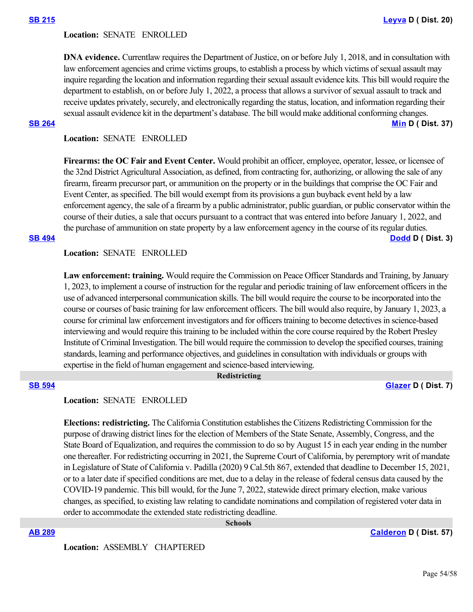### **Location:**  SENATE ENROLLED

**DNA evidence.** Currentlaw requires the Department of Justice, on or before July 1, 2018, and in consultation with law enforcement agencies and crime victims groups, to establish a process by which victims of sexual assault may inquire regarding the location and information regarding their sexual assault evidence kits. This bill would require the department to establish, on or before July 1, 2022, a process that allows a survivor of sexual assault to track and receive updates privately, securely, and electronically regarding the status, location, and information regarding their sexual assault evidence kit in the department's database. The bill would make additional conforming changes. **[SB 264](https://ctweb.capitoltrack.com/public/publishbillinfo.aspx?bi=VqkAA29GSv4i%2F4Vz53AXVe%2FlcS%2BGM6tx0clZ9SEKCi5d3pQP3N5UA1CUfiS%2BZUsU) [Min](https://sd37.senate.ca.gov/) D ( Dist. 37)**

**Location:**  SENATE ENROLLED

**Firearms: the OC Fair and Event Center.** Would prohibit an officer, employee, operator, lessee, or licensee of the 32nd District Agricultural Association, as defined, from contracting for, authorizing, or allowing the sale of any firearm, firearm precursor part, or ammunition on the property or in the buildings that comprise the OC Fair and Event Center, as specified. The bill would exempt from its provisions a gun buyback event held by a law enforcement agency, the sale of a firearm by a public administrator, public guardian, or public conservator within the course of their duties, a sale that occurs pursuant to a contract that was entered into before January 1, 2022, and the purchase of ammunition on state property by a law enforcement agency in the course of its regular duties. **[SB 494](https://ctweb.capitoltrack.com/public/publishbillinfo.aspx?bi=XR1SbJxfBF68Ro5wGW7Lc2ZcvtE%2Fa5MTslC9AKtNiyhHY%2BiLLT7zSyeF94d2QPGo) [Dodd](http://sd03.senate.ca.gov/) D ( Dist. 3)**

**Location:**  SENATE ENROLLED

Law enforcement: training. Would require the Commission on Peace Officer Standards and Training, by January 1, 2023, to implement a course of instruction for the regular and periodic training of law enforcement officers in the use of advanced interpersonal communication skills. The bill would require the course to be incorporated into the course or courses of basic training for law enforcement officers. The bill would also require, by January 1, 2023, a course for criminal law enforcement investigators and for officers training to become detectives in science-based interviewing and would require this training to be included within the core course required by the Robert Presley Institute of Criminal Investigation. The bill would require the commission to develop the specified courses, training standards, learning and performance objectives, and guidelines in consultation with individuals or groups with expertise in the field of human engagement and science-based interviewing.

 **Redistricting**

### **[SB 594](https://ctweb.capitoltrack.com/public/publishbillinfo.aspx?bi=kOfI7Aw8HK%2F1P5ifWgmLakhdJE1c559hKvxsm2J%2F%2BQrIn6mAZx%2FhjUblUgIFWO7c) [Glazer](http://sd07.senate.ca.gov/) D ( Dist. 7)**

### **Location:**  SENATE ENROLLED

**Elections: redistricting.** The California Constitution establishes the Citizens Redistricting Commission for the purpose of drawing district lines for the election of Members of the State Senate, Assembly, Congress, and the State Board of Equalization, and requires the commission to do so by August 15 in each year ending in the number one thereafter. For redistricting occurring in 2021, the Supreme Court of California, by peremptory writ of mandate in Legislature of State of California v. Padilla (2020) 9 Cal.5th 867, extended that deadline to December 15, 2021, or to a later date if specified conditions are met, due to a delay in the release of federal census data caused by the COVID-19 pandemic. This bill would, for the June 7, 2022, statewide direct primary election, make various changes, as specified, to existing law relating to candidate nominations and compilation of registered voter data in order to accommodate the extended state redistricting deadline.

 **Schools**

**[AB 289](https://ctweb.capitoltrack.com/public/publishbillinfo.aspx?bi=B8zqAENDk5pcxUUJanAPltM9jU%2FwNOuI2dF2DYjzAR3P04kW0t%2ByJ%2BY7ETBGQniN) [Calderon](https://a57.asmdc.org/) D ( Dist. 57)**

**Location:**  ASSEMBLY CHAPTERED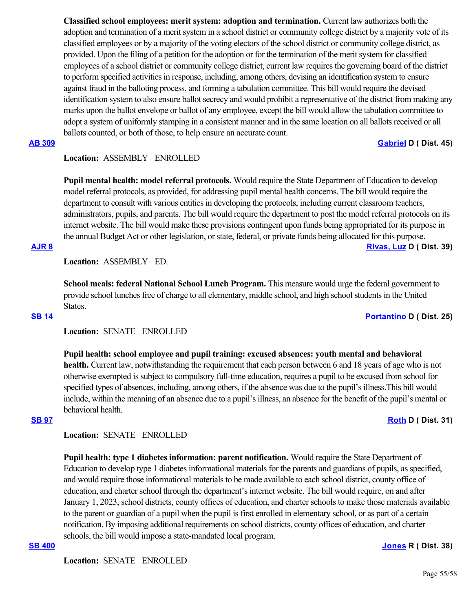**Classified school employees: merit system: adoption and termination.** Current law authorizes both the adoption and termination of a merit system in a school district or community college district by a majority vote of its classified employees or by a majority of the voting electors of the school district or community college district, as provided. Upon the filing of a petition for the adoption or for the termination of the merit system for classified employees of a school district or community college district, current law requires the governing board of the district to perform specified activities in response, including, among others, devising an identification system to ensure against fraud in the balloting process, and forming a tabulation committee. This bill would require the devised identification system to also ensure ballot secrecy and would prohibit a representative of the district from making any marks upon the ballot envelope or ballot of any employee, except the bill would allow the tabulation committee to adopt a system of uniformly stamping in a consistent manner and in the same location on all ballots received or all ballots counted, or both of those, to help ensure an accurate count.

# **[AB 309](https://ctweb.capitoltrack.com/public/publishbillinfo.aspx?bi=UgOs8yJRyRazw%2FgGOVSrBKJMX8OrQgikV%2BZ%2FQkQSXtSawo7YyeSfOElxZFNYSoG9) [Gabriel](https://a45.asmdc.org/) D ( Dist. 45)**

# **Location:**  ASSEMBLY ENROLLED

**Pupil mental health: model referral protocols.** Would require the State Department of Education to develop model referral protocols, as provided, for addressing pupil mental health concerns. The bill would require the department to consult with various entities in developing the protocols, including current classroom teachers, administrators, pupils, and parents. The bill would require the department to post the model referral protocols on its internet website. The bill would make these provisions contingent upon funds being appropriated for its purpose in the annual Budget Act or other legislation, or state, federal, or private funds being allocated for this purpose. **[AJR 8](https://ctweb.capitoltrack.com/public/publishbillinfo.aspx?bi=v4%2B0xj2Ty4VOuB755EUx7TIU%2FiDqC1JYXWz9PsnQvsbnclKsucmy0nxLqyxNFpWv) [Rivas, Luz](https://a39.asmdc.org/) D ( Dist. 39)**

**Location:**  ASSEMBLY ED.

**School meals: federal National School Lunch Program.** This measure would urge the federal government to provide school lunches free of charge to all elementary, middle school, and high school students in the United States.

**[SB 14](https://ctweb.capitoltrack.com/public/publishbillinfo.aspx?bi=wk2VpWnO0AiHat9%2F2no5JL%2BVp%2BaAH1o1Vz%2FRLkCi0o0GRgzfKCTNUjkeQzXLscBh) [Portantino](http://sd25.senate.ca.gov/) D ( Dist. 25)**

# **Location:**  SENATE ENROLLED

**Pupil health: school employee and pupil training: excused absences: youth mental and behavioral health.** Current law, notwithstanding the requirement that each person between 6 and 18 years of age who is not otherwise exempted is subject to compulsory full-time education, requires a pupil to be excused from school for specified types of absences, including, among others, if the absence was due to the pupil's illness.This bill would include, within the meaning of an absence due to a pupil's illness, an absence for the benefit of the pupil's mental or behavioral health.

### **[SB 97](https://ctweb.capitoltrack.com/public/publishbillinfo.aspx?bi=O9nHo4x86tQqyowZHr2eN38IqDOt5Ay9gnoGrgU2dG95v%2FkhlUQhTExB5%2FP7kofh) [Roth](http://sd31.senate.ca.gov/)** D ( Dist. 31)

# **Location:**  SENATE ENROLLED

**Pupil health: type 1 diabetes information: parent notification.** Would require the State Department of Education to develop type 1 diabetes informational materials for the parents and guardians of pupils, as specified, and would require those informational materials to be made available to each school district, county office of education, and charter school through the department's internet website. The bill would require, on and after January 1, 2023, school districts, county offices of education, and charter schools to make those materials available to the parent or guardian of a pupil when the pupil is first enrolled in elementary school, or as part of a certain notification. By imposing additional requirements on school districts, county offices of education, and charter schools, the bill would impose a state-mandated local program.

# **[SB 400](https://ctweb.capitoltrack.com/public/publishbillinfo.aspx?bi=KHHI1SDAaCnBHMCZEhuUvwi94poNqFFUOeBcX%2F%2FH8aHVSq9X8z5e%2B38Q5Zut6gzL) [Jones](https://jones.cssrc.us/) R ( Dist. 38)**

**Location:**  SENATE ENROLLED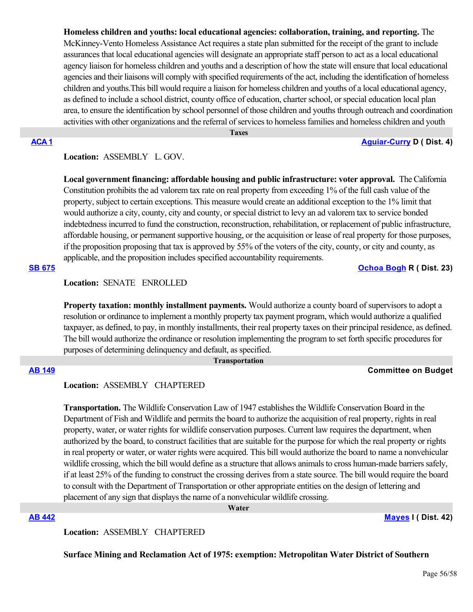**Homeless children and youths: local educational agencies: collaboration, training, and reporting.** The McKinney-Vento Homeless Assistance Act requires a state plan submitted for the receipt of the grant to include assurances that local educational agencies will designate an appropriate staff person to act as a local educational agency liaison for homeless children and youths and a description of how the state will ensure that local educational agencies and their liaisons will comply with specified requirements of the act, including the identification of homeless children and youths.This bill would require a liaison for homeless children and youths of a local educational agency, as defined to include a school district, county office of education, charter school, or special education local plan area, to ensure the identification by school personnel of those children and youths through outreach and coordination activities with other organizations and the referral of services to homeless families and homeless children and youth

 **Taxes**

# **[ACA 1](https://ctweb.capitoltrack.com/public/publishbillinfo.aspx?bi=vkAbgpBB9wOKQrx%2F6m3DJE4Lfzjw%2B69Lv7GxnaWpsGPIGgKDXm0xJSIkZsa8QVVB) [Aguiar-Curry](https://a04.asmdc.org/) D ( Dist. 4)**

# **Location:**  ASSEMBLY L. GOV.

**Local government financing: affordable housing and public infrastructure: voter approval.** The California Constitution prohibits the ad valorem tax rate on real property from exceeding 1% of the full cash value of the property, subject to certain exceptions. This measure would create an additional exception to the 1% limit that would authorize a city, county, city and county, or special district to levy an ad valorem tax to service bonded indebtedness incurred to fund the construction, reconstruction, rehabilitation, or replacement of public infrastructure, affordable housing, or permanent supportive housing, or the acquisition or lease of real property for those purposes, if the proposition proposing that tax is approved by 55% of the voters of the city, county, or city and county, as applicable, and the proposition includes specified accountability requirements.

# **[SB 675](https://ctweb.capitoltrack.com/public/publishbillinfo.aspx?bi=YlOr%2B9UFiD%2F8tPpX%2FbyJgm%2BJXuO3%2BKrPfbhEVZyN0ycgV9d3l6Ww0mqwlpqKB70s) [Ochoa Bogh](https://ochoa-bogh.cssrc.us/) R ( Dist. 23)**

**Location:**  SENATE ENROLLED

**Property taxation: monthly installment payments.** Would authorize a county board of supervisors to adopt a resolution or ordinance to implement a monthly property tax payment program, which would authorize a qualified taxpayer, as defined, to pay, in monthly installments, their real property taxes on their principal residence, as defined. The bill would authorize the ordinance or resolution implementing the program to set forth specific procedures for purposes of determining delinquency and default, as specified.

# **Transportation**

# **[AB 149](https://ctweb.capitoltrack.com/public/publishbillinfo.aspx?bi=ZlW3RcLCpbA1eMOmvhe1%2FV7Kkks58L4sYbAKSv0oEHR3GvH%2Fjw3KwBDPtsxcEbza) Committee on Budget**

### **Location:**  ASSEMBLY CHAPTERED

**Transportation.** The Wildlife Conservation Law of 1947 establishes the Wildlife Conservation Board in the Department of Fish and Wildlife and permits the board to authorize the acquisition of real property, rights in real property, water, or water rights for wildlife conservation purposes. Current law requires the department, when authorized by the board, to construct facilities that are suitable for the purpose for which the real property or rights in real property or water, or water rights were acquired. This bill would authorize the board to name a nonvehicular wildlife crossing, which the bill would define as a structure that allows animals to cross human-made barriers safely, if at least 25% of the funding to construct the crossing derives from a state source. The bill would require the board to consult with the Department of Transportation or other appropriate entities on the design of lettering and placement of any sign that displays the name of a nonvehicular wildlife crossing.

 **Water**

**[AB 442](https://ctweb.capitoltrack.com/public/publishbillinfo.aspx?bi=9goV7DrdUOmmIvxursh8ufVTR9EEnPzc%2Ftp%2FtbNikZ2bmDDOJA3LGp3rAdpmlTPC) [Mayes](https://www.assembly.ca.gov/assemblymemberchadmayes) I ( Dist. 42)**

**Location:**  ASSEMBLY CHAPTERED

**Surface Mining and Reclamation Act of 1975: exemption: Metropolitan Water District of Southern**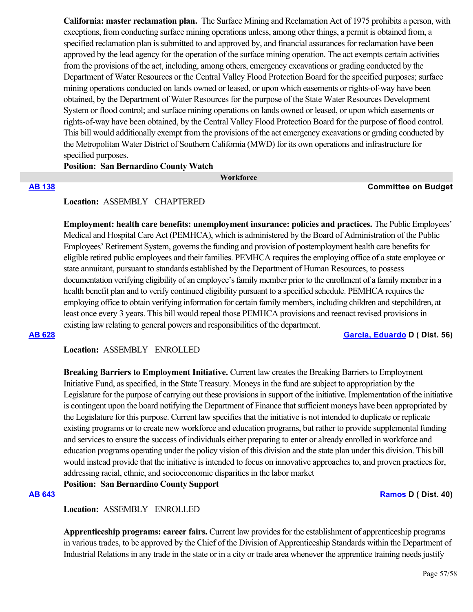**California: master reclamation plan.**  The Surface Mining and Reclamation Act of 1975 prohibits a person, with exceptions, from conducting surface mining operations unless, among other things, a permit is obtained from, a specified reclamation plan is submitted to and approved by, and financial assurances for reclamation have been approved by the lead agency for the operation of the surface mining operation. The act exempts certain activities from the provisions of the act, including, among others, emergency excavations or grading conducted by the Department of Water Resources or the Central Valley Flood Protection Board for the specified purposes; surface mining operations conducted on lands owned or leased, or upon which easements or rights-of-way have been obtained, by the Department of Water Resources for the purpose of the State Water Resources Development System or flood control; and surface mining operations on lands owned or leased, or upon which easements or rights-of-way have been obtained, by the Central Valley Flood Protection Board for the purpose of flood control. This bill would additionally exempt from the provisions of the act emergency excavations or grading conducted by the Metropolitan Water District of Southern California (MWD) for its own operations and infrastructure for specified purposes.

**Position: San Bernardino County Watch**

 **Workforce**

# **[AB 138](https://ctweb.capitoltrack.com/public/publishbillinfo.aspx?bi=TNom9pbApZwigkd2v3LVMA8TZWkCfimLlPaE81QsZhdbty9bQxIcFthPhVX3Og6D) Committee on Budget**

### **Location:**  ASSEMBLY CHAPTERED

**Employment: health care benefits: unemployment insurance: policies and practices.** The Public Employees' Medical and Hospital Care Act (PEMHCA), which is administered by the Board of Administration of the Public Employees' Retirement System, governs the funding and provision of postemployment health care benefits for eligible retired public employees and their families. PEMHCA requires the employing office of a state employee or state annuitant, pursuant to standards established by the Department of Human Resources, to possess documentation verifying eligibility of an employee's family member prior to the enrollment of a family member in a health benefit plan and to verify continued eligibility pursuant to a specified schedule. PEMHCA requires the employing office to obtain verifying information for certain family members, including children and stepchildren, at least once every 3 years. This bill would repeal those PEMHCA provisions and reenact revised provisions in existing law relating to general powers and responsibilities of the department.

**[AB 628](https://ctweb.capitoltrack.com/public/publishbillinfo.aspx?bi=NeTN%2FSSzCWNl6uEYKaYMbLTu0VjO12HuHLJdn%2BoASUAAIR0cn8RWylMnmAjicrv%2B) [Garcia, Eduardo](https://a56.asmdc.org/) D ( Dist. 56)**

# **Location:**  ASSEMBLY ENROLLED

**Breaking Barriers to Employment Initiative.** Current law creates the Breaking Barriers to Employment Initiative Fund, as specified, in the State Treasury. Moneys in the fund are subject to appropriation by the Legislature for the purpose of carrying out these provisions in support of the initiative. Implementation of the initiative is contingent upon the board notifying the Department of Finance that sufficient moneys have been appropriated by the Legislature for this purpose. Current law specifies that the initiative is not intended to duplicate or replicate existing programs or to create new workforce and education programs, but rather to provide supplemental funding and services to ensure the success of individuals either preparing to enter or already enrolled in workforce and education programs operating under the policy vision of this division and the state plan under this division. This bill would instead provide that the initiative is intended to focus on innovative approaches to, and proven practices for, addressing racial, ethnic, and socioeconomic disparities in the labor market

# **Position: San Bernardino County Support**

**[AB 643](https://ctweb.capitoltrack.com/public/publishbillinfo.aspx?bi=uhrRWRtJ7qlaazozLBeAROxf8P8F%2BRPlKR6h2pPf%2Bqj8MPlm%2FfQfh0OzBNwkIWKd) [Ramos](https://a40.asmdc.org/) D ( Dist. 40)**

### **Location:**  ASSEMBLY ENROLLED

**Apprenticeship programs: career fairs.** Current law provides for the establishment of apprenticeship programs in various trades, to be approved by the Chief of the Division of Apprenticeship Standards within the Department of Industrial Relations in any trade in the state or in a city or trade area whenever the apprentice training needs justify